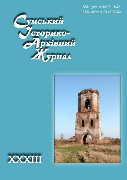ISSN (print) 2227-183X ISSN (online) 2413-8762





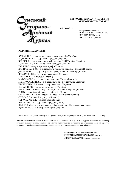

НАУКОВИЙ ЖУРНАЛ З ІСТОРІЇ ТА АРХІВОЗНАВСТВА УКРАЇНИ

№ XXХІІІ

Реєстраційне Свідоцтво КВ №16686-5258 ПР від 05.05.2010 ISSN 2227-183X (print) ISSN 2413-8762 (online)

## РЕДАКЦІЙНА КОЛЕГІЯ:

БАЖАН О.Г. – канд. істор. наук, ст. наук. співроб. (Україна) БОДНАРЮК Б.М. – д-р істор. наук, доц. (Україна) БОРЯК Г.В. – д-р істор. наук, проф., чл.-кор. НАН України (Україна) ГОНЧАРЕНКО А.В. – канд. істор. наук, доц. (Україна) ГУРЖІЙ О.І. – д-р істор. наук, проф. (Україна) ДАНИЛЕНКО В.М. – д-р істор. наук, проф., чл.-кор. НАН України (Україна) ДЕГТЯРЬОВ С.І. – д-р. істор. наук, проф., головний редактор (Україна) ІГНАТУША О.М. – д-р істор. наук, проф. (Україна) КРІНКО Є.Ф. – д-р істор. наук (РФ) МАГСУМОВ Т.А. – канд. істор. наук, доц. (Велика Британія) МЕНЬКОВСЬКИЙ В.І. – д-р істор. наук, проф. (Республіка Білорусь) НЕСТЕРЕНКО В.А. – канд. істор. наук, доц. (Україна) ПАПАКІН Г.В. – д-р істор. наук, проф. (Україна) РЕЄНТ О.П. – д-р істор. наук, проф., чл.-кор. НАН України (Україна) РІШ В. – асоційований професор з історії (США) СТЕМПНЯК В. – д-р наук (dr.hab), проф. (Республіка Польща) СУЛЯК С.Г. – канд. істор. наук (Молдова) ТЕР-ОГАНОВ Н.К. – доктор історії (Ізраїль) ЧЕРКАСОВ О.А. – д-р істор. наук, доц. (США) ШМИГЕЛЬ М. – д-р істор. наук, д-р філософії, доц. (Словацька Республіка) ЩЕРБАК М.Г. – д-р істор. наук, проф. (Україна)

Рекомендовано до друку Вченою радою Сумського державного університету (протокол №5 від 12.12.2019 р.)

Наказом Міністерства освіти і науки України від 7 жовтня 2015 р. №1021 журнал включено до переліку наукових фахових видань України, де можуть публікуватися результати дисертаційних робіт на здобуття наукових ступенів доктора і кандидата історичних наук за спеціальністю «Історичні науки»

> © ІНСТИТУТ ІСТОРІЇ УКРАЇНИ НАН УКРАЇНИ, 2019 © СУМСЬКИЙ ДЕРЖАВНИЙ УНІВЕРСИТЕТ, 2019<br>© СУМСЬКИЙ ДЕРЖАВНИЙ ПЕДАГОГІЧНИЙ УНІВЕРСИТЕТ ІМЕНІ А.С.МАКАРЕНКА, 2019 © НАЦІОНАЛЬНА СПІЛКА КРАЄЗНАВЦІВ УКРАЇНИ, 2019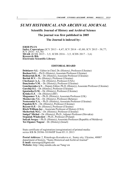# SUMY HISTORICAL AND ARCHIVAL JOURNAL

Scientific Journal of History and Archival Science

## The journal was first published in 2005

The Journal is indexed by:

ERIH PLUS Index Copernicus (ICV 2013 - 4,47; ICV 2014 - 43,80; ICV 2015 - 58,77; ICV 2016 - 63,78) MIAR (ICDS 2015 - 3,5; ICDS 2016 - 3,5; ICDS 2017 - 3,6) Research Bib Electronic Scientific Library

## EDITORIAL BOARD

Dehtiarov S.I. – Editor in Chief, Dr. (History), Professor (Ukraine) Bazhan O.G. – Ph.D. (History), Assosiate Professor (Ukraine) Bodnariuk B.M. – Dr. (History), Assosiate Professor (Ukraine) Boriak H.V. – Dr. (History), Professor (Ukraine) Cherkasov A.A. – Dr. (History), Professor (USA) Danylenko V.M. – Dr. (History), Professor (Ukraine) Goncharenko A.V. – Deputy Editor, Ph.D. (History), Assosiate Professor (Ukraine) Gurzhij O.I. – Dr. (History), Professor (Ukraine) Ignatusha O.M. – Dr. (History), Professor (Ukraine) **Krinko E.F.**  $-Dr$ . (History) ( $RF$ ) Magsumov T.A. – Ph.D. (History), Assosiate Professor (UK) Menkovsky V.I. – Dr. (History), Professor (Belarus) Nesterenko V.A. – Ph.D. (History), Assosiate Professor (Ukraine) Papakin H.V. – Dr. (History), Professor (Ukraine) Reyent O.P. – Dr. (History), Professor (Ukraine) Risch William Jay – Associate Professor of History (USA) Shcherbak M.G. – Dr. (History), Professor (Ukraine) Smigel' Michal – Dr. (History), Ph.D., Adjunct Professor (Slovakia) Stepniak Wladyslaw – Ph.D., Professor (Poland) Sulyak Sergey – Ph.D. (History), Assosiate Professor (Republic of Moldova) Ter-Oganov Nugzar – Dr. (History) (Israel)

State certificate of registration (reregistration) of printed media: series КВ № 20386-10186ПР from 05.11.2013

Postal Address: 2, Rimskogo-Korsakova st., Sumy sity, Ukraine, 40007 department of history, "Sumy Historical and Archival Journal" E-mail: starsergo@bigmir.net Website: http://shaj.sumdu.edu.ua/?lang=en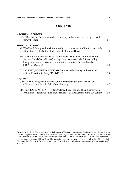## **CONTENTS**

| ARCHIVAL STUDIES |                    |  |
|------------------|--------------------|--|
|                  | ח זז מזוח ו חחקיות |  |

| BEZDRABKO V. Document, archive, memory in the context of George Orwell's<br>literary heritage                                                                                                                                                             | 5  |
|-----------------------------------------------------------------------------------------------------------------------------------------------------------------------------------------------------------------------------------------------------------|----|
| SOURCES STUDY<br>KUTSAEVAT. Marginal inscriptions as objects of museum studies: the case study<br>of the library of the National Museum of Ukrainian History                                                                                              | 14 |
| BILUSHCAK T. Functional analysis of privileges in document-communication<br>system of royal chancellery of the Jagiellonian dynasty Lviv defense policy<br>during its pre-source existence (information potential of archival funds<br>TsDIAL of Ukraine) | 24 |
| ARTYUKHV., IVANUSHCHENKOH. Sources to the history of the education<br>society 'Prosvita' in Sumy (1917-1918)                                                                                                                                              | 33 |
| HISTORY<br>GANCHEVA. Bulgarian family in South Bessarabia during the first half of<br>XIX century in scientific field of social history                                                                                                                   | 47 |
| MAGSUMOV T., NIGMATULLINA M. Specifics of the adult healthcare system<br>formation of the new socialist industrial cities of the last third of the $20th$ century                                                                                         | 56 |
|                                                                                                                                                                                                                                                           |    |

\_\_\_\_\_\_\_\_\_\_\_\_\_\_\_\_\_\_\_\_\_\_\_\_\_\_\_\_\_\_\_\_\_\_\_\_\_\_\_\_\_\_\_\_\_\_\_\_\_\_\_\_\_\_\_\_\_\_\_\_\_\_\_\_\_\_\_\_\_\_\_\_\_\_\_\_\_\_\_\_\_\_\_\_

On the cover: P.1 – The remains of the bell tower of Maksakiv monastery (Maksaki village, Mena district, Chernihiv region). It was built in the 1670s as a defensive gate tower of a monastery fortress. It was rebuilt in the second half of the 19th century. The monastery was founded by Adam Kysil in 1642. In 1775, Patriarch of Constantinople Seraphim II lived there. The monastery complex was demolished on brick in the 1950s. Photo by Olexander Bondar, 2019; P.4 – Reconstruction of the bell tower of Maksakiv monastery. Written by Olexander Bondar.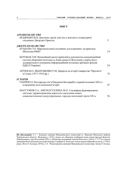## ЗМІСТ

| <i>APXIBO3HABCTBO</i>                                                                                                                        |     |
|----------------------------------------------------------------------------------------------------------------------------------------------|-----|
| БЕЗДРАБКО В.В. Документ, архів, пам'ять у контексті літературної<br>спадщини Джорджа Орвелла                                                 | 5   |
| ДЖЕРЕЛОЗНАВСТВО                                                                                                                              |     |
| КУЦАЄВА Т.О. Маргіналістика в музейних дослідженнях: на прикладі<br>бібліотеки НМГУ                                                          | 14  |
| БІЛУЩАК Т.М. Функційний аналіз привілеїв в документно-комунікаційній<br>системі оборонної політики м. Львів династії Ягеллонів у період його |     |
| доджерельного існування (інформаційний потенціал архівних фондів<br>ЦДІАЛ України)                                                           | 24  |
| АРТЮХ В.О., ІВАНУЩЕНКО Г.М. Джерела до історії товариства "Просвіта"<br>в Сумах (1917-1918 рр.)                                              | 33  |
| ІСТОРІЯ                                                                                                                                      |     |
| ГАНЧЕВ О.I. Болгарська сім'я Південної Бессарабії у першій половині XIX ст.<br>в науковому полі соціальної історії                           | 47  |
| МАГСУМОВ Т.А., НИГМАТУЛЛИНА М.О. Специфика формирования<br>системы здравоохранения взрослого населения новых                                 |     |
| социалистических индустриальных городов последней трети XX в.                                                                                | 56. |

На обкладинці: С.1 – Залишки дзвіниці Максаківського монастиря (с. Максаки Менського району Чернігівської області). Збудована у 1670-х роках, як оборонна надбрамна вежа монастирської фортеці. Перебудована у другій половині ХІХ ст. Монастир заснований Адамом Киселем у 1642 р. У 1775 р. в ньому проживав Константинопольський патріарх Серафим ІІ. Комплекс монастиря розібраний на цеглу у 1950-х роках. Фото О. Бондаря, 2019 р.; С.4 – Реконструкція дзвінниці Максаківського монастиря. Автор О. Бондар.

 $\_$  . The contribution of the contribution of the contribution of the contribution of the contribution of the contribution of  $\mathcal{L}_\text{max}$ 

.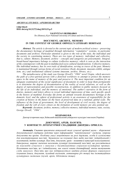### ARCHIVAL STUDIES / АРХІВОЗНАВСТВО

UDK 930.25 DOI: doi.org/10.21272/shaj.2019.i33.p.5

#### VALENTYNA V. BEZDRABKO

Dr. (History), Kyiv National University of Culture and Arts (Ukraine)

### DOCUMENT, ARCHIVE, MEMORY IN THE CONTEXT OF GEORGE ORWELL'S LITERARY HERITAGE

Abstract. The article is devoted to the current topic of modern archival science – preserving the documentary heritage of mankind through information "cumulative" systems, in particular documents and archives. Particular attention is given to the role of the state, the individual and the society in constituting memory. There are two types of memory: individual and collective, that is, culture. Memory, document, archive – concepts and categories are polysemantic. Integral, broad-based importance belongs to culture (collective memory), which is seen as the interaction of the contemporary with the past in multifaceted socio-cultural manifestations. Collective memory, like individual memory, has its own traits of identification, serving as traces of the past. Memory is maintained through various forms of social existence (book, document, museum exhibit, antique item, etc.) and institutional cultural systems (museum, archive, library, etc.).

The metadiscourse of the study was George Orwell's "1984" novel Utopia, which uncovers the path of a free-spirited person with a distorted worldview to attempt to protect the memory space in the name of memory of the past and preserve it. The most important condition for an adequate examination of the social significance of documents in order to keep them permanently is to determine the degree of documentation of the reality of social relations, as well as the degree of representation and possible reconstruction, in addition to public memory focused on the life of an individual, and the memory of emotional. The author's narrative in the form of diaries, memoirs and letters allows to reveal individual impressions of time, each specific epoch in the history of mankind. Everyday life forms an attitude towards documentary heritage at the domestic level, and the sphere of professional activity is an awareness of responsibility for the creation of history in the future on the basis of preserved data on a national, global scale. The influence of the form of government, the level of development of civil society, the degree of freedom and the will of every citizen on the formation of world memory are also pointed out.

Keywords: document, archive, memory, collective memory, individual memory, state, society, George Orwell, "1984".

#### БЕЗДРАБКО В.В.

Доктор історичних наук, Київський національний університет культури і мистецтв (Україна)

## ДОКУМЕНТ, АРХІВ, ПАМ'ЯТЬ У КОНТЕКСТІ ЛІТЕРАТУРНОЇ СПАДЩИНИ ДЖОРДЖА ОРВЕЛЛА

Анотація. Стаття присвячена актуальній темі сучасної архівної науки – збереженні документальної спадщини людства через інформаційні "накопичувальні" системи, зокрема документи та архіви. Особливу увагу акцентовано на ролі держави, особи й суспільства для конституювання пам'яті. Зауважено на існуванні двох видів пам'яті: індивідуальній і колективній, тобто культурі. Пам'ять, документ, архів – поняття й категорії полісемантичні. Інтегральне, широке значення належить культурі (колективній пам'яті), що розглядається як взаємодія сучасного з минулим у багатоманітних соціально-культурних проявах. Колективна пам'ять, як і індивідуальна, має власні ознаки ідентифікації, якими виступають сліди минулого. Пам'ять про них підтримується завдяки різним формам соціального існування (книга, документ, музейний експонат, антикварна річ тощо) та інституційним культурним системам (музей, архів, бібліотека тощо).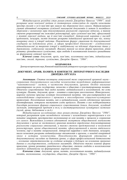Метадискурсом розвідки став роман-утопія Джорджа Орвелла "1984", який розкриває шлях невільної людини зі спотвореним світоглядом до спроби захистити простір спогаду в ім'я пам'яті про минуле та збереженні його самого. Найважливішою умовою адекватної експертизи суспільної значущості документів із метою їх постійного зберігання є визначення міри документування реальності соціальних відносин, а також ступеню репрезентації та можливої реконструкції, крім суспільної пам'яті, сфокусованій у житті окремої людини, ще й пам'яті емоційної. Авторський наратив у вигляді щоденників, мемуарів, листів дозволяє розкрити індивідуальні враження про час, кожну конкретну епоху в історії людства. Повсякдення формує ставлення до документальної спадщини на побутовому рівні, а сфера професійної діяльності – усвідомлення відповідальності за творення історії в майбутньому на підставі збережених даних у державному, глобальному масштабі. Вказано також на вплив форми правління, рівня розвитку громадянського суспільства, міри свободи й волевиявлення кожного громадянина на формування світової пам'яті.

Ключові слова: документ, архів, пам'ять, колективна пам'ять, індивідуальна пам'ять, спогад, держава, суспільство, Джордж Орвелл, "1984".

### БЕЗДРАБКО В.В.

Доктор исторических наук, Киевский национальный университет культуры и искусств (Украина)

## ДОКУМЕНТ, АРХИВ, ПАМЯТЬ В КОНТЕКСТЕ ЛИТЕРАТУРНОГО НАСЛЕДИЯ ДЖОРДЖА ОРУЭЛЛА

Аннотация. Статья посвящена актуальной теме современной архивной науки – сохранению документального наследия человечества посредством информационных "накопительных" систем, в частности документов, архивов. Особое внимание акцентировано на роли государства, личности и общества в конституировании памяти. Отмечено существование двух видов памяти: индивидуальной и коллективной, то есть культуры. Память, документ, архив – понятия и категории многозначные. Интегральное, широкое значение присуще культуре (коллективной памяти), что рассматривается как взаимодействие современного с прошлым в многообразных социально-культурных проявлениях. Коллективная память, как и индивидуальная, имеет собственные признаки идентификации, которыми выступают следы прошлого. Память о них поддерживается благодаря различным формам социального существования (книга, документ, музейный экспонат, антикварный предмет и т.п.) и институциональным культурным системам (музей, архив, библиотека и т.д.).

Метадискурсом исследования стал роман-утопия Джорджа Оруэлла "1984", который раскрывает путь несвободного человека с искажённым мировоззрением в его попытке защитить пространство воспоминания во имя памяти о прошлом и сохранения его самого. Важнейшим условием адекватной экспертизы общественной значимости документов с целью их постоянного хранения является определение документирования реальности социальных отношений, а также степени представления и возможной реконструкции, кроме общественной памяти, сфокусированной в жизни отдельного человека, ещё и памяти эмоциональной. Авторский нарратив в виде дневников, мемуаров, писем позволяет раскрыть индивидуальные впечатления о времени, о каждой конкретной эпохе в истории человечества. Повседневность формирует отношение к документальному наследию на бытовом уровне, а сфера профессиональной деятельности – осознание ответственности за создание истории в будущем на основании хранимых данных в государственном, глобальном масштабе. Отмечено также влияние формы правления, уровня развития гражданского общества, степени свободы и волеизъявления каждого индивидуума на формирование мировой памяти.

Ключевые слова: документ, архив, память, коллективная память, индивидуальная память, воспоминание, государство, общество, Джордж Оруэлл, "1984".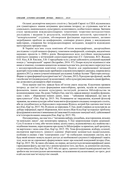Останні десятиріччя минулого століття у Західній Європі та США відзначились для гуманітарного знання нечуваним зростанням інтересу до студіювань пам'яті як соціального, національного, культурного, колективного, особистісного явища. Звичним стало проведення міждисциплінарних тематичних теоретико-методологічних досліджень і видання їх результатів, опублікування антологій, хрестоматій із "меморіальними" студіями, обговорення фахівцями перспективних, активно затребуваних проблем на конференціях, семінарах різного рівня, у викладацьких майстернях, створення баз інтердисциплінарних метаданих, відкриття відповідних магістерських програм тощо.

В Україні пам'ять стала помітним об'єктом монографічних, дисертаційних досліджень і студій меншого формату, тематикою конференцій, семінарів, академічних наукових проектів із 2000-х років. Виокремилося коло постійних шанувальників новітнього напряму у вітчизняній соціогуманітаристиці (Г.Г. Грінченко, В.О. Жадько, О.П. Кісь, К.В. Кислюк, Л.В. Стародубцева та ін.), котрі здійснюють успішний науковий пошук у "меморіальній" царині (Бездрабко, 2016: 97). Попри відчутні відмінності між ними в тематиці, головним концептом залишається пам'ять, розгляд якого перегукується з західноєвропейськими новітніми студіями. Подією для україномовної читацької аудиторії стала поява перекладів зарубіжних класиків популярного дискурсу, зокрема вихід друком в 2012 р. книги сучасної німецької дослідниці Аляйди Ассман "Простори спогаду: Форми та трансформації культурної пам'яті" (Ассман, 2012). Її роздуми про функції, засоби і носіїв пам'яті (індивідуальної чи колективної, тобто культури) викликають цікаві фрейми, що дозволяють розширити обрії пізнання.

Поза наукою пам'ять завжди була об'єктом уваги людства. Класичним проявом інтересу до пам'яті стало формування книгозбірень, архівів, музеїв як соціальних феноменів, інших великих культурних інституцій, розвиток бібліофільства чи колекціонування тощо. На думку Умберто Еко, пам'ять завжди виконує подвійну функцію, одна з яких – збереження певних даних, інша – "забування інформації, що нам не прислужиться" (Еко, Кар'єр, 2015: 56). Розвиваючи це твердження, відомий філософ зауважив, що кожна культура зобов'язана вміти фільтрувати спадщину попередніх століть, аби не уподібнитися до борхесового персонажа Фунеса, котрий був здатним пам'ятати все (Еко, Кар'єр, 2015: 56). В унісон до міркувань У. Еко, який ставився до культури як до добору інформації, вартої збереження, його колега Жан-Клод Кар'єр порушує проблему фільтрування в контексті виконання цієї важливої й соціально значущої місії, здійснюваної в ім'я інтересів наших нащадків (Еко, Кар'єр, 2015: 59).

Погоджуючись, що пам'ять є "питанням вибору, уподобань, відсторонення, вільних чи невільних лакун", має неповторну природу, У. Еко запропонував теорію децимації. Суть її полягає в тому, аби читати кожну десяту книгу, відмовляючись від знайомства з подібними іншими, переглядаючи при цьому їх бібліографію та примітки, щоб зрозуміти, чи вартісною є вона сама (Еко, Кар'єр, 2015: 59). Тема фільтрування, відбору, селекції, експертизи вартісності, цінності одиниці зберігання залишається надактуальною, особливо в умовах з'яви "електронних слуг" чи глобальних пошукових систем, які в будь-який момент можуть надати доступ до необмеженої сукупності інформації і навіть тоді, коли ми не спроможні сформулювати запит про власний пошуковий інтерес (Еко, Кар'єр, 2015: 58). За таких обставин, по-перше, актуалізується питання верифікації даних і врахування факту, що пам'ять є реконструкцією того, що було, за допомогою свідчень, слідів минулого (Еко, Кар'єр, 2015: 60); по-друге, здатності нашої індивідуальної пам'яті зробити нас інтелектуально автономними, незалежними від колективної; по-третє, ролі в цій системі пам'яті відчуттів і емоцій.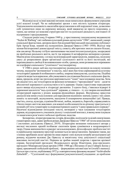Відповіді на ці та інші важливі питання люди намагалися сформулювати упродовж усієї власної історії. Чи не найцікавіші зразки з них містить художня література. Усвідомлюючи неосяжність масштабів представлення в ній порушеної теми, дозволимо собі зупинитися лише на окремому випадку, який вважаємо не просто показовим, а таким, що зачіпає усі можливі структури пам'яті та суспільної діяльності, пов'язаної з її підтримкою і продукуванням.

Сімдесят років тому, 8 червня 1949 р., у престижному лондонському видавництві "Secker & Warburg" світ побачив культовий роман-антиутопія "1984", написаний у жанрі соціальної фантастики, автором якого був відомий британський письменник-публіцист Ерік Артур Блер, знаний під псевдонімом Джордж Орвелл (1903–1950). Відтоді твір зазнав багаторазової деконструкції змісту, сюжету, аби критики змогли сказати більше, ніж сам автор. На цьому тлі було започатковано численні інтелектуальні рухи, зосереджені на проблемах реального життя, що їх так вправно й метафорично витворено в романі. Маючи різне походження, з огляду на візіонерський характер рухів, наприклад, посилену увагу до репресивних форм організації суспільного життя та його інституцій, які перешкоджають свободі й волевиявленню особи, громади, вони розвивалися переважно на платформі соціального "утопічного" постмодернізму.

У 1980-х роках цей вид постмодернізму радикально вплинув на власну позицію читача, змушуючи "розчинятися" в текстах, зміст яких був чітко спрямований на естетику тоталітарної держави й позбавленого свобод, зокрема інакодумства, суспільства. Подібна стратегія видається корисною, аби уможливити дослідження багатьох соціальних фактів, явищ, процесів, котрі так гротескно вирізняються в "темні" часи існування людства. Хоча ми свідомі того, що тоталітаризм як феномен починався з "прогресивної" мети – досягти абсолютної керованості суспільством в ім'я держави. Однак страхітливе породження цього явища відгукнулося в літературі двозначно. З одного боку, з'явилися відверті й переконані апологети "над-суспільної" держави, а з іншого – ті, хто творив опозиційний літературний наратив у різних жанрово-функційних формах. Внутрішньо присутня дискусія між ними стала основою для народження відмінних значень одних і тих самих понять та категорій, акумулюючи, маскуючи й поширюючи концепційні ідеї. Правда, пам'ять, спогад, культура, служіння Вітчизні, любов, людяність, боротьба, справедливість і багато інших життєво важливих для кожної особи концептів по-різному трактуються із позицій суб'єкта-гуманітарія та охоронця й ревного адепта "єдино правильного порядку". Насичені відповідними епізодами тексти, витворені у часи існування тоталітарних держав, віддзеркалюють учасників діалогу і соціальний контекст, в якому вони існували та намагалися розв'язати глобальні проблеми людства.

Безперечно, літературознавство, історія, філософія, політологія та цілий спектр інших гуманітарних наук, давно зробили роман Джорджа Орвелла "1984" об'єктом комплексних і системних досліджень (Орвелл, 2019). Літературне визнання геніальності автора у вигляді численних премій позбавляє скептиків права сумніватися в неординарності твору. Однак вивчення його в ракурсі загальнонаукових, філософських проблем пам'яті в українському науковому просторі залишається не представленим. Зауважмо також, що з-поміж зарубіжних колег-архівістів лише окремі з них відчули потребу актуалізувати ідеї роману, віддаючи належне Дж. Орвеллу за висвітлену тему доцільності соціалізації важливих інституцій пам'яті. Першим це зробив знаний теоретик і практик архівної справи, багаторічний президент Федерального архіву Німеччини, віце-президент, президент Міжнародної ради архівів (1980–1988 рр.) Йоганнес (Ганс) Гайнріх Боомс у праці, присвяченій глобальній проблемі, – формуванню світової пам'яті (world's memory). Ідеться про статтю, опубліковану 1972 р. в авторитетному фаховому виданні "Archivalische Zeitschrift", – "Суспільний лад і формування [документальної] спадщини: до проблеми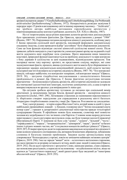архівної експертизи джерел" ("Gesellschaftsordnung und Ueberlieferungsbildung: Zur Problematik archivarischer Quellenbewertung") (Booms, 1972). Непересічність розвідки засвідчив її передрук через 15 років в англомовному світі в іншому науковому часопису – "Archivaria", що зробило автора найбільш цитованим європейським архівістом у північноамериканському контексті рубіжних десятиліть ХХ–ХХІ ст. (Booms, 1987).

На тлі теоретизувань щодо різних важливих аспектів архівістики декілька рядків було присвячено утопічним фантазіям Дж. Орвелла, представленим у романі "1984" (Booms, 1987: 78). Порушивши питання експертизи цінності документів, особливу увагу Г. Боомс приділив суспільній місії архівістів, покликаній формувати документальну спадщину людства, а саме проводити відбір "достойних" бути збереженими документів. Саме ця їхня функція відповідає системі цінностей суспільства кожної епохи. Після тривалих дебатів значущість участі архівістів у комплектуванні архіву ще на ранній стадії життя документа нині перебуває поза сумнівом. Проте виконання ними іманентно властивої, природної функції наштовхується на проблему доцільності та міри контролю з боку держави й суспільства за цим надважливим, відповідальним процесом. Тож насправді маємо таку картину: архівіст, як представник соціуму, вирішує, які саме задокументовані факти, процеси, явища суспільного життя мають бути збереженими та переданими завдяки документально-комунікаційній діяльності, щоб скласти частину культурної пам'яті й впливати на історичну свідомість (Booms, 1987: 78). "Хто контролює минуле, той керує майбутнім; хто контролює теперішнє, той контролює минуле" (Орвелл, 2019: 38), – цитуючи гіперболічне висловлювання з апокаліптичного бачення прийдешнього в романі Дж. Орвелла, Г. Боомс фактично актуалізував питання прагматичне – безпомилковості рішень архівістів, аби історичні свідчення не залежали від тимчасової ідеологічної кон'юнктури, політично домінуючих еліт, а сама історія не використовувалася як арсенал для виправдання їх status quo.

Ця ситуація зробила архівістику чутливою до питання про соціальний вимір архетипної, за визначенням Артура Зехеля, функції архівістів – експертизи цінності документів (Zechel, 1965: 298). Легковажне ставлення до оцінювання перспективності їх зберігання створює передумови для справдження в реальному житті багатьох літературно гіперболізованих сюжетів у творі Дж. Орвелла. Розглянемо це докладніше.

Тож у центрі роману – історія клерка Вінстона Сміта, котрий живе в одній із трьох найбільших провінційних локацій – у Лондоні, головному місті "Злітно-посадкової смуги номер один", і працює в департаменті документації міністерства правди тоталітарної супердержави Океанія. Її офіційною мовою була новомова, словотвір якої повністю залежав від затребуваності тих чи інших слів Партією. Словник мови щороку ретельно переглядався і з нього регулярно вилучалися слова, що були чужими ідеології правлячої (Внутрішньої) Партії. У новомові не було слів "думка", "думати", "вільний", "честь", "справедливість", "мораль", "інтернаціоналізм", "демократія", "наука", "релігія" та багато інших із різних мовних частин, які "стосувалися концептів свободи і рівності" (Орвелл, 2019: 287). Її творці прагнули досягти породження максимально незалежної від свідомості мови шляхом зумисного спотворення слів, витвором безкінечних абревіатур, зубожінням словника й багатьма іншими прийомами. Завдяки цьому артикульована мова утворювалася "безпосередньо у гортані, зовсім не зачіпаючи найвищих мозкових центрів" (Орвелл, 2019: 290). І все це заради "вищої" мети – остаточного витіснення старомови, що мало призвести до розриву останнього зв'язку, який єднає людей із минулим (Орвелл, 2019: 292). Після цього прочитати і зрозуміти Слово, написане раніше, стане справою, що неможливо реалізувати, а перекласти на новомову – нездійсненною місією, якщо не вдатися до "ідеологічного перекладу", який урешті-решт буде зведений до "панегірика абсолютній владі" (Орвелл, 2019: 293).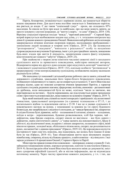Партія, безперечно, позиціонується з керівною силою, що намагається зберегти власне панування вічно. Для цього вона постійно змагається із Зовнішньою партією, яка рветься до влади. Є ще також "соціальний гумус" – проли, що складають 85% населення. Їм ніколи не бути при владі та найбільше, про що вони можуть мріяти, це просто існувати у системі координат, де "життя і смерть – те саме" (Орвелл, 2019: 130). Верхівку соціальної піраміди посідає "вождь", "вартовий революції" – Старший Брат, котрий користується необмеженою владою над усіма, у т. ч. тотальним контролем над діями й думками кожного громадянина Океанії. Виявлення найдрібніших актів непокори завершувалося нічними візитами охоронців порядку, несподіваним пробудженням і зникненням людей назавжди в темряві ночі (Орвелл, 2019: 23). Це називалося "розпорошити", "скасувати", "виполоти з реальності" особу та неодмінно супроводжувалося вилученням її прізвища, імені з усіх реєстраційних записів, знищенням будь-яких згадок про життя й діяльність, запереченням самого факту існування, конституюючи акт повного "забуття" (Орвелл, 2019: 23).

При знайомстві з твором легко помітити численні сюжетні лінії із загального суспільного життя та приватного повсякдення, майстерно виписані автором. Відокремити перше від другого дуже складно через відсутність категорії "самотність" і можливості усамітнитися (Орвелл, 2019: 132), оскільки особисте "розчинилося" в прорахованому і чітко контрольованому суспільному, позбавляючи людину маленьких радощів бути собою.

Ми знаходимо тут показовий і детальний розпис робочого дня та занять у вільний час державного службовця, замальовки його чорно-білого безрадісного повсякдення, позбавленого ініціативності та такого, що не опирається усталеності. У житті Вінстона все наперед відомо, адже всі можливі алгоритми вчинків прораховані Партією, а характер суспільних стосунків, родинних взаємин, сфера розваг, політика, економіка – регламентовані до дрібниць, коли випадковостей бути не може, оскільки "жили за звичкою, яка перетворилася на інстинкт, – будучи переконаним, що підслуховується кожне промовлене слово і простежується кожен ваш рух, якщо навколо не цілковита темрява" (Орвелл, 2019: 7).

Будь-який нинішній день схожий на тисячі попередніх і прийдешніх: від колективної гімнастики, трансльованої центральним (та єдиним) телеканалом о 07.15, і до всезагального відбою та відключення світла о 23.30. І все це в умовах суцільного й повсякчасного нагляду на вулиці, у помешканні за кожним на тлі сірого буденного безвихіддя, яке закарбувалася у свідомості спогадами, де "завжди бракувало їжі, шкарпетки й спідня білизна були дірявими, меблі – поламаними й хиткими, кімнати – холодними, поїзди в метро – переповненими, будинки розвалювалися, хліб був чорним, чай – дефіцитом, кава бридко смерділа, сигарет ніколи не вистачало – все було дороге і дефіцитне, окрім синтетичного джину", а "серце щемить від невлаштованості, бруду й убогості, від нескінченної зими, подертих і липких шкарпеток, поламаного ліфта, який ніколи не працює, холодної води, обліпленого піском мила, сигарет, що розсипаються в руках, несмачної їжі з дивним присмаком" (Орвелл, 2019: 61). Це породжувало відчуття нестерпності через пам'ять поколінь, яка підказувала, що колись було інакше й може бути не так (Орвелл, 2019: 61). Таке облаштування життя мало виховувати людину невибагливу, смиренну, вільну від бажань кращого, а найголовніше – від минулого. І все заради успішності й процвітання Океанії, Старшого Брата та Партії.

Міністерство правди (символічно новомовою – мініправда), в якому служив В. Сміт, займалося генеруванням новин, керувало розвагами, освітою та мистецтвом (Орвелл, 2019: 9). Безпосереднім обов'язком Вінстона було вносити зміни до документів, зміст яких суперечив офіційній ідеології, або ж містив інформацію, що не відповідала поточному моменту. Через чистку практично кожного документа, у т.ч. і тих, що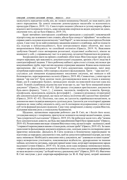засвідчують юридично особу, він, як і кожен мешканець Океанії, не знав навіть дати свого народження. Це доволі показово демонструвало масштаби та всеохопність процедури (Орвелл, 2019: 11). Сама історія людини губилася в густому мороку, обриси власного життя втрачали чіткість, адже неможливо опертися на жоден документ як доказ, свідчення того, що це було (Орвелл, 2019: 35).

Будні звичайних конторських службовців проходили у суцільній і повсякчасній підозрі в тому, що за кожним із них стежать, аби не було спокус в "офіційних" чи особистих справах навіть подумки відхилитися від "лінії Партії", за чим пильно спостерігала Поліція думок. Саме тому чи не найголовнішим завданням кожного службовця, щоб не підпасти під підозру в неблагонадійності, було контролювати вираз обличчя, яке мало випромінювати байдужість чи спокійний оптимізм (Орвелл, 2019: 9). Важливим здобутком Океанії стало витворення розхитаної, піддатливої особистості, ніколи не впевненої у собі, у справжньому часі та в минулому, нездатної боронитися від режиму.

Зосередження уваги на прямих службових обов'язках Вінстона надає простір для опертя міркувань про важливість документальної спадщини, архівів у бутті людства й самоідентифікації людини. У його робочому кабінеті, крім стола і стільця, містилися три комунікаційних труби, через які він щоденно отримував завдання. Кожна мала спеціальне призначення. Дві з них "постачали" В. Сміта документами, періодикою, зміст яких потребував коригування, тобто наперед свідомого фальшування. Третя – "діра пам'яті", слугувала для знищення відпрацьованих письмових свідчень, які зникали в ній безповоротно, перетворюючись на попіл (Орвелл, 2019: 40). Символічно, у міністерстві правди "дір пам'яті" були десятки тисяч, розташовувалися вони не тільки в кожному бюро, але й у коридорах будівлі, громадських місцях на невеликій відстані одна від одної. Усякий службовець відомства пам'ятав про те, що "має бути знищений кожен документ" (Орвелл, 2019: 40–41). Цей процес стосувався оригінальних документів будь-якого формату: "газет, […] книжок, часописів, памфлетів, плакатів, брошур, кінофільмів, звукозаписів, коміксів, фотографій […] кожного різновиду літературної або документальної продукції, що мала хоч якесь політичне або ідеологічне значення" (Орвелл, 2019: 42–43). Політика, так само, як ідеологія, сприймалася механізмом, за допомогою якого індивіди виконують суспільну роль. Ідеологія для тоталітарної держави означала не лише хибну свідомість світу, але й спотворене віддзеркалення у світогляді суб'єктів формації реальних відносин. Саме тому департамент, в якому служив Вінстон, відігравав важливу роль у соціальному будівництві.

Щоденно, щохвилинно впродовж робочого дня В. Сміт, як і безліч його колег, узгоджував минуле з теперішнім, прагнучи не залишити на папері жодної новини, думки, "яка суперечила б сьогоденню" (Орвелл, 2019: 43). Це робилося задля того, аби "можна було документально довести, що будь-яке передбачення Партії було правильним" (Орвелл, 2019: 43). Розпачливим виглядає зізнання Вінстона в тому, що вся історія – палімпсест, який "стирався й переписувався наново стільки разів, скільки треба" (Орвелл, 2019: 43). За таких умов поняття фальшування документа втрачало сенс, оскільки довести спотворення даних практично неможливо. Діяльність В. Сміта полягала в безкінечному переписуванні чи підготовці до передруку документів із тим, щоб не допустити найменшої підозри, що в них щось змінювали. Необхідність внесення змін у документи, які "доживали останні години" перед незворотною утилізацією, пояснювалася недбалістю, друкарськими чи іншими хибами, неточністю цитувань, передачі прямої мови тощо, котрі варті виправлення заради надуманої істини (Орвелл, 2019: 43). За умов, коли одна неправда змінювалася іншою, говорити про фальшування документів позбавлено сенсу, оскільки продукована інформація не мала жодного стосунку "до бодай чогось у реальному світі" (Орвелл, 2019: 43). Фактично В. Сміт виступав у ролі секретаря-верифікатора (за Ж.-К. Кар'єром), котрий наповнені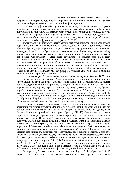неправдивою інформацією документи виправляв на інші подібні. Виконану ним роботу також верифікували з метою з'ясувати точність фальшування.

Важливу роль у фанатичній справі узгодження минулого з сьогоденням відігравав ще один відділ міністерства, головним призначенням якого було знаходити і збирати всі документальні свідчення, інформація яких суперечила узгодженим раніше, чи були "скасовані й приречені на знищення" (Орвелл, 2019: 43). Виправлені документи надходили для зберігання в архів, який спрощено трактувався "складом", позбавленим будь-яких самостійних функцій і прав (Орвелл, 2019: 45).

Фальшування, як ключовий інструмент документування інформації, породжувало перекинуту з ніг на голову версію реальності, подібну до тієї, яку демонструє камера обскура. Архіви, перетворені на склади, втратили власну привабливість як незалежні від часу, політики й ідеології установи, перетворившись на коліщатко могутнього механізму продукування минулого із втратою розуміння і знань про те, "скільки брехні містить ця інформація" (Орвелл, 2019: 74). Породжене тоталітарною державою ставлення до світу й учасників історії в ньому призводило до того, що минуле було скасовано. Діяльність поза знаннями, або всупереч ним в ім'я псевдозахисту людини від травматичної сутички з реальністю спричинила постання примарної дійсності, добре описаної набагато раніше, приміром Гансом Християном Андерсоном у фінальній сцені "Снігової королеви" – зустрічі Кая і Ґерди у замку, де було "порожньо й мертвотно", відсутні емоції й бажання, а серце людини – крижане (Андерсен, 2017: 27).

Символічним уособленням порядку речей в Океанії звучить зізнання В. Сміта в тому, що минуле відсутнє і, якщо ж "воно десь виживає, то лише у вигляді небагатьох матеріальних об'єктів без жодної словесної прив'язки до них", а люди нічого не знають про нього, адже "кожен запис про ті часи знищено або сфальсифіковано, кожну книжку переписано, кожну картину перемальовано, кожну статую, кожну вулицю і кожну будівлю перейменовано, кожну дату змінено"; "історія зупинилася"; "не існує нічого, крім нескінченного теперішнього, в якому Партія завжди права" (Орвелл, 2019: 148). Нереальність сюжету очевидна. Однак за допомогою обраних літературних прийомів Дж. Орвелл у гіперболізованій формі порушив дуже важливу проблему – творення та збереження пам'яті, роль суспільства й кожного з нас у цьому.

Справжнім "віровідступництвом" Вінстона стали відвідини ним антикварної крамнички у віддаленій частині Лондона, де з-поміж безлічі маловартісних речей він придбав записник із гладеньким кремовим папером, злегка пожовклим від часу, яких "не виробляли вже принаймні років сорок" (Орвелл, 2019: 10). Сам цей акт розглядався Партією як непокора, а принести його додому і тримати у себе – злочином, незважаючи на відсутність записів. "Недостойна" думка проголошувалася гріхом, бо ж не варто жадати переступу. Ведення особистого щоденника офіційно законом Океанії не заборонялося, проте спійманому на цьому громадянинові загрожувало ув'язнення на чверть століття. Перо і чорнила в тій фантасмагоричній реальності сприймалися архаїзмом. Забруднені чорнилом руки під час вправляння в письмі могли так само викрити "злочин" В. Сміта. Безглуздість ведення щоденника для минулого чи майбутнього, які неможливо уявити, а тим паче "вловити" й обернути у збережену документальну форму фіксованої інформації, для Вінстона була очевидною, оскільки після тебе не залишиться нічого, що культивуватиме пам'ять чи підтримуватиме спогад (Орвелл, 2019: 30). Але можливість вільно написати у щоденнику, що 2 х 2 = 4, а не 5, як потрібно Партії, для Сміта – найвищий вияв свободи (Орвелл, 2019: 236). Саме особистий щоденник Вінстона і став підставою для його арешту, ув'язнення й подальших поневірянь, фінал яких у романі не простежується.

Безперечно, багатогранність сюжетних ліній утопії Дж. Орвелла "1984" уможливлює тяглість діалогу між читачем і головним героєм твору до безкінечності.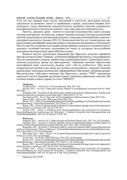Утім для нас цікавий лише епізод, пов'язаний із пам'яттю, простором спогаду, документом за активного життя та перебування в архіві, соціальним виміром його значущості задля збереження документального надбання людства, адекватного віддзеркалення буття суспільства, кожного з нас, адже саме це й документується.

Пам'ять, документ, архів – поняття та категорії полісемантичні, мають складну змістову конструкцію. Інтегральне, широке значення належить культурі (колективній пам'яті), що розглядається як взаємодія сучасного з минулим у багатоманітних соціальнокультурних контекстах (Ассман, 2012: 9). Колективна пам'ять, як і індивідуальна, має власні ознаки ідентифікації, якими виступають сліди минулого (віддаленого та близького). Пам'ять про них підтримується завдяки різним формам соціального існування (книга, документ, музейний експонат, антикварна річ тощо) та потужним інституційним культурним системам (музей, архів, бібліотека тощо).

Концепт пам'яті, оригінально виписаний Дж. Орвеллом, дозволяє сприймати простір спогаду як певне "сховище", уособлення інформації про минуле, із недоторканним текстом і автономним статусом, завдяки чому людина реконструює / деконструює смисл, значення документа, архіву для пригадування / забування, визначає перспективи ідентифікації нації, суспільства, родини, сім'ї, себе як особистості. При цьому підкреслюється змінність цих явищ, що залежить від внутрішніх, зовнішніх чинників накопичення / вилучення документації, інформаційного збагачення / зубожіння архівів. Високохудожнє, майстерно виконане Дж. Орвеллом у романі "1984" маркування горизонтів пам'яті відкриває розуміння шляхів уникнення руйнування людства, аби останнім нашим словом, справді, не стало "НІЧОГО".

#### Література:

Андерсен, 2017 – Андерсен Г. Х. Снігова королева. Київ, 2017. 30 с.

Ассман, 2012 – Ассман А. Простори спогаду. Форми та трансформації культурної пам'яті. Київ, 2012. 440 c.

Бездрабко, 2016 – Бездрабко В. Документ і архів у вимірі теорії пам'яті Аляйди Ассман // Термінологія документознавства та суміжних галузей знань. Вип. 9. Київ, 2016. С. 97–99.

Еко, Кар'єр, 2015 – Еко У., Кар'єр Ж.-К. Не сподівайтеся позбутися книжок. Львів, 2015. 256 с.

Орвелл, 2019 – Орвелл Дж. 1984: роман. Київ, 2019. 320 c.

Booms, 1972 – Booms H. Gesellschaftsordnung und Überlieferungsbildung: Zur Problematik archivarischer Qvellenbewertung // Archivalische Zeitschrift. 1972. № 68. S. 3–40.

Booms, 1987 – Booms H. Society and the Formation of a Documentary Heritage: Issues in the Appraisal of Archival Sources // Archivaria. 1987. Vol. 24. Р. 69–107.

Zechel, 1965 – Zechel A. Probleme einer Wissenschaftstheorie der Archivistik mit besonderer Beruecksichtigung des Archivwesens der Wirtschaft // Tradition: Zeitschrift fuer Firmengeschichte und Unternehmerbiographie. 1965. Vol. 10, Issue 5/6. S. 298–320.

#### References:

Andersen, 2017 – Andersen H. C. Snihova koroleva [The Snow Queen]. Kyiv, 2017. 30 s. [in Ukrainian]. Assmann, 2012 – Assmann А. Prostory spohadu. Formy ta transformatsii kulturnoi pamiati [Spaces of

memory. Forms and transformations of cultural memory]. Kyiv, 2012. 440 s. [in Ukrainian]. Bezdrabko, 2016 – Bezdrabko V. Dokument i arkhiv u vymiri teorii pamiati Aliaidy Assman [Document and

archive in Alyda Assman's Theory of Memory] // Terminolohiia dokumentoznavstva ta sumizhnykh haluzei znan. Vyp. 9. Kyiv, 2016. S. 97–99. [in Ukrainian].

Eko, Karier, 2015 – Eko U., Karier J.-К. Ne spodivaitesia pozbutysia knyzhok [Don't expect to get rid of books]. Lviv, 2015. 256 s. [in Ukrainian].

Orvell, 2019 – Orvell Dzh. 1984 [1984]. Kyiv, 2019. 320 s. [in Ukrainian].

Booms, 1972 – Booms H. Gesellschaftsordnung und Ueberlieferungsbildung: Zur Problematik archivarischer Qvellenbewertung // Archivalische Zeitschrift. 1972. № 68. S. 3–40. [in German].

Booms, 1987 – Booms H. Society and the Formation of a Documentary Heritage: Issues in the Appraisal of Archival Sources // Archivaria. 1987. Vol. 24. Р. 69–107. [in English].

Zechel, 1965 – Zechel A. Probleme einer Wissenschaftstheorie der Archivistik mit besonderer Beruecksichtigung des Archivwesens der Wirtschaft // Tradition: Zeitschrift fuer Firmengeschichte und Unternehmerbiographie. 1965. Vol. 10, Issue 5/6. S. 298–320. [in German].

Отримано 05.12.2019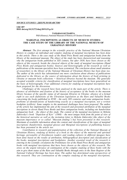#### SOURCE STUDIES / ДЖЕРЕЛОЗНАВСТВО

### UDC 097 DOI: doi.org/10.21272/shaj.2019.i33.p.14

#### TAMARA O. KUTSAIEVA PhD (History), National Museum of History of Ukraine (Ukraine)

### MARGINAL INSCRIPTIONS AS OBJECTS OF MUSEUM STUDIES: THE CASE STUDY OF THE LIBRARY OF THE NATIONAL MUSEUM OF UKRAINIAN HISTORY

Abstract: The first attempt in the scientific practice of the National Museum Ukrainian History to conduct an individual and complex studying of marginal inscriptions has been done in this article. There is the case study of the Hand Press Books and antiquarian books from the library of the mentioned museum. The object of the study has been characterized and reasoning why the antiquarian books published in XIX century, but after 1830, have been chosen as the objects of this research, beside the classical objects of the study of marginal inscriptions (Hand Press Books and antiquarian books). Sources and historiography of the research as well as publications of the museum specialists have been systemized. The conclusion about small attention of researchers to the library of the National Museum of Ukrainian History has been done too. The author of the article has substantiated one more conclusion about absence of publications dedicated to the library as the source of information about the history of book printing in Ukraine or museum book collections  $=$  historical libraries beyond the museum. The generally accepted scientific criteria for classification of marginal inscriptions have been generalized on the basis of historiography. Four additional criteria for studying of marginal inscriptions have been proposed for the discussion.

Challenges of the research have been analysed in the main part of the article. There is absence of attribution and fixation of the history of acceptance of the books in the museum library because of the specific status of all museum libraries in Ukraine; absence of a formal right to use such definitions of the Ukrainian legislation as the Rare and Valuable Books concerning the books published in  $XVIII$  – the early  $XIX$  centuries and some antiquarian books; problems of identifications of handwriting exactly as a marginal inscription, not a written bookplate (exlibris). Some samples to the mentioned challenges have been proposed. The author of the article has implemented the aim of the research and presented attribution of the marginal inscriptions in eleven Hand Press Books and three antiquarian books, including one handwritten antiquarian book – the object of this study. The content of the marginal inscriptions in Mykola Zakrevskyi's book "Depiction of Kyiv" (1868) – the most unique book from the point of view of the historical narrative as well as the invitation letter to Mykola Zakrevskyi (the object of the museum importance or so called "Museum finding") has been presented in this research. Maximum of available information about the content and classifications of the types of marginal inscriptions (handwritten, marginal glosses and Marginal inscriptions of publishing houses) has been presented in the article too.

Contribution in research and popularisation of the collection of the National Museum of Ukrainian History, studying of history of a book as the object of the material and spiritual heritage, personality of (less) known readers and reading cultures in different upoques have been done based on the results of attribution, bibliographical description and classification of the books, marginal inscriptions and bookplates. Another essential result of the research is entering in the scientific circulation the Preliminary list of the Hand Press Books and antiquarian books with marginal inscriptions that have been chosen as the objects of this research. The stress on the urgent relevance of continuation of the complex studying of these books with the aim to give them status of the Rare and Valuable Books through entry in the State Register of the National Cultural Heritage has been done. The author has determined some perspectives of this research. They are continuation of the complex studying of the marginal inscriptions,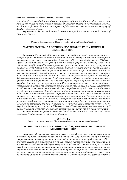searching of new marginal inscriptions and fragments of historical libraries that nowadays are parts of the collection of the National Museum of Ukrainian History in other museums, archives and libraries for contribution to development of the museum communication and studying of Auxiliary Sciences of History.

Key words: bookplate, book research, inscript, marginal inscription, National Museum of Ukrainian History.

### КУЦАЄВА Т.О.

Кандидат історичних наук, Національний музей історії України (Україна)

### МАРГІНАЛІСТИКА В МУЗЕЙНИХ ДОСЛІДЖЕННЯХ: НА ПРИКЛАДІ БІБЛІОТЕКИ НМІУ

Анотація: В статті здійснено першу в науковій практиці Національного музею історії України комплексну спробу дослідити маргіналістику на прикладі стародруків, антикварних книг і книг, виданих з другої половини XIX ст., що зберігаються в бібліотеці музею. Систематизовано джерельну базу та історіографію дослідження, узагальнено зміст публікацій співробітників музею та зроблено висновок про малу присутність інтересу до дослідженої бібліотеки в фаховій дискусії в Україні. В результатів, авторкою обґрунтовано висновок про відсутність фахових публікацій про бібліотеку як джерело наукової інформації з історії книгодрукування України або про музейні книжкові збірки поза Національним музеєм історії України. За результатами музейної атрибуції, бібліографічного опису та типологізації книжкових пам'яток за прийнятими критеріями, зроблено внесок в опрацювання та популяризацію колекцій Національного музею історії України, дослідження історії книги як об'єкту матеріальної та духовної спадщини, особистості її читача та читацьких культур різних епох. Іншим суттєвим результатом дослідження стало введення в науковий обіг попереднього переліку книг з маргіналіями, що обрані предметами дослідження. Зроблено акцент на крайню актуальність подальшого комплексного наукового опрацював книжкових пам'яток з метою надання їм статусу рідкісних та цінних видань через внесення до Державного реєстру національного культурного надбання. Авторкою визначено перспективи подальших розвідок: продовження комплексного опрацювання маргіналій і пошук фрагментів історичних бібліотек, які нині є частиною бібліотеки Національного музею історії України, в інших музеях, архівах і бібліотеках для збільшення внеску дослідження історії книгодрукування, розвиток спеціальних історичних дисциплін та музейної комунікації.

Ключові слова: інскрипт, книгознавчі дослідження, маргіналія, маргінальний напис, екслібрис, Національний музей історії України.

### КУЦАЕВА Т.А.

Кандидат исторических наук, Национальный музей истории Украины (Украина)

### МАРГИНАЛИСТИКА В МУЗЕЙНЫХ ИССЛЕДОВАНИЯХ: НА ПРИМЕРЕ БИБЛИОТЕКИ НМИУ

Анотация: В статье реализована первая в научной практике Национального музея истории Украины комплексная попытка исследовать маргинальную науку на примере старопечатных, антикварных книг и книг, изданных начиная с второй половины XIX в., которые хранятся в библиотеке музея. Проведена систематизация историографии и источников исследования, обобщено содержание публикаций сотрудников музея и сделан вывод про малое присутствие интереса к библиотеке Национального музея истории Украины в профессиональной дискуссии музейщиков. Автор также подготовила вывод про отсутствие профессиональных публикаций о названной библиотеке – источнике научной информации по истории книгопечатания в Украине или про её музейные книжные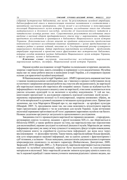собрания (исторические библиотеки), вне музея. За результатами музейной атрибуции, библиографической описи и типологизации книжных памятников в соответствии с принятыми научными критериями, сделан вклад в исследование и популяризацию коллекций Национального музея истории Украины, исследование книги как объекта материального и духовного наследия, личности её (мало)известного читателя и читательских культур разных эпох. Существенным результатом исследования стало введение в научный оборот предварительного списка книг с маргиналиями, выбранных предметом исследования и хранящихся в библиотеке Национального музея истории Украины. Дополнительно сделан акцент на крайнюю актуальность продолжения комплексного научного исследования книжных памятников с целью предоставления им статуса редких и ценных изданий, внесения их в Государственный реестр культурного национального достояния. Автор определила перспективы исследования – продолжить атрибуцию маргиналий и провести поиск фрагментов тех исторических библиотек, которые сегодня являются частью библиотеки Национального музея истории Украины, в других архивах, музеях и библиотеках.

Ключевые слова: инскрипт, книговедческие исследования, маргиналия, маргинальная надпись, экслибрис, Национальный музей истории Украины.

Наукові музейні дослідження з історії України та спеціальних історичних дисциплін, зокрема з маргіналістики, мають специфіку в порівнянні з суто академічними. Музейна наука має не лише робити внесок в написання історії України, а й створювати наукові основи для практичної музейної комунікації.

В Національному музеї історії України (далі – НМІУ) презентують книжкові пам'ятки з такими індивідуальними особливостями, що з'явилися в процесі побутування після остаточного завершення авторської роботи над текстом або видання книги, як маргіналії або маргінальні написи або маргінеси або покрайні записи. Однак це відбувається без інформаційного чи візуального акценту саме на маргіналії, отже вони залишаються поза увагою цільових аудиторій та не включені в музейну комунікацію. У той же час, книгознавчі презентації та дослідження сприяють взаємодії ключових місій музею – науковому опрацюванню колекції та її популяризації, зокрема книжкових зібрань, як об'єктів матеріальної та духовної спадщини та читацьких культур різних епох. Принагідно зазначимо, що теза Маргарити Шамрай про те, що маргіналія – це артефакт культури (Шамрай, 2005: 3), продовжена нами так, що сама можливість візуалізувати наратив через презентацію артефакту є чи не ключовою для музеїв України. Адже вітчизняні експозиції переважно орієнтовані на об'єкти і державних наративних музеїв не так багато. Назване додатково аргументує актуальність пропонованого дослідження.

Завданням статті є проаналізувати маргіналії на тиражних виданнях – стародруках, антикварних книгах та книгах, виданих з другої половини XIX ст., що зберігаються в бібліотеці НМІУ, а також зробити акцент на тому, що маргіналістика має перспективи для експозиційної, науково-дослідної та освітньої діяльності музеїв. Маргіналія дає значну інформацію про книгу як ланку зв'язку сучасності та минулого, фіксує історію повсякдення, побутування книги та сприйняття суспільством інформації, що вона несе через висловлювання – тт. філософію читачів. Таким чином, маргіналія набуває більше функцій, ніж суто мікроджерело наукової інформації, яке за однією думкою є фрагментарним і суб'єктивним, а за іншою – більш значущим, самодостатнім документальним історичним мікроджерелом оповідного та актового характеру (Войцехівська, Дмитрієнко, 2009; Зворський, 2019; Шамрай, 2005, с. 3). В результаті, маргіналія перетворюється на учасника наукової та музейної комунікації, перестає бути малопомітним та ілюстративним матеріалом в експозиції. Зміст маргіналій дозволяє змінити культурну цінність книги під час їх наукової атрибуції і таким чином уточнити значення рідкісних і цінних видань, що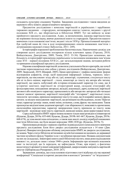складають культурну спадщину України. Завданням дослідження є також введення до наукового обігу нового джерелознавчого матеріалу.

Предметом дослідження є комплекс маргіналій в українських і зарубіжних тиражних виданнях – стародруках, антикварних книгах і книгах, виданих з другої половини XIX ст., що зберігаються в бібліотеці НМІУ. Тут ми вийшли за межі прийнятого предмету дослідження. Адже, за визначенням, наукова маргіналістика як порівняно молода наука, вивчає рукописні книги та стародруки. Предметом нашого вивчення стали книжкові пам'ятки, видані і після 1830 р. Проаналізований матеріал був здобутий нами de visu в ході попримірникових описів книжкових пам'яток з дотриманням наукової етики (Заболотна, 2011: 249).

Історіографія порушеної проблематики багаточисельна. Накопиченню досвіду для створення цього дослідження посприяли кілька ключових праць (Горська, 2018; Войцехівська, Дмитрієнко, 2009; Тимів, 2012: 33-36). Принагідно зазначимо, що більшість історіографії присвячена українським та іноземним книжковим пам'яткам саме XVI – першої половини ХVII ст., дає загальнонаукові знання, методики роботи та принципи класифікації предмету дослідження.

Наукова класифікація маргіналій дозволила узагальнити багато критеріїв, що хоча б частково перекликаються між собою у різних дослідників (Войцехівська, Дмитрієнко, 2009; Зворський, 2019; Шамрай, 2005). Цими критеріями є: графіка написання: форми відтворення алфавітів, літер; засіб нанесення інформації: олівець, чорнило; зміст: маргіналія, що висловлює згоду або ні; ідеї, коментарі, тлумачення; стосуються тексту або ні та його оцінки; маргіналії – глоси, коментарі до тексту від автора або читача; маргіналії, що мають побутовий або історико-пізнавальний характер (те саме, що й історичні замітки); маргіналії як літературний жанр, складові етнографії або фольклористики; походження: авторські, вкладні, власницькі, дарчі, купівельні; маргіналії актового або оповідного характеру; приналежність або авторство: авторські або читацькі записи/ написи/ приписки; маргіналії типографії або "ліхтарики"; маргінальні глоси; типологія: заголовки, приписки наприкінці тексту (те саме, що й покрайні записи), фрази, цитати; за місцем знаходження: маргіналії, що розміщені на обкладинках, полях/ берегах тощо; характер і розмір: знаки, мовні зміни, позначки, слова, фрази; час написання. Також пропонуємо виділені нами додаткові критерії: стан збереженості; можливість прочитання; експозиційна перспектива; характер: виправлення тексту, приписки до тексту; мова маргіналій – відповідає мові тексту; маргіналії, написані мовою, якою користувався читач.

Серед публікацій в НМІУ наразі можна назвати тільки наші розвідки в співавторстві (Куцаєва, Дідора, 2019а: 655-660; Куцаєва, Дідора, 2019b: 661-667; Куцаєва, Дідора, 2019с: 668-674), де тема висвітлена епізодично, а також наш аналіз досвіду атрибуції книжкових пам'яток бібліотеки, що були видані впродовж 1800-1830 рр. (Куцаєва, 2019а: 5).

Пропонована розвідка є першою спробою індивідуального комплексного вивчення предмету дослідження. Блок його джерел дослідження складається з 14 книг (Див. Додаток). Використати фондово-облікову документацію НМІУ, як джерело дослідження, не можна. Через статус бібліотек вітчизняних музеїв їхні книжки не належать до державної частини музейного фонду України та не є музейними предметами. Названа документація на них не складалась. Інвентарні книги самої бібліотеки містять лише роки надходження книжок і то, детально лише з кінця 1940-х років. Інформацію про колишніх власників книг та інституції, що їх передали, не зафіксували. Отже, при втраті, а фактично недостатності архівної та іншої довідкової інформації, джерелознавча значущість маргіналій зростає (Ціборовська-Римарович, 2010: 267).

Зауваження: доповідь, що стала основою підготовки статті відбулась під час наукової конференції "Спеціальні історичні дисципліни в контексті "речового" та "візуального"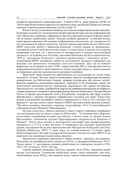поворотів європейської гуманітаристики", 4 жовтня 2019 р., Київ (Куцаєва, 2019b: 8); Тексти маргіналій подані в перекладі на українську мову з російської; Назви усіх книжок наведено в оригінальному написанні, але без літери "b".

В якості вступу до основного матеріалу дослідження охарактеризуємо його виклики. Ключовою складністю є встановлення авторів маргіналій через нестачу інформації про зміст бібліотеки, порівняно з інформацією про зміст фондової колекції. В фондах книги так чи інакше атрибутовані, відомі "легенди музейних предметів" за книгами вступу, інвентарними картками або науково-уніфікованими паспортами, що заповнили під час находження музейних предметів. З різних причин картковий каталог бібліотеки НМІУ відсутній, робота з виявлення рідкісних і цінних видань не проводилась, електронна каталогізація розпочалась лише в останні роки, а наукове дослідження книжкових пам'яток, як і комплексне їх використання в науково-експозиційній діяльності, не відбувається. В цілому, змістовна бібліотека, що була накопичена від 1899 р. заснування Київського художньо-промислового і наукового музею – попередника НМІУ, залишилась майже не дослідженою. Більшість інформації, що важлива для провенансу книжкових пам'яток втрачена. Досі ми не можемо формально застосовувати до книг XVIII – першої третини XIX ст. такі важливі поняття законодавства як рідкісні, цінні видання та, власне, культурні цінності – вони не внесені до Державного реєстру національного культурного надбання.

Маргіналії також визначаємо проблемними для дослідження не тільки через складність читання. Частина написів пошкоджена: заклеєні екслібрисами-наліпками, конвертиками для бібліотечних бланків, замарані штемпелями або свідомо затерті. Важливо правильно розпізнавати маргіналії, відрізняти їх від книжкових знаків, що засвідчували володіння книгою: рукописних власницьких або дарчих екслібрисів. Прикладом того, що напис, відібраний як маргіналія, виявився власницьким екслібрисом, є праця українського історика та археографа Дмитра Бантиш-Каменського "Исторія Малой Россіи со времен присоединенія оной к Россійскому государству при Царе Алексее Михайловиче с кратким обозреніем первобытнаго состоянія сего края". Книга була видана в московській типографії Семена Селиванівського в 1822 р. в 4-х частинах. На форзаці 4-ї частини книги, єдиної наявної в НМІУ, міститься напис простим олівцем: "Ця книга належить запасному старшому унтер-офіцеру 18-го Східносибірського стрілецького полку Мухамет[?] Вапдияровичу …".

Це саме стосується і повного комплекту самого старого стародруку, відібраного для дослідження (але не самого старого в бібліотеці) – "Степенная книга Царскаго родословця, содержащая исторію россійскую с начала оныя до времен Іоанна Васильевича, сочиненная трудами Преосвященных митрополитов Кипріана и Макарія". Книга була видана в московській типографії при Імператорському університеті в 1775 р. в двох частинах. Її співавтором був дипломат візантійської церкви, письменник-богослов і переписувач книг Митрополит Київський і всієї Русі Кипріян (Шабульдо, 2007). У свою чергу, не повний комплект 12-томної праці Миколи Карамзіна "Исторія государства Россійскаго" містить на томах №№ 9-12 як маргіналії, так і власницькі підписи (Див. Додаток).

Пропонуємо атрибуцію маргіналій зі збірки книжок – предмету дослідження. Відповідно до класифікації книга, видана до 1830 р. є стародруком (Ковальчук, 2015). Таким чином, 11 досліджених книжок атрибутовані як стародруки, видані в 1796, 1816, 1817 (4 книги), 1819 і 1822 рр.

Спроби атрибуції книжкових пам'яток, виданих після 1830 р. визначили інший виклик дослідження. Тлумачення необхідних понять щодо книжкових пам'яток, опублікованих після 1830 р., ми отримали лише з одного енциклопедичного видання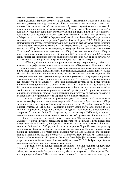## СУМСЬКИЙ ІСТОРИКО-АРХІВНИЙ ЖУРНАЛ. №XXXIII. 2019 19

(Гром'як, Ковалів, Теремко, 2006: 45, 95). В ньому "Антикварною" визначено книгу, що видана від початку книгодрукування і до 1850 р. включно з акцентом на те, що помилково поняття "Антикварна книга" ототожнюють з будь-якою букіністичною книгою. До антикварних книг відносять також інкунабули. У свою чергу, "Букіністична книга" в названому словнику-довіднику охарактеризована як стара книга, що має цінність, перетворюється на предмет книжкової торгівлі. Так називають також антикварну книгу, яка публікувалася до середини XIX ст. Серед них особливе місце посідають інкунабули, палеотипи, а насамперед – рукописи та стародруки (Гром'як, Ковалів, Теремко, 2006: 95). Порівняння наведених понять дозволяє говорити про те, що будь-яку книгу як об'єкт матеріальної культури, можна називати "Букіністичною книгою", "Антикварною книгою" – будь-яку друковану книгу, видану до 1850 р. Зважаючи на наведене, в цьому дослідженні ми вживаємо поняття "Стародрук" щодо книжок надрукованих до 1830 р., "Антикварна книга" – до 1850 р., а щодо всіх інших – книги, видані в другій половині XIX ст., першій половині ХХ ст. тощо. Таким чином, серед книжок, що були видані в другій половині XIX ст. та на початку ХХ ст. ми атрибутували маргіналії на трьох одиницях: 1868, 1898 і 1900 рр.

Найбільш унікальною з точки зору історичного наративу є праця українського історика, етнографа, мовознавця та письменника Миколи Закревського. Наявний в НМІУ 1-й том двотомної книги "Описаніе Кіева" є екземпляром російськомовного видання книги автора та містить чисельні авторські правки (Див. Додаток). Вони показують, що Микола Закревський використав книгу як макет для наступного видання. Це підтверджують чисельні рукописні виправлення друкованого тексту чорним чорнилом – закреслення слів, фраз і цілих абзаців, наприклад: "… видання трете виправлене, перероблене та проти другого … Власний екземпляр автора, знову перероблений, виправлений та доповнений … Опис Києва. Том 5-й". Цікавим є те, що маргіналія з 441 стор. винесена на весь простір незаповненої сторінки книги, а посилання на неї на самій сторінці позначене кольоровим малюнком "Лук зі стрілою". Приписки до тексту, виправлення посилань, вставки нових посилань на літературу та джерела, трактуємо як глоси іноземною (німецькою) та церковнослов'янською мовами.

Цікавою є спроба становити призначення дати "14 травня. 1864", адже вона не може ідентифікувати час написання маргіналій. Сама книга була видана в 1868 р. Важливим акцентом атрибуції книжкової пам'ятки є т. зв. "Музейна знахідка" (Див. більше: Куцаєва, 2019с: 49-52) – вміщений в книгу бланк листа-запрошення на ім'я Миколи Закревського щодо його участі в засіданні Московського археологічного товариства 22 жовтня 1868 р. Про існування цього документу в НМІУ не було відомо і за своїм статусом він відповідає поняттю законодавства "Предмет музейного значення".

Значну кількість маргіналій містить стародрук "Подлинные анекдоты Петра Великаго…" діяча мистецтв, медальєра та мемуариста Російської імперії німецького походження Якоба Штеліна (Див. Додаток). Вперше книга була опублікована німецькою мовою в Лейпцизі в 1785 р., але історію створення її російського перекладу маловідомим Карлом Рембовські реконструювати складно. На книзі наявні п'ять різних екслібрисів: монограма книговидавця Матвія Пономарьова; власницький підпис Мартьянова, наліпка з текстом: "Бібліотека Поч. Гр. [А. М.] Мартьянова. Екземпляр № 10. Книга № 35", рукопис: "З книжок Олексія [М.] Мартьянова" та екслібрис репресованого музейника Павла Потоцького (Денисенко, 2017: 118). Три з перелічених екслібриси пов'язані з автором частини маргіналій.

На форзаці є різні написи чорним чорнилом: "Із задоволенням користувався [Мифоил[?] 1832, лютого 15-го; … Мартьянов читав 1814(17), лютого 26-го дня … квітня, читала Анастасія Богданова, але зрозуміти мало розуміла … 1814, вересня 25-го дня, користувався(лась)". На нахзаці також є записи: "… і точно така, що мала чути і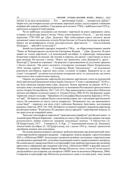читати та на вухо розповідати … Хто … прочитавши підпис … називається дурень". Окрім того, що почерки складні для читання, маргіналії затерті, а кути сторінок з написами відірвані або знищені грибком. Сама рання дата на книзі 1790 р. і найбільш пізня 1832 р., орієнтують в періоді її побутування.

Чи не найбільш складними для читання є маргіналії на книзі державного діяча, історика та філософа Івана Єлагіна "Опыт повествованія о Россіи…", що він писав впродовж 1790-1803 рр. (Див. Додаток). Про побутування книги свідчить ярлик книжкової лавки московських купців Петра Ініхова та Олексія Базунова на форзаці. Наразі ми розшифрували кілька малозрозумілих фрагментів: "… благословення Патріарха … вбитий Солтослов[?]".

Інший досліджений стародрук, виданий в 1796 р. – це збірка коментованих законів "Наказ ея Императорскаго величества Екатерины Вторыя…" (Див. Додаток). В книзі наявні не тільки маргіналії, а й власницький екслібрис та карикатура, намальована блакитним олівцем на нахзаці. Це чоловік в сюртуку, що крокує з тростиною та несе в руці циліндр. На нахзаці є напис: "Взято дві граматики, одна Дишерск[?], друга – Ясногор[?]. Грошей не отримано". На форзаці із продовженням на долучених аркушах є багато написів: "Ця книга належить стихарному паламарю Павлу Кудрицькому, 1854, місяця серпня 17 дня … Стихарному Якову Терлецькому" – це власницькі рукописні екслібриси, перелік імен селян і селянок та цифри. Зважаючи на те, що слово "стихарний" зустрічається різними почерками двічі, то допускаємо, що книга переходила між служителями приходу.

Окремо від рукописних маргіналій розглянемо маргінальні глоси на рукописній копії оригінальної рукописної книги Іоанна Златоуста "Слово о лжепророках" XVII ст., що була написана напівуставом (Див. Додаток). Копію виконали не раніше 1879 р. і походить вона з колекції рукописів археолога та засновника Ростовського археологічного музею Андрія Титова (Бытко, 2017: 143-151). Про приналежність книги його бібліотеці свідчать екслібриси та каталог самого А. Титова (Титов, 1900, 82-83). На форзаці є напис чорнилом синього кольору: "Придбано в Є[лпідорфа] В[асильовича] Барсова в 1879 р. за 5 крб.". На берегах сторінок багато глосів напівуставом, що є частинами оригінального тексту. Це пояснення до змісту тексту, наприклад: "Ненавидять тих, що промовляють слова Божі" – переклад для цією статті здійснено Вадимом Арістовим, дослідником рукопису (Арістов, 2019: 141-144). На берегах останньої сторінки є рукописна маргіналія російською мовою: "В цій книзі 26 (двадцять шість) аркушів" і нерозбірливі ініціали. Їх ми трактуємо як покрайній запис.

Чисельні типографські маргіналії "гражданським шрифтом" російської мови є і в згаданій праці Миколи Карамзіна – пояснення до тексту. Про читачів цих книжок частково розповідають майже повністю замарані власницькі написи: "З бібліотеки [А. О[Э]дергольма], 1817 … З книжок [А. А. Кар…]" і власницький підпис [Д. Леиденко]. Аналогічний екслібрис [А. О[Э]дергольма], але з датою 1816 р., показує хронологію придбання книжок цим власником.

На основі проаналізованого матеріалу зроблено висновок про різноманітний зміст і типи маргіналій на тиражних виданнях – стародруках і книгах виданих з другої половини XIX ст. в бібліотеці НМІУ. Актуальним є розвиток музейних досліджень з маргіналістики для введення в науковий обіг та музейну комунікацію нового джерелознавчого матеріалу. На основі аналізу джерельної бази та історіографії теми зроблено висновок про незначну присутність інформації про книжкові пам'ятки з бібліотеки НМІУ в фаховій дискусії. Наприклад, книжкове зібрання барона Федіра Штенгеля, хоча і стало об'єктом одного дисертаційного дослідження, але матеріали з НМІУ воно не включило (Миронець, 2004). Створення історіографії про бібліотеку розпочалось лише в останні роки, тому значна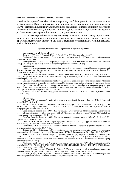кількість інформації маргіналій як джерел наукової інформації досі залишається не опублікованою. Складений нами попередній перелік стародруків та книг виданих після 1830 р. з маргіналіями визначає актуальність подальшого опрацювання цих пам'яток з метою надання їм статусу рідкісних і цінних видань, культурних цінностей та внесення до Державного реєстру національного культурного надбання.

Перспектива розвідок в даному напрямку полягає в комплексному опрацюванні змісту, ролі виявлених маргіналій в конкретних історичних умовах і пошуку фрагментів історичних бібліотек, що нині є частиною бібліотеки НМІУ в інших музеях, архівах і бібліотеках.

#### Додаток. Перелік книг з маргіналіями в бібліотеці НМІУ

#### Книжки, видані в 2-й пол. ХІХ ст.:

Закревский Николай. Описаніе Кіева. В 2 т. М.: Тип. В[?]. Грачева и Ко, 1868. Т. 1.

Трубницкий Александр. Хроника Беларускаго города Могилёва. М.: В Университетской типографіи Міхаила Каткова, 1887.

Златоуст Иоан. Слово о лжепророках, и лжеучителях, и об еретиках, и о знаменнях кончині века сего. [Б. в.; створена до 1879 р.; копія оригінальної рукописної книги XVII ст.].

Стародруки:

Наказ ея Императорскаго величества Екатерины Вторыя Самодержицы Всероссійскія, данный Коммиссіи о сочиненія проекта новаго уложенія, с принадлежащими к тому приложеніыями. М.: Сенатская типографія, 1796.

Опыт повествованія Ивана Елагина о Россіи, начатое на 65-м году от его рожденія, лета от Р. Х. 1790, двора его Императорскаго величества обер-гофмейстера. В 3 кн. М.: Университетская типография, 1803. Кн. 1.

Штелин Якоб. Подлинные анекдоты Петра Великаго, слышанные из уст знатных особ в Москве и Санкт-Петербурге / пер. с нем. Карла Рембовского. М.: Вольная типография М[атвея] Пономарева, 1789.

Степенная книга Царскаго родословця, содержащая исторію россійскую с начала оныя до времен Іоанна Васильевича, сочиненная трудами Преосвященных митрополитов Кипріана и Макарія. В 2 ч. М.: Тип. при Императорском університете, 1775. 2 од.

Карамзин Николай. Исторія государства Россійскаго. В 12 т. Тт. 2-5, 7-8. Спб: Тип. Н[иколая] Греча, 1816-1817. 6 од.

#### Література:

Арістов, 2019 – Арістов В. Невідомі рукописи колекції А.О. Титова із фондів НМІУ // Науковий вісник НМІУ. 2019. № 4.

Бытко, 2016 – Бытко С. Сборник "Слово о лжепророках и лжеучителях": идея, структура, организация // Обретение святых – 2016: Сб. мат. VIII-й Межрегиональной церковно-научной конференции. Киров: Лобань, 2017.

Войцехівська, Дмитрієнко, 2009 – Войцехівська І., Дмитрієнко М. Маргіналістика [Електронний ресурс]. Енциклопедія історії України (далі – ЕІУ). URL: http://www.history.org.ua/?termin=Marginalistyka. Назва з екрану (дата звернення:  $03.10.19$ ).

Гром'як, Ковалів, Теремко, 2006 – Літературознавчий словник-довідник / Гром'як Р., Ковалів Ю., Теремко В. К.: Академія, 2007. 753 с.

Горська, 2018 – Видання з автографами українських діячів науки і культури: каталог колекції НІБУ. Вип. 1 / уклад. Н. Горська. К.: Вид. дім "Вініченко", 2018. 416 с.

Денисенко, 2017 – *Денисенко Л*. Книжкові знаки на книгах із колекції рідкісних видань НБУ ім. В. Вернадського: каталог. К., 2017. 350 с.

Заболотна, 2011 – Заболотна Н. Маргіналії та видавничі оправи стародруків – додаткові джерела до вивчення історії діяльності друкарень // Наукові праці НБУ ім. В. Вернадського. 2011. Вип. 31. С. 249-258.

Зворський, 2019 – Зворський С. Маргіналії. [Електронний ресурс]. Українська бібліотечна енциклопедія (далі – УБЄ). Режим доступу: http://ube.nlu.org.ua/article/ %D0%9C%D0%B0%D1%80%D2%91%D1%96%D0%BD%D0%B0%D0%BB%D1%96%D1%97. Назва з екрану (дата звернення: 03.10.19).

Ковальчук, 2015 – Ковальчук Г. Стародруки. [Електронний ресурс]. УБЄ. URL: http://ube.nplu.org/ article/%D0%A1%D1%82%D0%B0%D1%80%D0%BE%D0%B4%D1%80%D1%83%D0%BA%D0%B8. Назва з екрану (дата звернення: 03.10.19).

Куцаєва, Дідора, 2019а – Куцаєва Т., Дідора Л. Книжкові знаки, дарчі та маргінальні написи на виданнях з фондозбірні НМІУ з теми "Юдаїка" // Науковий вісник НМІУ. Вип. 4 (2019).

Куцаєва, Дідора, 2019b – Куцаєва Т., Дідора Л. Майстер-клас "Книга – багатогранне джерело музейних презентацій: неформальна освіта музейника" // Науковий вісник НМІУ. Вип. 4 (2019).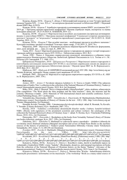Куцаєва, Дідора, 2019с – Куцаєва Т., Дідора Л. Бібліографічний покажчик до теми "Історія єврейської громади України ХІХ – 1-ї пол. ХХ ст.": на матеріалах фондової колекції та бібліотеки НМІУ // Науковий вісник НМІУ. Вип. 4 (2019).

Куцаєва, 2019а – Куцаєва Т. Атрибуція стародруків та антикварних книжок НМІУ: дослідження 2017- 2019 рр. // Програма науково-практичної конференції "Наукова атрибуція творів, експертиза та оцінка культурних цінностей". 24-25.10.2019. К.: НАКККіМ, 2019. 12 с.

.<br>Куцаєва, 2019b – *Куцаєва Т*. Маргіналістика в музейних дослідженнях (на прикладі антикварних видань із книгозбірні НМІУ) // Програма наукової конференції "Спеціальні історичні дисципліни в контексті "речового" та "візуального" поворотів європейської гуманітаристики", 04.10.2019. К.: НАН України, 2019. 12 с.

Куцаєва, 2019с – Куцаєва Т. Про музейні знахідки – необліковані предмети музейного значення // Культурна спадщина: традиції та інновації: Тези наук.-практ. конф., 27.05.2019. Л., 2019. 76 с.

Миронець, 2004 – Миронець Н. Книжково-рукописне зібрання барона Ф. Штейнгеля: формування, зміст, доля: автореф. дис. … канд. іст. наук. К., 2004. 18 с.

Тимів, 2012 – Тимів І. Маргіналії в рукописних книгах і стародруках як джерело з історії татарських і турецьких набігів на українські землі в XVІ–XVII ст. // Бібліотечна планета. 2012. № 3.

Титов, 1990 – Титов А. Описание славяно-русских рукописей, находящихся в собрании членакорреспондента Импереторского Общества Любителей Древней Письменности А.А. Титова в 6 т. М.: Печатня А.И. Снигеревой. Т. 2. 1900. 153 с.

Ціборовська-Римарович, 2010 – Ціборовська-Римарович І. Маргінальні записи стародруків із книгозбірень католицьких монастирів XIV-XVIII ст. на етнічних українських землях як джерело до історії формування монастирських бібліотечних фондів // Наукові праці НБУ ім. В. Вернадського. 2010. Вип. 28. С. 266-287.

Шабульдо, 2007 – Шабульдо Ф. КИПРІЯН [Електронний ресурс]. ЕІУ. URL: http://www.history.org.ua/ ?termin=Kypriyan\_mytropolyt. Назва з екрану (дата звернення: 03.10.19).

Шамрай, 2005 – Шамрай М. Маргіналії в стародруках кириличного шрифту XV-XVII ст. К.: НБУ ім. В. Вернадського, 2005. 334 c.

#### References:

Aristov, 2019 – Aristov V. Nevidomi rukopysy kolektsii A. O. Tytova iz fondiv NMIU [The unknown manuscripts of Andriy Titov's collection in the collection of the National Museum of Ukrainian History]. Naukovyi visnyk Natsionalnoho muzeiu istorii Ukrainy. 2019. № 4. [in Ukrainian].

Bitko, 2016 – Bitko S. Sbornyk "Slovo o lzheprorokakh y lzheuchyteliakh": ydeia, struktura, orhanyzatsyia [The compilation "The Word about the false prophets and the false teachers": ideas, the structure and the content]. Obretenye sviatikh – 2016: Materials of VIII International church and scientific conference. Kyrov: Loban Publishing House, 2017. [in Russian].

Voitsekhivska, Dmytriienko, 2009 – Voitsekhivska I., Dmytriienko M. Marhinalistyka [Marhinalistyka]. [Elektronnyi resurs]. Encyclopedia of History of Ukraine (in the text – EIU). URL: http://www.history.org.ua/ ?termin=Marginalistyka. [in Ukrainian].

Hromiak, Kovaliv, Teremko, 2006 – Literaturoznavchyi slovnyk-dovidnyk / uklad. R. Hromiak, Yu. Kovaliv, V. Teremko. [Literary dictionary]. Kyiv: Akademiia, 2007. 753 s.

Horska, 2018 – Vydannia z avtohrafamy ukrainskykh diiachiv nauky i kultury: kataloh kolektsii NIBU. [Books with signatures of the prominent scientists and culture workers: the catalogues of the collection the National Historical Library of Ukraine]. Issue 1 / uklad. N. Horska. Kyiv: Vinichenko Publishing House, 2018. 416 s. [in Ukrainian].

Denysenko, 2017 – Denysenko L. Bookplates on the books from Vernadsky National Library of Ukraine rare books collection: catalogue. Kyiv, 2017. 350 s. [in Ukrainian].

Zabolotna, 2011 – Zabolotna N. Marhinalii ta vydavnychi opravy starodrukiv – dodatkovi dzherela do vyvchennia istorii diialnosti drukaren [Marginal inscription and covers of Hand Press Books as the auxiliary sources of the history of printeries] // Naukovi pratsi Natsionalnoi biblioteky Ukrainy imeni Volodymyra Vernadskoho. 2011. Issue. 31. S. 249-258. [in Ukrainian].

Zvorskyi, 2019 – Zvorskyi S. Marhinalii. [Marginal inscriptions]. [Elektronnyi resurs]. Ukrainian Library<br>lopedia (in the text – UBIe). URL: http://ube.nlu.org.ua/article/ Encyclopedia (in the text – UBIe). URL: http://ube.nlu.org.ua/article/ %D0%9C%D0%B0%D1%80%D2%91%D1%96%D0%BD%D0%B0%D0%BB%D1%96%D1%97. [in Ukrainian].

Kovalchuk, 2015 – Kovalchuk H. Starodruky. [Hand Press Books]. [Elektronnyi resurs]. UBIe. URL: http:/ / u b e . n p l u . o r g / a r t i c l e /

%D0%A1%D1%82%D0%B0%D1%80%D0%BE%D0%B4%D1%80%D1%83%D0%BA%D0%B8. [in Ukrainian]. Kutsaieva, Didora, 2019a – *Kutsaieva T., Didora L.* Knyzhkovi znaky, darchi ta marhinalni napysy na vydanniakh z fondozbirni NMIU z temy "Iudaika". [Bookmarks, donatives, and marginal inscriptions on books from the collection of the National Museum of Ukrainian history on the theme "Judaica": relevance of the museum presentation]. Naukovyi visnyk Natsionalnoho muzeiu istorii Ukrainy. 2019. Issue 4. [in Ukrainian].

Kutsaieva, Didora, 2019b – Kutsaieva T., Didora L. Maister-klas "Knyha – bahatohranne dzherelo muzeinykh prezentatsii: neformalna osvita muzeinyka" [The workshop "Book as a many-sided source of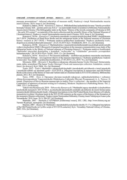museum presentations": informal education of museum staff]. Naukovyi visnyk Natsionalnoho muzeiu istorii Ukrainy. 2019. Issue 4. [in Ukrainian].

Kutsaieva, Didora, 2019c – Kutsaieva T., Didora L. Bibliohrafichnyi pokazhchyk do temy "Istoriia yevreiskoi hromady Ukrainy XIX – pershoi polovyny XX st.": na materialakh fondovoi kolektsii ta biblioteky Natsionalnoho muzeiu istorii Ukrainy. [The bibliographic index to the theme "History of the Jewish community of Ukraine in XIX – the early XX century": on materials of the stock collection and the scientific library of the National Museum of Ukrainian history]. Naukovyi visnyk Natsionalnoho muzeiu istorii Ukrainy. 2019. Issue 4. [in Ukrainian].

Kutsaieva, 2019a – Kutsaieva T. Atrybutsiia starodrukiv ta antykvarnykh knyzhok NMIU: doslidzhennia 2017-2019. [Atribution of Hand Press Books and the antiquarian books in the National museum of Ukrainian history: research in 2017-2019] // Prohrama naukovo-praktychnoi konferentsii "Naukova atrybutsiia tvoriv, ekspertyza ta otsinka kulturnykh tsinnostei". 24-25.10.2019. Kyiv: NAKKKiM, 2019. 12 s. [in Ukrainian].

Kutsaieva, 2019b – Kutsaieva T. Marhinalistyka v muzeinykh doslidzhenniakh (na prykladi antykvarnykh vydan iz knyhozbirni NMIU) [Research of marginal inscription in the museum communication (case study of the antiquarian books in the library of National museum of Ukrainian history)] // Prohrama naukovoi konferentsii "Spetsialni istorychni dystsypliny v konteksti "rechovoho" ta "vizualnoho" povorotiv yevropeiskoi humanitarystyky", 04.10.2019. Kyiv: NASU, 2019. 12 s. [in Ukrainian].

Kutsaieva, 2019s – Kutsaieva T. Pro muzeini znakhidky – neoblikovani predmety muzeinoho znachennia [About museum findings – non registered objects of the museum importance] // Kulturna spadshchyna: tradytsii ta innovatsii: Tezy naukovo-praktychnoi konferentsii, 27.05.2019. Lviv, 2019. 76 s. [in Ukrainian].

Myronets, 2004 – Myronets N. Knyzhkovo-rukopysne zibrannia barona Teodor Shteingel: formuvannia, zmist, dolia: avtoreferat [The baron Teodor Shteingel's book and manuscripts collection: foundation, context, future: the abstract]. Kyiv, 2004. 18 s. [in Ukrainian].

Tymiv, 2012 – Tymiv I. Marhinalii v rukopysnykh knyhakh i starodrukakh yak dzherelo z istorii tatarskykh i turetskykh nabihiv na ukrainski zemli v XVI-XVII st. [Marginal inscriptions in manuscripts and Old Printed Books as the source of the history of Tatar and Turkish raids on Ukrainian lands in XVI-XVII centuries]. Bibliotechna planeta. 2012. № 3. [in Ukrainian].

Tytov, 1990 – Tytov A. Opysanye slaviano-russkykh rukopysei, nakhodiashchykhsia v sobranyy chlena-korrespondenta Ymperetorskoho Obshchestva Liubytelei Drevnei Pysmennosty A. A. Tytova v 6 tomah. [Depiction of Slavic-Russian manuscripts in Andriy Titov's collection – the member of the Imperial Community of admirers of ancient writing in 6 volumes]. Moskow: Snyhereva's Publishing House. Vol. 2. 1900. 153 s. [in Russian].

Tsiborovska-Rymarovych, 2010 – Tsiborovska-Rymarovych I. Marhinalni zapysy starodrukiv iz knyhozbiren katolytskykh monastyriv XIV-XVIII st. na etnichnykh ukrainskykh zemliakh yak dzherelo do istorii formuvannia monastyrskykh bibliotechnykh fondiv. [Marginal inscriptions in the Old Printed Books from libraries of Catholic monasteries in ethnic Ukrainian lands in the XIV-XVIII centuries as the source of the history of the formation of the monastery libraries collections]. Naukovi pratsi Natsionalnoi biblioteky Ukrainy imeni Volodymyra Ivanovycha Vernadskoho. 2010. Issue. 28. S. 266-287. [in Ukrainian].

Shabuldo, 2007 – Shabuldo F. KYPRIIaN [Elektronnyi resurs]. EIU. URL: http://www.history.org.ua/ ?termin=Kypriyan\_mytropolyt. [in Ukrainian].

Shamrai, 2005 – Shamrai M. Marhinalii v starodrukakh kyrylychnoho shryftu 15-17 st. [Marginal inscriptions of the Old Printed books in Cyrillic script of XV-XVII centuries]. Kyiv: Vernadsky National Library of Ukraine, 2005. 334 s. [in Ukrainian].

Отримано 29.10.2019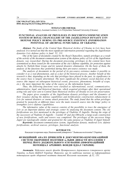UDC 930.25 (477.83) «XIV/XVI» DOI: doi.org/10.21272/shaj.2019.i33.p.24

#### ТETIANA N. BILUSHCHAK

PhD (History), Assistant Lecturer, Lviv Polytechnic National University (Ukraine)

### FUNCTIONAL ANALYSIS OF PRIVILEGES IN DOCUMENT-COMMUNICATION SYSTEM OF ROYAL CHANCELLERY OF THE JAGIELLONIAN DYNASTY LVIV DEFENSE POLICY DURING ITS PRE-SOURCE EXISTENCE (INFORMATION POTENTIAL OF ARCHIVAL FUNDS TsDIAL OF UKRAINE)

Abstract. The funds of the Central State Historical Archive of Ukraine in Lviv have been analyzed. It is turned out that the most significant information potential regarding the Jagiellonian dynasties Lviv defense policy is fund: 52, 131.

One of the types of documents created by the Royal Chancellery, namely privileges as a result of the activity of the document-communication system of the defense policy of Lviv of the Jagiellonian dynasty, was researched. During the document processing, privileges in the content have been systematized as those issued for the restoration of the city's defense capability, for protection against attacks by Turkish-Tatar troops and for natural disasters elimination. On the basis of them, the analysis of the functions they performed during their pre-source existence was made.

The analysis of documents in the period of its pre-source existence makes it possible to consider it as a real phenomenon, and as a fact of the historical process. Another benefit of this research is that, depending on the role that privileges have played in the past, its significance in the source base is largely determined. The more significant the primary social function of the source (the impact on subsequent historical events, processes, phenomena, breadth of scope, etc.), the more important the value of the source as the information bearer.

Thus, the following functions were clarified as informational, social, communicative, administrative, legal, and historical functions, which acquired privileges after their operational acting role and were sent to Central State Historical Archive of Ukraine in Lviv for preservation.

The paper gives examples of the Jagiellonian dynasty privileges and the dynamics of their issuance during the defense capabilities and fortifications construction enhancement in Lviv for natural disasters or enemy attack protection. The study found that the urban privileges granted by monarchs at different times were the main research source into the kings' policy to strengthen Lviv's defense capabilities.

The informative value of the sources consists of the possibility to trace the emergence of Lviv as an important defense and strategic center by analyzing the document content. The city fortifications are first mentioned in the privileges of Vladislav II Jagiello. During the reign of the successors of Vladislav II Jagiello  $-$  Casimir IV and Jan Olbracht, a large-scale construction of new fortifications, walls and towers was completed. The privileges of the successor kings Jagiel are typologically similar and granted for the same purpose as Vladislav II Jagiel himself.

Keywords: document-communication system, Jagiellonian dynasty, medieval Lviv, defense fortifications, archival sources, privileges, functional analysis.

#### БІЛУЩАК Т.М.

Кандидат історичних наук, Національний університет "Львівська політехніка" (Україна)

### ФУНКЦІЙНИЙ АНАЛІЗ ПРИВІЛЕЇВ В ДОКУМЕНТНО-КОМУНІКАЦІЙНІЙ СИСТЕМІ ОБОРОННОЇ ПОЛІТИКИ м.ЛЬВІВ ДИНАСТІЇ ЯГЕЛЛОНІВ У ПЕРІОД ЙОГО ДОДЖЕРЕЛЬНОГО ІСНУВАННЯ (ІНФОРМАЦІЙНИЙ ПОТЕНЦІАЛ АРХІВНИХ ФОНДІВ ЦДІАЛ УКРАЇНИ)

Анотація. Здійснено аналіз фондів Центрального державного історичного архіву України, м.Львів (ЦДІАЛ України). Виявлено, що до найбільш значних за інформаційним потенціалом щодо оборонної політики династії Ягеллонів належать: ф.52, 131.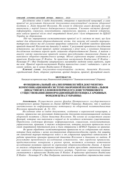Досліджено один із видів документів, створених в королівській канцелярії, а саме привілеї як результат діяльності документно-комунікаційної системи оборонної політики м. Львів династії Ягеллонів. На основі їх здійснено аналіз функцій, які вони виконували у період їхнього доджерельного існування. З'ясовано наступні функції: інформаційну, соціальну, комунікативну, управлінську, правову, а також історичну, яких набули привілеї після своєї оперативної дієвої ролі і були відправленні до ЦДІАЛ України на збереження.

 Під час опрацювання систематизовано привілеї за їх змістом як такі, що були видані для відновлення обороноздатності міста, для захисту від нападів турецькотатарських військ та від усунення природних катаклізм. В роботі наведено приклади привілеїв династії Ягеллонів та динаміку їх видачі. У результаті проведеного дослідження встановлено, що міські привілеї, надані монархами у різні часи, є основним джерелом дослідження політики королів щодо зміцнення обороноздатності Львова. А також з аналізу змісту королівських привілеїв можна прослідкувати становлення Львова як важливого оборонно-стратегічного центру. Міські укріплення вперше згадуються у привілеях Владислава II Ягайла. За правління наступників Владислава II Ягайла – Казимира IV і Яна Ольбрахта завершувалось масштабне зведення нових укріплень, мурів та веж. Привілеї королів-наступників Ягайла типологічно схожі і надавались з цією ж самою метою, що й самим Владиславом II Ягайлом.

Ключові слова: документно-комунікаційна система, династія Ягеллонів, середньовічний Львів, оборонні укріплення, архівні джерела, привілеї, функційний аналіз.

#### БИЛУЩАК Т. Н.

Кандидат исторических наук, Национальный университет "Львовская политехника" (Украина)

## ФУНКЦИОНАЛЬНЫЙ АНАЛИЗ ПРИВИЛЕГИЙ В ДОКУМЕНТНО-КОММУНИКАЦИОННОЙ СИСТЕМЕ ОБОРОННОЙ ПОЛИТИКИ г.ЛЬВОВ ДИНАСТИИ ЯГЕЛЛОНОВ В ПЕРИОД ЕГО ДОИСТОЧНИКОВОГО СУЩЕСТВОВАНИЯ (ИНФОРМАЦИОННЫЙ ПОТЕНЦИАЛ АРХИВНЫХ ФОНДОВ ЦГИАЛ УКРАИНЫ)

Аннотация. Осуществлен анализ фондов Центрального государственного исторического архива Украины во Львове (ЦГИАЛ Украины). Выявлено, что к наиболее значительным по информационному потенциалу по оборонной политикединастии Ягеллонов принадлежат: ф. 52, 131.

Исследован один из видов документов, созданных в королевской канцелярии, а именно, привилегии как результат деятельности документо-коммуникационной системы оборонной политики г.Львов династии Ягеллонов. На основе их осуществлен анализ функций, которые они выполняли в период их до исходного источника существования. Определены следующие функции: информационная, социальная, коммуникативная, управленческая, правовая, а также историческая, которые получили привилегии после своей оперативной действенной роли и были отправлены в ЦГИАЛ Украины на хранение.

 Во время обработки систематизированы привилегии по их содержанию как такие, которые были выданы с целью восстановления обороноспособности города, для защиты от нападений турецко-татарских войск и от устранения природных катаклизмов. В работе приведены примеры привилегий династии Ягеллонов и динамика их выдачи. В результате проведенного исследования установлено, что городские привилегии, предоставленные монархами в разное время, являются основным источником исследования политики королей по укреплению обороноспособности Львова. А также из анализа содержания королевских привилегий можно проследить становление Львова как важного оборонно-стратегического центра. Городские укрепления впервые упоминаются в привилегиях Владислава II Ягайло. В правление преемников Владислава II Ягайло – Казимира IV и Яна Ольбрахта закончилось масштабное строительство новых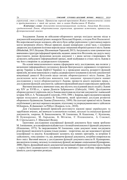укреплений, стен и башен. Привилегии королей-преемников Ягайло типологически схожи и предоставлялись с этой же целью, что и самим Владиславом II Ягайло.

 Ключевые слова: документо-коммуникационная система, династия Ягеллонов, средневековый Львов, оборонительные укрепления, архивные источники, привилегии, функциональный анализ.

Згадування Львова як військово-оборонного центру посідало вагоме місце в документній комунікації різних монархів Польської Корони, а згодом Речі Посполитої. Від королівської влади залежало, аби місто було добре укріпленим і у разі нападу ворога могло витримати облогу. Міські привілеї, надані монархами у різні часи, є основним джерелом дослідження політики королів щодо зміцнення обороноздатності міста Львова (Bilushchak, 2013; Білущак, Шеломенцев-Терський, 2013). Актуальність теми зумовлюється вивченням структури інформації привілеїв, наданих династією Ягеллонів, що дадуть змогу простежити, якими функціями володів документ і з якою метою створювався. Це дозволить вибудувати інформаційний процес, який відбувався в стінах міста Львова в час його створення та доджерельного існування.

На основі вищезазначеного можна сформувати мету дослідження, яка полягає у визначенні інформаційного потенціалу фондів Центрального державного історичного архіву України м.Львів (ЦДІАЛ України) та у проведенні аналізу, розкритті функцій привілеїв, які вони виконували у період доджерельного існування в системі документної комунікації династії Ягеллонів щодо питань обороноздатності міста Львова. Для досягнення мети необхідно виконати такі завдання: проаналізувати наявні дослідження у галузі обороноздатності Львова; провести аналіз наукових праць з дослідження функцій документів; здійснити функційний аналіз королівських привілеїв.

Вагомим внеском у вивчення теми, яка містить послідовний аналіз подій у Львові від XIV до XVIII ст., є праця Діонісія Зубрицького (Zubrzycki, 1844). Дослідження обороноздатності укріплень міста Львова аналізував на підставі документів і львівський історик XIX ст. А. Чоловський (Czoіowski, 1910, 1896 ). Зокрема, варто відзначити наукову працю польського дослідника В. Томкевича, який ґрунтовно дослідив розвиток оборонного будівництва Львова (Zimorowicz, 1899). На сьогодні привілеї міста Львова опубліковані у вигляді окремого видання, підготовку та упорядкування якого здійснили М.Капраль, Я.Дашкевич та Р.Шуст (Капраль та ін., 2010).

Для з'ясування функцій привілеїв розглянуто наукові праці українських та зарубіжних вчених, які вивчали та визначили головні, загальні та спеціальні функції документів, зокрема, В. Банасюкевича, М. Ілюшенка, В. Кашепова, С. Кулешова, Н. Кушнаренко, М. Ларькова, К. Мітяєва, Є. Плешкевича, А. Сокової, В. Стрельського, Г. Швецової-Водки.

Ґрунтовне дослідження класифікації функцій документа було також зроблено М. Ілюшенком, де класифікація відбувається з позицій комплексності функцій документа (Илюшенко, 1973). За твердженнями М. Ілюшенка, один документ може поєднувати різні функції і виділити їх можна тільки умовно – теоретично, що дає можливості зручної класифікації та аналізу. Класифікація залежить від певних критеріїв, за котрими її здійснюють, тому цінним є те, що, вивчаючи функції документа, потрібно опиратися на його зміст. Вагомий внесок у дослідження функцій документа внесла Н. Кушнаренко, яка виділила головну, загальну та спеціальну функції, які вважає соціальними (Кушнаренко, 2008). Проте, функційний аналіз документної комунікації оборонної політики міста Львова у період його доджерельного існування ще не вивчався і має особливу інформаційну цінність для історичних розвідок.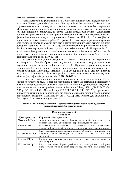Розглянемо роль та функції привілеїв у системі соціальних комунікацій оборонної політики Львова династії Ягеллонів. Час правління Владислава II Ягайла став сприятливим як для розвитку міста, так і для значного покращення його укріплень. Модернізації міста сприяла низка привілеїв, наданих його жителям – право складу, земельні надання (Tomkiewicz, 1971: 98). Однак, королівські привілеї дозволяють простежити формування Львова як провідного оборонно-стратегічного центру. Львівські фортифікації вперше згадуються у привілеях Владислава II Ягайла. Метою фіксації привілею у королівській канцелярії від 29 вересня 1388 р. послугувало рішення покращити стан мурів. Для цього львівській війт мав відступити кожний третій денарій від своїх доходів (Капраль та ін., 2010: 51-52). Ще одним стратегічним рішенням Владислава II Ягайла щодо покращення обороноздатності міста був привілей від 18 вересня 1415 р., де містилася інформація про розширення земельних володінь міщан, зобов'язання їх ремонтувати будівлі мурів та оборонні споруди і постійно посилювати їх "для зручності держави" (Капраль та ін., 2010: 62-64).

За правління наступників Владислава II Ягайла – Владислава III Варненчика, Казимира IV і Яна Ольбрахта завершувалось грандіозне спорудження нових укріплень, мурів та веж (Tomkiewicz,1971: 100). Привілеї королів-наступників Владислава II Ягайла типологічно схожі і надавались з тією ж самою метою, що й самим Ягайлом. Наприклад, привілеєм від 29 серпня 1447 р. Львову щорічно виділялось 20 гривень з львівських королівських мит для утримання в кращому стані міських фортифікацій (Капраль та ін., 2010: 104-105).

В зв'язку із зовнішньополітичними чинниками, починаючи з середини XV ст., значно посилюється роль Львова як оборонного центру. Інформаційний потенціал у вивченні обороноздатності Львова та причини виникнення документної комунікації простежуємо в наступних привілеях династії Ягеллонів (Liske, 1878; ЦДІАЛ. Ф. 52. Оп. 2. Спр. 642; ЦДІАЛ. Ф. 131. Оп. 1. Спр. 220, 224, 231, 238, 249, 275, 281). Простежимо динаміку видачі привілеїв на звільнення від податків, мит задля будівництва укріплень з королівської канцелярії Казимира IV, Яна I Ольбрахта, Олександра Ягеллончика, Сигізмунд І Старого поданої у таблиці 1.

| Ким видано привілей |                                                                                                                                             |  |  |
|---------------------|---------------------------------------------------------------------------------------------------------------------------------------------|--|--|
| Казимир IV          |                                                                                                                                             |  |  |
| Дата привілею       | Короткий зміст привілею                                                                                                                     |  |  |
| 21 серпня 1476 р.   | Звільнення жителів міста Львова на 8 років від податків та<br>контрибуцій задля укріплення оборонних мурів та валів.                        |  |  |
| 2 липня 1479 р.     | Продовжується звільнення від податків на 2 роки, враховуючи<br>попередні 8 років для будівництва оборонних укріплень для міста.             |  |  |
| 17 лютого 1484 р.   | Для завершення мешканцями Львова оборонних укріплень для<br>підвищення мотивації до роботи додається звільнення від податків<br>ще 6 років. |  |  |
| 28 січня 1487 р.    | Король поступається містові податком, що зветься циза, на<br>відбудову міста.                                                               |  |  |
| 28 січня 1487 р.    | Король дає право бурмистрові та львівським райцям ще 2 роки<br>після останнього звільнення збирати податки лише на відновлення<br>міста.    |  |  |

Таблиця 1. Динаміка видачі привілеїв з королівської канцелярії на звільнення від податків, мит для будівництва оборонних укріплень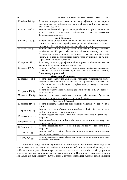28 СУМСЬКИЙ ІСТОРИКО-АРХІВНИЙ ЖУРНАЛ. №XХХІІІ. 2019

| 16 квітня 1489 р.  | 3 метою направлення коштів на фортифікацію міста король               |
|--------------------|-----------------------------------------------------------------------|
|                    | проголошує, що позбавляє мешканців Львова на 1 рік від сплати         |
|                    | будь-яких податків.                                                   |
| 7 грудня 1490 р.   | Король позбавляє від будь-яких податків ще на 1 рік після того, як    |
|                    | термін<br>звільнення,<br>мине<br>останнього<br>продовження<br>ДЛЯ     |
|                    | фортифікаційних робіт.                                                |
|                    | Ян I Ольбрахт                                                         |
| 8 лютого 1493 р.   | Король надає Львову звільнення від усяких податків протягом 4         |
|                    | років після закінчення терміну попереднього звільнення, наданого      |
|                    | Казимиром IV, для продовження фортифікації міста.                     |
| 25 січня 1494 р.   | Король, зважаючи на чималу шкоду, спричинену Львову пожежею,          |
|                    | позбавляє на 15 років від нового міського податку тих, які            |
|                    | безпосередньо зазнали втрат від пожежі, і на десять років - всіх      |
|                    | інших, щоб дати їм можливість відбудувати будинки, вежі та інші       |
|                    | укріплення, знищені пожежею.                                          |
| 20 червня 1497 р.  | З метою укріпити фортифікації міста король позбавляє львівських       |
|                    | мешканців від недавно встановленого мита.                             |
| 18 квітня 1499 р.  | Король у зв'язку з нападом турків і татар позбавляє львівських        |
|                    | міщан на 15 років від сплати будь-яких мит від товарів у цілому       |
|                    | Польському королівстві.                                               |
|                    |                                                                       |
|                    | Олександр Ягеллончик                                                  |
| 19 травня 1505 р.  | Король, щоб заохотити львівських громадян укріплювати місто,          |
|                    | позбавляє львів'ян та купців від сплати перевізного, мостового та     |
|                    | гребельного мит в усій державі, зрівнюючи у цьому відношенні          |
|                    | Львів з Краковом.                                                     |
| 22 травня 1505 р.  | Король позбавляє місто Львів від сплати шосу на 1 рік, а чопового -   |
|                    | на 2 квартали.                                                        |
| 22 лютого 1506 р.  | Король позбавляє<br>львівських<br>міщан<br>від<br>будь-яких<br>сплати |
|                    | цивільних податків і чопового протягом 6 років.                       |
|                    | Сигізмунд I Старий                                                    |
| 17 лютого 1507 р.  | Король позбавляє Львів від всіх міських податків і чопового на 6      |
|                    | років.                                                                |
|                    | Король з метою відбудови міста позбавляє Львів від сплати шосу        |
| 18 грудня 1512 р.  | на 1 рік, а чопового - на 2 квартали.                                 |
|                    | Король позбавляє місто Львів від сплати чопового податку на 2         |
| 26 вересня 1515 р. | квартали.                                                             |
|                    | Король позбавляє місто Львів від сплати чопового на два квартали      |
| 6 березня 1517 р.  | та шосу на 1 рік.                                                     |
| 17 березня 1518 р. | Король позбавляє місто Львів від сплати шосу і чопового на 2          |
|                    | квартали.                                                             |
| 1521-1523 pp.      | Король позбавляє місто Львів від податків на користь посилення        |
|                    | його обороноздатності.                                                |
| 1525-1547 pp.      | Король позбавляє місто Львів від податків на користь посилення        |
|                    | його обороноздатності.                                                |
|                    |                                                                       |

Видання королівських привілеїв на звільнення від сплати мит, податків зумовлювалися не лише потребою в посиленні обороноздатності міста, але й здійснювались унаслідок спустошливих татарських нападів та від усунення природних катаклізмів, яких нерідко зазнавало місто. Наприклад, такі привілеї видав Ян Ольбрахт для міщан у 1499 р., який у зв'язку з нападом турків і татар звільнив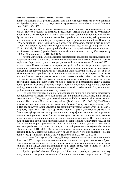львівських міщан на 15 років від сплати будь-яких мит від товарів та в 1494 р. звільнив на 15 років від нового податку тих, хто безпосередньо зазнав збитків від пожежі. (Капраль та ін., 2010: 142-145).

Варто зазначити, що однією з обтяжливих форм оподаткування населення окрім сплати мит та податків на користь королівської казни були збори на утримання війська, його квартирування, а також грошові відрахування на королівське військо. Тут можна простежити окрему категорію королівських привілеїв, які приймалися для звільнення від цих поборів. Наприклад, зареєстрований привілей від 18 жовтня 1496 р. виданий Яном Ольбрахтом, в якому він позбавляв райців і всю громаду Львова від обов'язку постачання одного воєнного воза у похід (Капраль та ін., 2010: 136-137). До цієї ж групи привілеїв відносяться привілеї-звільнення від участі у військових походах (привілей-звільнення від молдавського походу Сигізмунда І у 1509 р.) (Капраль та ін., 2010: 168-169).

Король Сигізмунд І Старий, як і його попередники, продовжив політику зменшення податкового тиску на львів'ян з метою пришвидшення будівництва та зведення міських укріплень. Серед іншого, привертає увагу привілей короля, виданий 17 лютого 1525 р., згідно з яким Сигізмунд дозволяв бурмистру і райцям Львова збирати у час ворожих нападів по півгроша або дев'ять денарів від кожного возу приїжджих людей з метою наведення порядку та відбудови й укріплення міста (Капраль та ін., 2010: 185-188). Мотивом надання привілею було те, що в час військової загрози, зокрема татарських нападів, Львів ставав притулком для населення із довколишніх сіл і містечок та біженців із ближніх регіонів. Все це створювало надмірне навантаження на інфраструктуру та комунікації міста, які опісля непросто було повернути до нормального стану. З іншого боку, привілей визначає особливе місце Львова як ключового оборонного форпосту регіону, що сприймався місцевим населенням як найбільш безпечний. Відтак привілей зробив цю безпеку оплачуваною послугою міста.

Як уже згадувалося, привілеї видавалися не лише для сприяння посилення обороноздатності міста, але і для ліквідацій природних катаклізмів, яких нерідко зазнавало місто. Так, унаслідок пожежі наприкінці XV ст. згоріло кілька веж, а через повінь 1514 р. течією Полтви знесло цілий вал (Tomkiewicz, 1971: 102,104). Найбільша пожежа в історії міста, яка завдала масштабної шкоди Львову, була зафіксована у 1527 р. Під час вибуху міських арсеналів серйозних руйнувань зазнали мури і вежі міста. В цілому, протягом 1380-1734 рр. місто горіло 14 разів (Tomkiewicz,1971: 105). Внаслідок руйнування міста через природні катастрофи, які вносили свої корективи у міцність оборонних споруд Львова, як монархи, так і магістрат знову і знову мусили шукати шляхи щодо відновлення та зміцнення укріплень міста. Низка документів була присвячена вирішенню питання відбудови львівських міських укріплень. Король Сигізмунд видає ряд привілеїв, які звільняли міщан Львова від сплати податей на двадцять років, чопового – на сім років, а також забороняє зведення будинків з дерева (Капраль та ін., 2010: 208-210). Задля відновлення міських укріплень після пагубної пожежі 1527 р. Сигізмунд віддав місту право збирати чоповий податок – на два роки у 1532 р. і на шість років у 1535 р. (Капраль та ін., 2010: 222-224).

Наступник Сигізмунда І, Сигізмунд ІІ Август своїм привілеєм-підтвердженням від 5 квітня 1552 р. врегулював забезпечення діяльності сторожі львівських брам. Посилаючись на віддавна існуючий звичай, король підтвердив право сторожів брам збирати при в'їзді до міста від кожного воза чи саней дров, сіна і соломи по одному поліну або в'язці сіна чи соломи (Капраль та ін., 2010: 313-316).

Адміністрація Сигізмунда ІІ Августа, як і його попередників, продовжила політику пошуку нових джерел та можливостей відновлення міських укріплень. У 1555 р.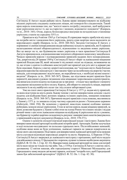Сигізмунд ІІ Август надав райцям міста Львова право використовувати на відбудову міських укріплень спадщину львівських міщан, які померли без спадкоємців. Такий крок король пояснював тим, що "жителі мають потребу у видатках, щоб вибудувати нові укріплення міста і ті, що за старістю є зношені, відновити і поновити" (Капраль та ін., 2010: 345). Отож, король безпосередньо вказував на незадовільне становище укріплень станом на середину XVI ст.

Привілеєм від 9 квітня 1565 р. Сигізмунд ІІ спрямував чверть прибутків від шосу на потреби міста і оновлення його укріплень, решта суми щорічно мала надходити до королівського скарбу (Капраль та ін., 2010: 360-362). Загалом Сигізмунд ІІ Август, у порівнянні зі своїми попередниками видав найменшу кількість привілеїв, які б сприяли налагодженню міської обороноздатності, відновленню та зведенню нових укріплень. Все це вказує на те, що будівництво нових укріплень в часи правління Сигізмунда II Августа припинилося, а відновлення вже існуючого оборонного комплексу занедбалося. Чимало привілеїв короля є підтвердженнями привілеїв наданих його попередниками. Так, декретом від 28 травня 1569 р. Сигізмунд ІІ Август зберіг за львівськими міщанами привілей Владислава III, який звільняв їх від всяких оплат на підводи, незважаючи на те, що згідно з однією із сеймових конституцій такі привілеї для усіх міст в державі уже були скасовані. Король у своєму декреті наголошував, що "оскільки місто Львів близько кордонів королівства знаходиться і є виставлене через це на небезпеку від ворогів і частих нападів, для попередження і відсічі яких, як передбачається, є необхідні великі кошти і видатки" (Капраль та ін., 2010: 365-367). Цікаво, що підставою видачі привілею були перипетії, викликані судовою тяганиною між міщанами і королівською адміністрацією, яка вимагала сплати податку на підводи аж за три роки – стільки часу пройшло з моменту скасування звільнення на його оплату. Король, аби вберегти лояльність міщан, вирішив звільнити їх як від майбутніх оплат так і від сплати заборгованої суми.

Уже на схилі свого правління Сигізмунд II Август у 1571 р. надав місту привілей, за яким відступив на шість років Львову чопове з метою використання доходів з цього податку для відбудови башт, воєнних знарядь та інших укріплень, знищених пожежею (Капраль та ін., 2010: 368-367). Причиною видачі привілею стала пожежа, яка виникла у Львові у 1571 р. та знищила східну частину середмістя разом з Успенською церквою (Zubrzycki, 1844: 194). Як зазначено у привілеї, внаслідок пожежі особливо значних руйнувань зазнали міські укріплення. З тою ж метою король надав міщанам привілей, за яким дозволяв будувати у Львові хлібні ятки на площі Ринок чи в інших місцях і віддав річний чинш з цих яток львівським міщанам на відбудову й укріплення міста з умовою, що бурмистр та райці щорічно складатимуть рахунок з використаних коштів (вказувалось у прикінцевій клаузулі документа) (Капраль та ін., 2010: 370-371).

Одним із аспектів спільної взаємодії королівської влади і магістрату Львова було використання міської артилерії на військові потреби армії. Артилерія Львова залучалася в ході польсько-молдавських чи польсько-турецьких воєн. Після військових кампаній, особливо якщо вони не були успішними, львівські гармати не завжди поверталися на місце свого дислокування. Підставою для використання львівської артилерії поза межами міста слугували відповідні королівські декрети та листи. Наприклад, 12 березня 1570 р. Сигізмунд II Август звернувся до львівського магістрату з проханням, щоб місто надало для військового походу 12 фальконетів з порохом, кулями та іншою необхідною амуніцією (ЦДІАЛ. Ф. 52. Оп. 1. Спр. 42: 32). Використання львівської артилерії не лише для потреб міста мало місце не тільки під час війн. Так, у 1554 р. Сигізмунд II Август у своєму листі, датованому 12 квітня наказав, аби городоцькому старості Миколаю Мелецькому для Городоцького замку видали дві великі гармати, оскільки "потреба того, щоб Городоцький замок був забезпечений артилерією" (ЦДІАЛ. Ф. 52. Оп. 1. Спр. 42: 30).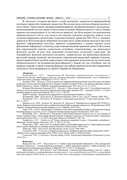В контексті історико-архівних студій визначено джерельно-інформаційний потенціал привілеїв створених династією Ягеллонів щодо питань обороноздатності міста Львів. Таким чином, проаналізувавши привілеї, які функціонували у документнокомунікаційній системі династії Ягеллонів в питанні обороноздатності міста Львова можемо систематизувати їх за змістом як привілеї, що були видані для відновлення обороноздатності міста, для захисту від нападів турецько-татарських військ та від усунення природних катаклізмів. З проаналізованих привілеїв XIV-XVI ст. виданих династією Ягеллонів щодо оборонної політики міста Львів можемо виділити наступні функції: інформаційну оскільки, привілеї створювалися з певних причин задля фіксування інформації; соціальну, адже кожний виданий привілей династії Ягеллонів був спричинений певною соціальною потребою; комунікативну, що виконувала функцію засобу зв'язку між окремими елементами суспільної структури. До специфічних функцій документа належать: управлінська, що виконувала функцію реалізації завдань та рішень, які виходили з королівської канцелярії; правова, оскільки, видані привілеї були засобом закріплення і змін правових відносин під час посилення обороноздатності чи будівництва фортифікацій у Львові під час стихійних лих чи ворожих нападів; а також історична функція, яку набули привілеї після своєї оперативної дієвої ролі і були відправлені до ЦДІАЛ України на збереження.

#### Література:

Банасюкевич, 1973 – Банасюкевич В. Функции управленческих документов // Терминологические проблемы в области документоведения и архивоведения: тези сообщений к теоретическому семинару. ВНИИДАД. 1973. С. 69-75.

Білущак, 2016 – Білущак Т. Роль документів в інформаційній комунікації міської влади у питаннях розбудови та налагодження оборони міста Львова у першій половині XVII ст. (на прикладі архівних джерел ЦДІА України у м. Львів) // ЕМІНАК: науковий щоквартальник. 2016. № 2 (1). Т.1. С. 10-16.

Білущак, Шеломенцев-Терський, 2013 – Білущак Т., Шеломенцев-Терський С. Стан обороноздатності Львова у світлі архівних документів королівської канцелярії середини XIV – середини XVII ст. // Студії з архівної справи та документознавства. 2013. Т. 21. С. 140-147.

ЦДІАЛ України – Центральний державний історичний архів України, м.Львів.

Кушнаренко, 2008 – Кушнаренко Н. Документоведение: учеб. 8- изд., стер. К.: Знання, 2008. 459 с. Илюшенко, 1973 – Илюшенко М. К вопросу о функциях документов // Советские архивы. 1973. № 5. С. 10-17.

Капраль та ін., 2010 – Капраль М., Дашкевич Я., Дашкевич Р. Привілеї міста Львова (XIV-XVIII ст.). Львів: Львівське відділення Інституту української археографії та джерелознавства ім. М.Грушевського НАН України; Львівський національний універсистет ім. І.Франка, 2010. 544 с.

Liske, 1878 – Liske X. Akta grodzkie i ziemskie z czasуw Rzeczypospolitej Polskiej z archiwum tak zwanego bernardyсskiego we Lwowie. Lwуw: Z Drukarni zakіadu narodowego im. Ossoliсskich, 1878. 326 s.

Bilushchak, 2013 – Bilushchak T. Documents Central State Historical Archives in Lviv as a Channel of Social Communication // Proceedings 4th International Academic Conference of Young Scientists "Humanities and Social Sciences 2013". Lviv, 2013. Electronic edition on CD-ROM. P. 100 -102.

Tomkiewicz, 1971 – Tomkiewicz W. Dzieje obwarowaс miejskich Lwowa // Kwartalnik architektury i urbanistyki. Teoria i historia. Warszawa, 1971. Т. ХVІ. S. 93-138.

Zimorowicz, 1899 – Zimorowicz B. Leopolis Triplex czyli Kronika miasta Lwowa // Opera quibus res gestae urbis Leopolis illustrantur ex mandato senatus eiusdem civitatis Leopoli, 1899. 424 p.

Zubrzycki, 1844 – Zubrzycki D. Kronika miasta Lwowa. Lwуw, 1844. 600 s.

Czoіowski, 1896 – Czoіowski A. Pogląd na organizacyę i działalność dawnych władz miejskich do 1848r. / / Miasto Lwów w okresie samorządu (1870–1895). Lwуw: Gmina, 1896. S. XXIII-LXXXIV.

Czoіowski, 1910 – Czołowski A. Wysoki Zamek. Lwów: Towarzystwa Miłośnikow Przeszłości Lwowa, 1910. 126 s.

#### References:

Banasyukevich, 1973 – Banasyukevich V. Funktsii upravlencheskikh dokumentov [The management document functions] // Terminologicheskie problemy v oblasti dokumentovedeniya i arkhivovedeniya: tezi soobshchenii k teoreticheskomu seminaru. VNIIDAD. 1973. S. 69-75. [in Russian].

Bilushchak, 2016 – Bilushchak T. Rol' dokumentiv v informacijnij komunikacii' mis'koi' vlady u pytannjah rozbudovy ta nalagodzhennja oborony mista L'vova u pershij polovyni XVII st. (na prykladi arhivnyh dzherel CDIA Ukrai'ny u m. L'viv) [The role of documents in information communications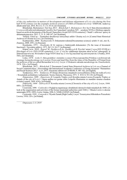of the city authorities in matters of development and defense adjustment of Lviv city during the first half XVII century (on the example archival sources of CSHA of Ukraine in Lviv)] // EMINAK: naukovyj shhokvartal'nyk. 2016. № 2 (1). T.1. S. 10-16. [in Ukrainian].

Bilushchak, Shelomencev-Ters'kyj, 2013 – Bilushchak T., Shelomencev-Ters'kyj S. Stan oboronozdatnosti L'vova u svitli arhivnyh dokumentiv korolivs'koi' kanceljarii' seredyny XIV – seredyny XVII st. [Defense capacity based on archival documents of the Royal Chancellery in mid XIV-XVII centuries] // Studii' z arhivnoi' spravy ta dokumentoznavstva. 2013. T. 21. S. 140-147. [in Ukrainian].

TsDIAL Ukrai'ny – Tsentralnyi derzhavnyi istorychnyi arkhiv Ukrainy m.Lviv [Central State Historical Archives of Ukraine in Lviv]. [in Ukrainian].

Kushnarenko, 2008 – Kushnarenko N. Dokumentovedenie[Documentary science]: ucheb. 8- izd., ster. K.: Znannya, 2008. 459 s. [in Russian].

Ilyushenko,  $1973 - Ilyu\sinh(\theta)$  M. K voprosu o funktsiyakh dokumentov [To the issue of document functions] // Sovetskie arkhivy. 1973. № 5. S. 10-17. [in Russian].

Kapral' ta in., 2010 – Kapral' M., Dashkevych Ja., Dashkevych R. Pryvilei' mista L'vova (XIV-XVIII st.) [Privileges of Lviv (XIV-XVIII centuries)]. L'viv: L'vivs'ke viddilennja Instytutu ukrai'ns'koi' arheografii' ta dzhereloznavstva im. M.Grushevs'kogo NAN Ukrai'ny; L'vivs'kyj nacional'nyj universystet im. I.Franka, 2010. 544 s. [in Ukrainian].

Liske, 1878 – Liske X. Akta grodzkie i ziemskie z czasуw Rzeczypospolitej Polskiej z archiwum tak zwanego bernardyсskiego we Lwowie [Town and land files from the times of the Republic of Poland from the archives of the so-called Bernardine in Lviv]. Lwуw: Z Drukarni zakіadu narodowego im. Ossoliсskich, 1878. 326 s. [in Poland].

Bilushchak, 2013 – Bilushchak T. Documents Central State Historical Archives in Lviv as a Channel of Social Communication // Proceedings 4th International Academic Conference of Young Scientists "Humanities and Social Sciences 2013". Lviv, 2013. Electronic edition on CD-ROM. P. 100 -102. [in English].

Tomkiewicz, 1971 – Tomkiewicz W. Dzieje obwarowaс miejskich Lwowa [History of the city walls of Lviv] // Kwartalnik architektury i urbanistyki. Teoria i historia. Warszawa, 1971. Т. ХVІ. S. 93-138. [in Poland].

Zimorowicz, 1899 – Zimorowicz B. Leopolis Triplex czyli Kronika miasta Lwowa [Leopolis Triplex or Annals of the city of Lviv] // Opera quibus res gestae urbis Leopolis illustrantur ex mandato senatus eiusdem civitatis Leopoli, 1899. 424 p. [in Poland].

Zubrzycki, 1844 – Zubrzycki D. Kronika miasta Lwowa [Chronicle of the city of Lviv]. Lwyw, 1844. 600 s. [in Poland].

Czoіowski, 1896 – Czołowski A. Pogląd na organizację i działalność dawnych władz miejskich do 1848 r. [A look at the organization and activities of the former municipal authorities until 1848.] // Miasto Lwów w okresie samorządu (1870–1895). Lwów: Gmina, 1896. S. XXIII-LXXXIV. [in Poland].

Czoіowski, 1910 – Czoіowski A. Wysoki Zamek [High Castle]. Lwуw: Towarzystwa Miłośnikow Przeszłości Lwowa, 1910. 126 s. [in Poland].

Отримано 2.11.2019

 $\frac{1}{2}$  ,  $\frac{1}{2}$  ,  $\frac{1}{2}$  ,  $\frac{1}{2}$  ,  $\frac{1}{2}$  ,  $\frac{1}{2}$  ,  $\frac{1}{2}$  ,  $\frac{1}{2}$  ,  $\frac{1}{2}$  ,  $\frac{1}{2}$  ,  $\frac{1}{2}$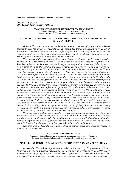### UDC 94(477.52): 374.7 DOI: doi.org/10.21272/shaj.2019.i33.p.33

VYACHESLAV O.ARTYUKH<sup>1</sup>, HENNADIY M. IVANUSHCHENKO<sup>2</sup> <sup>1</sup>PhD (Philosophy), Sumy State University (Ukraine) <sup>2</sup>Researcher, Ukrainian Information Service in London (UK)

### SOURCES TO THE HISTORY OF THE EDUCATION SOCIETY 'PROSVITA' IN SUMY (1917-1918)

Abstract. This work is dedicated to the publication and analysis of 15 previously unknown documents from the history of 'Prosvita' society during the Ukrainian Revolution (1917-1918). Some of the documents are now stored in the funds of the State Archive of Sumy Oblast and the Central State Archive of Supreme Authorities and Governments of Ukraine, the another section are newspaper publications in rare editions and a memoir.

The contents of the documents testifies that in Sumy the 'Prosvita' Society was established on April 9, 1917 and already on May 21 strongly declared itself, becoming the organizer of the Shevchenko festival. At the same time, the Society made proposals to name one of the city streets by the name of Taras Shevchenko, and erect a monument in memory of him. Sumy 'Prosvita' took an active part in the Ukrainianization of the local state administrations when the Hetman Pavlo Skoropadskyj was a ruler of Ukraine. At 'Prosvita', courses in Ukrainian Studies and Ukrainian were opened for civil servants, teachers and all who were interested. In October 1918, during the discussion around introduction of two state languages in Ukraine – the Ukrainian and Russian, congresses of the 'Prosvita' societies of Sumy district unambiguously had spoken in favour of the Ukrainian language as the only state language and a resolution was sent to Hetman Skoropadskyj. Also, 'Prosvita' constantly had organized literary meeting and concerts, lectures, most often in its premises. Here, the famous Ukrainian writer Hnat Hotkevych had lectured on the history of Ukraine from October 15, 1918. In addition, lectures on national issues here were read by Yakiv Mamontov, V. Kolomiets, Mykola Yukhnovsky. On October 3, 1918, a concert of the famous kobzar Ivan Kuchuhura-Kucherenko was scheduled in the premises of 'Prosvita'. Also, theatrical activity was one of the main activities of 'Prosvita'. Prosvita in Sumy had staged performances at the Korepanov Theatre, which they rented. A Ukrainian choir also perfomed at the 'Prosvita'. In 1918, at the time of the Ukrainian State of Hetman P. Skoropadskyj, the most significant in the activity of Sumy 'Prosvita' was the opening by virtue of his efforts, Ukrainian grammar schools. Grammar schools were started to active in Sumy and in Nyzhnia Syrovatka and Yunakivka villages.

The documents provided make it possible to carry out a reasoned reconstruction of national and cultural life in Sumy during the Ukrainian Revolution, they will undoubtedly interest historians and local historians and will stimulate further research in this direction, as they shed additional light on the history of cultural and educational work in Sumy, as well as wider the role of "Prosvita" in the processes of modern Ukrainian national formation.

Keywords. Sumy, "Prosvita", revolution, Ukrainianization, education, Ukrainian language, theatre, Taras Shevchenko.

#### В.О. АРТЮХ<sup>1</sup>, Г.М. ІВАНУЩЕНКО<sup>2</sup>

<sup>1</sup>Кандидат філософських наук, Сумський державний університет (Україна); 2 Історик, Українська Інформаційна Служба в Лондоні (Велика Британія)

### ДЖЕРЕЛА ДО ІСТОРІЇ ТОВАРИСТВА "ПРОСВІТА" В СУМАХ (1917-1918 рр.)

Анотація. Ця робота присвячена публікації й аналізу 15 раніше невідомих документів з історії Сумської "Просвіти" доби Української революції (1917-1921). Зміст документів засвідчує, що в Сумах Товариство "Просвіта" було створено 9 квітня 1917 р. і вже 21 травня голосно заявило про себе, ставши організатором Шевченківського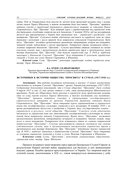свята. Тоді ж Товариством були внесені до міської думи пропозиції назвати одну з вулиць міста іменем Тараса Шевченка, а також поставити йому пам'ятник. "Просвіта" прийняла активну участь в українізації державного управлінського апарату за гетьмана Павла Скоропадського. При "Просвіті" були відкриті курси з українознавства та української мови для державних службовців, вчителів та всіх бажаючих. У жовтні 1918 р. під час розгортання дискусії про впровадження в Україні двох державних мов – української і російської, з'їзд товариств "Просвіт" Сумського повіту однозначно висловися за українську мову як єдину державну і резолюція з цього приводу була направлена гетьманові Скоропадському. Крім того, "Просвіта" постійно організовувала проведення літературних вечірок та концертів, читання лекцій, найчастіше у своєму приміщенні. Театральна справа залишалася одним з головних напрямків діяльності "Просвіти". Сумські просвітяни ставили спектаклі як своїми власними силами, так і організовували виступи українських труп в орендованому ними театрі Корепанова. При "Просвіті" діяв також український хор. У 1918 р. найбільш значущим у діяльності Сумської "Просвіти" було відкриття її зусиллями українських гімназій у Сумах та селах Нижня Сироватка й Юнаківка.

Ключові слова. Суми, "Просвіта", революція, українізація, освіта, українська мова, театр, Тарас Шевченко.

#### В.А. АРТЮХ<sup>1</sup>, Г.Н. ИВАНУЩЕНКО<sup>2</sup>

<sup>1</sup>Кандидат философских наук, Сумской государственный университет (Украина); <sup>2</sup>Историк, Украинская информационная служба в Лондоне (Великобритания)

### ИСТОЧНИКИ К ИСТОРИИ ОБЩЕСТВА "ПРОСВИТА" В СУМАХ (1917-1918 гг.)

Аннотация. Эта работа посвящена публикации и анализу 15 ранее неизвестных документов из истории Сумской "Просвиты" времен Украинской революции (1917-1921). Содержание документов показывает, что в Сумах общество "Просвита" было создано 9 апреля 1917 и уже 21 мая громко заявило о себе, став организатором Шевченковского праздника. Тогда же Обществом были внесены в городскую думу предложения назвать одну из улиц города именем Тараса Шевченко, а также поставить ему памятник. "Просвита" приняла активное участие в украинизации государственного управленческого аппарата во времена Украинской Державы гетмана Павла Скоропадского. При "Просвите" были открыты курсы украиноведения и украинского языка для государственных служащих, учителей и всех желающих. В октябре 1918 г. во время развертывания дискуссии о внедрении в Украине двух государственных языков – украинского и русского, съезд обществ "Просвиты" Сумского уезда однозначно высказался за украинский язык как единственный государственный и резолюция по этому поводу была направлена гетману Скоропадскому. Кроме того, "Просвита" постоянно организовывала проведение литературных вечеринок и концертов, чтения лекций, чаще всего в своем помещении. Театральное дело оставалась одним из главных направлений деятельности "Просвиты". Сумские просветители ставили спектакли как своими собственными силами, так и организовывали выступления украинских трупп в арендованном ими театре Корепанова. При "Просвите" действовал также украинский хор. В 1918 г. наиболее значимым в деятельности Сумской "Просвиты" было открытие ее усилиями украинских гимназий в Сумах и селах Нижняя Сыроватка и Юнаковка.

Ключевые слова. Сумы, "Просвита", революция, украинизация, образование, украинский язык, театр, Тарас Шевченко.

Процеси модерного націєтворення серед народів Центрально-Східної Європи за результатами Першої світової війни завершилися для багатьох із них виникненням власних держав. Подібні процеси прослідковуються і в Україні. Тут творення нації на етнічній основі, започатковане в ХІХ ст., також вивершується виникненням у добу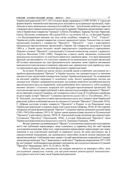## СУМСЬКИЙ ІСТОРИКО-АРХІВНИЙ ЖУРНАЛ. №XXXIII. 2019 **1998** 35

Української революції (1917-1921) кількох форм державності (УНР, ЗУНР). У структурі формотворчих чинників нації важливу роль відіграють культурницькі організації, через діяльність яких національно-свідома еліта (найчастіше – інтелігенція) мобілізує народ на створення своєї справді національної культури й держави. Першими організаціями такого типу в Україні були товариства "Громади" (у Києві, Петербурзі, Харкові, Полтаві, Чернігові, Одесі). Після них, починаючи з 60-х років ХІХ ст. і до початку ХХ ст., і в Західній Україні, і на Наддніпрянщині виникає ще ціла низка подібних товариств: "Січі", "Соколи", Українські клуби, наукові товариства, сільські драматичні гуртки. Типологічно до таких організацій належить і товариство "Просвіта". "Просвіта" – одна з найстаріших національно-просвітницьких організацій в Україні. Це товариство заснувала 8 грудня 1868 р. у Львові група молодих людей народовського (українського) спрямування. Першим головою "Просвіти" став відомий у Галичині композитор, педагог і журналіст Анатоль Вахнянин (1841-1908). Товариство ставило своїм завданням піднесення національно-культурного та освітнього рівня всіх українців краю. Але крім виконання функцій, що випливають з їх статутних завдань всі ці національно-культурні організації об'єктивно виконували ще одне фундаментальне завдання: вони сприяли вихованню національної самосвідомості широких народних мас, привносячи туди українську ідею, та укріплювали цим самим етнічний фундамент української нації.

За останні 30 років ми маємо досить великий масив історичних досліджень як з проблем функціонування "Просвіт" в Україні загалом, так і розкриття ролі та значення діяльності цих організацій в конкретних умовах Української революції. Та, незважаючи на вагомий доробок науковців із зазначеної теми, багато невирішених питань ще залишається. Одним з напрямків подальших досліджень може бути заглиблення аналізу просвітянського руху на первинний, локальний рівень його діяльності, тобто на рівень низових міських і сільських осередків цієї культурно-просвітницької організації. На сьогодні ми вже маємо перші публікації, в яких аналізується специфіка діяльності "Просвіт" як на території сучасної Сумщини, так і конкретно в місті Суми. В. Голубченко спробував подати нарис історії "Просвіт" Сумщини протягом усього ХХ ст. (Голубченко, 2011). В. Ленський, досліджуючи історію просвітянського руху на Сумщині часів Української революції, робить особливий наголос на діяльності Сумської "Просвіти" (Ленський, 2016). Г. Діброва дослідив історію товариств "Просвіти" в Ромнах та на Роменщині часів Української революції та перших років совєтської влади (Діброва, 2018). В. Нестеренко заторкнув питання функціонування "Просвіт" Сумщини періоду німецької окупації краю (1941-1943) (Нестеренко, 2013). В. Артюх також проаналізував діяльність Путивльської "Просвіти" в цей період (Артюх, 2019). В. Терлецький подав свідчення про передісторію Глухівської "Просвіти" (Терлецький, 1994). А історія Лебединської "Просвіти" часів Української революції розглядається в статті Б. Ткаченка (Ткаченко, 1999).

Велике значення для вивчення ролі "Просвіт" в тогочасному національно-культурному житті має публікація першоджерел: вони становлять ту первинну базу, без якої наукове дослідження неможливе. Крім того, оприлюднення опрацьованих першоджерел має певне значення й для освітянської аудиторії та широкого загалу, бо вони виступають ще й самодостатніми оповідачами, що допомагають самостійно скласти цілісне уявлення про просвітянський рух. І публікація таких джерел з історії просвітянських осередків на Сумщині також вже розпочалася. Так, Г. Іванущенко у своїй книзі "Українське відродження 1917-1920 рр. на Сумщині" опублікував кілька архівних документів, що стосуються діяльності Сумської "Просвіти" (Іванущенко, 2010: 32-33, 60-61, 94, 98).

Мета публікації цих документів, що вперше вводяться до наукового обігу: дати дослідникам джерельну основу для аргументованої реконструкції національнокультурного життя в Сумах часів Української революції.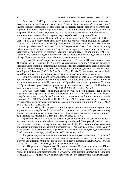Революція 1917 р. підняла на новий рівень процеси національного самоусвідомлення на Сумщині. Тут осередки "Просвіт" були головними "українізаторами" малоросійського народного середовища через систему освіти, бібліотек, театральної і хорової діяльності, курсів українознавства та читання лекцій. Фактично, в цей час осередки "Просвіт" у містах, селах і хуторах були представниками і провідниками волі національного революційного парламенту – Української Центральної Ради.

У Сумах Товариство "Просвіта" було створено 9 квітня 1917 р. (ДАСО. Ф. 2. Оп. 1. Спр. 34: 31). За основу своєї діяльності ним був узятий статут колишньої Одеської "Просвіти", а почесними членами обрані Михайло Грушевський та Микола Василенко. Очолив просвітянський осередок Василь Покровський. Вже 16 квітня на першому Губернському з'їзді представників Українського народу в Харкові він звітував про заснування та початки діяльності осередку товариства (Губернський, 1917: 2). Проіснувало товариство до початку січня 1919 р. Після захоплення влади в місті 5 січня 1919 р. більшовиками воно свою діяльність вже не відновлювало.

Сумська "Просвіта" вперше голосно заявила про себе під час Шевченківського свята 21 травня 1917 р. (Порядок, 1917: 2). Тоді за результатами мітингу "Просвіта" внесла до міської думи пропозицію назвати одну з вулиць іменем Тараса Шевченка, а також поставити йому пам'ятник. Через рік "Просвіта" своє прохання повторила, додавши до Шевченка ще й ім'я Бориса Грінченка (ДАСО. Ф. 354. Оп. 1. Спр. 56: 33). Таким чином, на символічній карті Сум було започатковано формування шару українськї національної топонімії.

Вже в перший рік свого існування просвітянський осередок м. Суми намагався брати участь і в місцевому політичному житті. Так, у союзі з Українським технічним та агрономічним товариством "Праця" сумська "Просвіта" взяла участь у виборах 30 липня 1917 р. до міської думи. Набрала при цьому, правда, найменше голосів: із 9882 виборців за неї проголосувало всього 112 (ДАСО. Ф. Р-2362. Оп. 1. Спр. 29: 62).

Сумська "Просвіта" прийняла активну участь в українізації державного управлінського апарату за гетьмана П. Скоропадського. При "Просвіті" були відкриті курси з українознавства та української мови для державних службовців, вчителів та всіх бажаючих (ЦДАВО України. Ф. 2201с. Оп. 2. Спр. 374: 5). Прохання створити такі курси Сумська "Просвіта" подала до повітових земських зборів ще наприкінці 1917 р. (ДАСО. Ф. Р-2362. Оп. 1. Спр. 23: 20).

У жовтні 1918 р. під час розгортання дискусії про впровадження в Україні двох державних мов – української і російської з'їзд товариств "Просвіти" Сумського повіту однозначно висловися за українську мову як єдину державну і резолюція з цього приводу була направлена гетьманові Скоропадському (Съезд, 1918: 4).

Крім того, "Просвіта" постійно організовувала проведення літературних вечірок, читання лекцій та концертів, найчастіше у своєму приміщенні. Приміром, відомий літератор Гнат Хоткевич лекції з історії України читав з 15 жовтня 1918 р. Крім того, лекції з національної проблематики читали письменник Яків Мамонтов, В. Коломієць, Микола Юхновський. А на 3 жовтня 1918 р. у приміщенні "Просвіти" був запланований концерт відомого кобзаря Слобожанщини Івана Кучугури-Кучеренка (Український, 1918: 4).

Театральна справа залишалася одним з головних напрямків діяльності "Просвіти". Сумські просвітяни ставили спектаклі як своїми власними силами, так і організовували виступи українських труп в орендованому ними театрі Корепанова (ДАСО. Ф. 354. Оп. 1. Спр. 56: 23). При "Просвіті" діяв також український хор.

У 1918 р. за часів Української Держави гетьмана П. Скоропадського найбільш значущим у діяльності Сумської "Просвіти" було відкриття її зусиллями українських гімназій. Гімназії були започатковані в Сумах та селах Нижня Сироватка й Юнаківка (Гимназия, 1918). Крім того, Сумське товариство в 1918 р. організувало курси української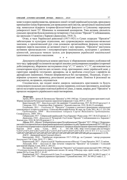мови та курси українознавства, проводило лекції з історії української культури, орендувало приміщення театру Корепанова для проведення своїх вистав, організувало національний хор, намагалося відкрити історико-філологічний факультет в Сумському народному університеті імені Т.Г. Шевченка та книжковий кооператив. Така активна діяльність сумських просвітян була відзначена на четвертому з'їзді спілки "Просвіт" Слобожанщини, що проходив 13 жовтня у Харкові (Даниленко, 1918: 3).

Отже, в часи Української революції (1917-1921) в Сумах осередок "Просвіти" забезпечував те культурне піднесення, яке супроводжувало національно-визвольні змагання, а просвітянський рух став основною організаційною формою залучення широких верств населення до активної участі у цих процесах. "Просвіта" виступила активним пропагандистом і популяризатором національних, культурних і духовних цінностей, докладала чимало зусиль для формування української національної ідентичності місцевого населення.

\* \* \*

Документи публікуються мовою оригіналу зі збереженням мовних особливостей того часу: орфографії та елементів застарілої лексики для відтворення специфіки історичної доби (наприклад, збережено застосування літер "е", "і" замість "є", "ї", що пояснюється елементарною відсутністю цих останніх літер, притаманних лише українській мові, у гарнітурах шрифтів тогочасних друкарень; ця ж проблема стосується і шрифтів на друкарських машинках). Описки виправляються без застережень. Подекуди, згідно з нормами сучасного правопису, розставлені розділові знаки. Помітки й резолюції на документах, як правило, опускаються.

Сподіваємося, що подані нижче джерела зацікавлять краєзнавців та будуть стимулювати подальші дослідження в цьому напрямку, оскільки проливають додаткове світло на історію культурно-освітньої роботи в Сумах, а також, ширше, ролі "Просвіти" в процесах модерного українського націєтвотворення.

#### Література:

Артюх, 2019 – Артюх В. Путивльська "Просвіта" в 1941-1943 рр. // Сумські історико-краєзнавчі студії. Збірник матеріалів Регіональної науково-практичної коференції. Суми, 2019. С. 28-32.

Берестовський, 1917 – Берестовський І. До українців // Сумской вестник. 1917. № 183 (22 августа). С. 4. Гимназия, 1918 – Гимназия в Вер. Сыроватке // Земские известия. 1918. № 44 (12 сентября).

Голубченко, 2011 – Голубченко В. "Просвіта" Сумщини в контексті формування національної самосвідомості: історія та сучасність // Світогляд-Філософія-Релігія: Зб. наук. пр. Суми, 2011. № 1. С. 221-230. Гребенщиков, 2009 – Воспоминания генерала Сергея Яковлевича Гребенщикова. Симферополь, 2009. 344 с.

Губернський, 1917 – Губернський український з'їзд в Харькові // Рідне слово. 1917. № 4 (22 квітня). С. 2 Даниленко, 1918 – Даниленко К. Четвертий з'їзд Спілки "Просвіт" Слобожанщини в м. Харькові // Земське діло. 1918. № 345 (28 жовтня). С. 3.

Діброва, 2018 – Діброва Г. В обороні рідного краю (З історії роменської "Просвіти" 1917–1924 рр.) // Літературномистецькі та історичні контексти формування національної державності в добу Української революції 1917-1921 рр. та їх педагогічна інтерпретація в сучасній освітній діяльності: матеріали обласної науково-практичної конференції, 21 березня 2018 року. Суми, 2018. C. 101-108. URL: http://www.soippo.edu.ua/images/ % D 0 % 9 D % D 0 % B E % D 0 % B 2 % D 0 % B 8 % D 0 % B D % D 0 % B 8 / 2 0 1 8 / 0 3 / 2 3 / n o v o s t 4 / %D0%9C%D0%B0%D1%82%D0%B5%D1%80%D1%96%D0%B0%D0%BB%D0%B8.pdf (дата звернення 21.12.19).

ДАСО – Державний архів Сумської області.

Іванущенко, 2010 – Українське відродження 1917-1920 рр. на Сумщині / автор-упорядник Іванущенко Г.М. Суми, 2010. Т. 1. 280 с.

Кириєвський, 2017 – Кириєвський В. Українська весна в Шостці // Слово Просвіти. 2017. 21 квітня. Ленський, 2016 – Ленський О. Про початки товариства "Просвіта" на Сумщині // Сумський краєзнавчий збірник. Суми, 2016. С. 205-211.

Нестеренко, 2013 – Нестеренко В. Товариства "Просвіта" на Сумщині в роки окупації (1941-1943 рр.) // Суспільно-політичні процеси на українських землях: зб. матер. ІІ Всеукр. наук.-практ. конф., м. Суми, 21 травня 2013 р. Суми, 2013. С. 41-43.

Покровський, 1917 – Покровський В. Суми, 21-го травня // Сумской вестник. 1917. № 109 (21 мая). С. 4. Порядок, 1917 – Порядок украинскго праздника // Сумской вестник. 1917. № 109 (21 мая). С. 2.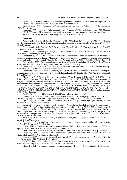Протест, 1917 – Протест проти відокремлення Харьківщини // Нова Рада. 1917. № 134 (10 вересня). С. 3. Съезд, 1918 – Съезд просвит // Луч. 1918. № 96 (9 октября). С. 4.

Терлецький, 1994 – Терлецький В. До питання про глухівську "Просвіту" // Глухівщина. 1994. 19 грудня.

Ткаченко, 1999 – Ткаченко Б. Лебединський гурток "Просвіта" // Життя Лебединщини. 1999. 20 січня. ЦДАВО України – Центральний державний архів вищих органів влади та управління України. Український, 1918 – Український концерт // Луч. 1918. 3 жовтня. С. 4.

#### References:

Artiukh, 2019 – Artiukh V. Putyvlska "Prosvita" v 1941-1943 rr. [Putivl's " Prosvita" in 1941-1943] // Sumski istoryko-kraieznavchi studii. Zbirnyk materialiv Rehionalnoi naukovo-praktychnoi koferentsii. Sumy, 2019. S. 28- 32. [in Ukrainian].

Berestovskyi, 1917 – Berestovskyi I. Do ukraintsiv [To the Ukrainians] // Sumskoi vestnyk. 1917. № 183 (22 avhusta). S. 4. [in Ukrainian].

Gimnaziya, 1918 – Gimnaziya v Ver. Syrovatke [Gymnasium in the Verhniaya Syrovatka] // Zemskie izvestiya. 1918. № 44 (12 sentyabrya). [in Russian].

Holubchenko, 2011 – Holubchenko V. "Prosvita" Sumshchyny v konteksti formuvannia natsionalnoi samosvidomosti: istoriia ta suchasnist ["Prosvita" of Sumy in the context of formation of national consciousness: history and modernity] // Svitohliad-Filosofiia-Relihiia: Zb. nauk. pr. Sumy, 2011. № 1. S. 221-230. [in Ukrainian].

Grebenshikov, 2009 – Vospominaniya generala Sergeya Yakovlevicha Grebenshikova [Memoirs of General Sergey Yakovlevich Grebenshchikov]. Simferopol, 2009. 344 s. [in Russian].

Hubernskyi, 1917 – Hubernskyi ukrainskyi zizd v Kharkovi [Provincial Ukrainian Congress in Kharkiv] // Ridne slovo. 1917. № 4 (22 kvitnia). S. 2. [in Ukrainian].

Danylenko, 1918 – Danylenko K. Chetvertyi zizd Spilky "Prosvit" Slobozhanshchyny v m. Kharkovi [The fourth congress of the Prosvita Union of Slobozhanshchina in Kharkiv] // Zemske dilo. 1918. № 345 (28 zhovtnia). S. 3. [in Ukrainian].

Dibrova, 2018 – Dibrova H. V oboroni ridnoho kraiu (Z istorii romenskoi "Prosvity" 1917–1924 rr.) [In defense of the native land (From the history of the Romany " Prosvita" 1917-1924)] // Literaturno-mystetski ta istorychni konteksty formuvannia natsionalnoi derzhavnosti v dobu Ukrainskoi revoliutsii 1917-1921 rr. ta yikh pedahohichna interpretatsiia v suchasnii osvitnii diialnosti: materialy oblasnoi naukovo-praktychnoi konferentsii, 21 bereznia 2018 roku. Sumy, 2018. C. 101-108. URL: http://www.soippo.edu.ua/images/ % D 0 % 9 D % D 0 % B E % D 0 % B 2 % D 0 % B 8 % D 0 % B D % D 0 % B 8 / 2 0 1 8 / 0 3 / 2 3 / n o v o s t 4 / %D0%9C%D0%B0%D1%82%D0%B5%D1%80%D1%96%D0%B0%D0%BB%D0%B8.pdf (data zvernennia 21.12.19). [in Ukrainian].

DASO – Derzhavnyi arkhiv Sumskoi oblasti [State archive of Sumy region].

Ivanushchenko, 2010 – Ukrainske vidrodzhennia 1917-1920 rr. na Sumshchyni [Ukrainian Revival of 1917- 1920 in Sumy Region] / avtor-uporiadnyk Ivanushchenko H.M. Sumy, 2010. T. 1. 280 s. [in Ukrainian].

Kyryievskyi, 2017 – Kyryievskyi V. Ukrainska vesna v Shosttsi [Ukrainian Spring in Shostka] // Slovo Prosvity. 2017. 21 kvitnia. [in Ukrainian].

Lenskyi, 2016 – Lenskyi O. Pro pochatky tovarystva "Prosvita" na Sumshchyni [About the beginnings of the association "Prosvita" in Sumy region] // Sumskyi kraieznavchyi zbirnyk. Sumy, 2016. S. 205-211. [in Ukrainian].

Nesterenko, 2013 – Nesterenko V. Tovarystva "Prosvita" na Sumshchyni v roky okupatsii (1941- 1943 rr.) [Prosvita Society in Sumy Region during the Occupation (1941-1943)] // Suspilno-politychni protsesy na ukrainskykh zemliakh: zb. mater. II Vseukr. nauk.-prakt. konf., m. Sumy, 21 travnia 2013 r. Sumy, 2013. S. 41-43. [in Ukrainian].

Pokrovskij, 1917 – Pokrovskij V. Sumi, 21-go travnya [Sumy, May 21] // Sumskoj vestnik. 1917. № 109 (21 maya). S. 4. [in Ukrainian].

Poryadok, 1917 – Poryadok ukrainskogo prazdnika [The order of the Ukrainian holiday] // Sumskoj vestnik. 1917. № 109 (21 maya). S. 2. [in Russian].

Protest, 1917 – Protest proty vidokremlennia Kharkivshchyny [Protest against separation of Kharkiv region] // Nova Rada. 1917. № 134 (10 veresnia). S. 3. [in Ukrainian].

Sezd, 1918 – Sezd prosvit [Congress of Prosvita] // Luch. 1918. № 96 (9 oktyabrya). S. 4. [in Russian].

Terletskyi, 1994 – Terletskyi V. Do pytannia pro hlukhivsku "Prosvitu" [On Hlukhiv "Prosvita"] // Hlukhivshchyna. 1994. 19 hrudnia. [in Ukrainian].

Tkachenko, 1999 – Tkachenko B. Lebedynskyi hurtok "Prosvita" [Lebedin society "Prosvita"] // Zhyttia Lebedynshchyny. 1999. 20 sichnia. [in Ukrainian].

TsDAVO Ukrainy – Tsentralnyi derzhavnyi arkhiv vyshchykh orhaniv vlady ta upravlinnia Ukrainy [Central State Archive of Higher Authorities and Administration of Ukraine].

Ukrainskyi, 1918 – Ukrainskyi kontsert [Ukrainian concert] // Luch. 1918. 3 zhovtnia. S. 4. [in Russian].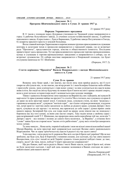#### Документ № 1

Програма Шевченківського свята в Сумах 21 травня 1917 р.

21 травня 1917 року

### Порядок Украинского праздника

В 11 часов с площади перед Духовным училищем по Троицкой улице направляются в город 1) рабочие бельгийского завода, 2) ученики сельско-хозяйственной школы, 3) рабочие павловского завода, 4) крестьяне с. Луки и Барановки, 5) рабочие завода Погуляченко и Гвоздь, 6) лазареты красного креста и земской больницы.

Возле главной конторы Харитоненко в перечисленным группам присоединяются служащие конторы и делегация чехов и процессия направляется к городской управе, где ее встречает рада "Просвиты", представители города, земства и общественного комитета. Последние приветствуют здесь процессию. Тут же присоединяются к процессии торгово-промышленники, купцы и служащие в торгово-промышленных заведениях и направляются к собору, где их встречает духовенство. От собора шествие направляется к Покровской площади, где будет отслужена панихида по Т.Г. Шевченко.

(Порядок, 1917: 2).

### Документ № 2 Стаття керівника "Просвіти" Василя Покровського з нагоди Шевченківського свята в м. Суми

21 травня 1917 року

#### Суми 21-го травня

Всякому лиху буває край, і ми знаємо, що після лиха знов прийде радість; які б густі хмари не обступали нас, та ми знаємо, що вітер розвіє їх і знов безмірне блакитне небо обійме і приголубе землю, знов усміхнеться з гори яснеє сонце і за ним усміхнеться від щастя всяка жива істота. Без надії на світлу будучину не можно було б жити на світі і краще людині смерть, коли в душі погасає остання іскра надії і залишається одне холодне зневірря.

Тяжке і здавалось безпросвітне лихо панувало на Вкраїні від лих і кайданів, які кували їй царі-кати і їх прислужники майже на протязі 3-х століть! Все стогнало, все сумувало од краю й до краю на всім просторі нашої землі. Сумували люде, сумували степи, на яких "родилась і гарцювала козацька воля", сумували "могили-гори" – що тільки з вітром розмовляли, згадуючи тих, котрі кров'ю і життям своїм заплатили за любов до рідного краю; сумував Дніпро і його кручі, сумувала на ціх кручах і та могила, яка притягала до себе серця і думки вірних синів нашого народу. Безмірний був сум, але іскра надії на кращу долю ніколи нас не покидала і боронила нас від того одчаю, за яким уже настає смерть. Таку надію кохав у свойому серці і наш незрівняний геній Т. Г. Шевченко, що пророчим оком своїм передбачав той час, коли він "і Дніпро і кручі – все покине і полине до самого Бога молитися... за Вкраїну", а огненне його "слово" завше було на сторожі коло "малих оттіх рабів німих", душу якіх готов був заморозить холод одчаю.

Та лихо минуло... Нема катів, тюрмів й кайданів і знов ми вільні сини вільнолюбної нашої Матері-Вкраїни, на всім просторі якої одправляється сьогодні Велике свято національного Відродження. Чиє ж серце тріпочеться від щастя й радості під час цього свята?

З цім щастям, з цією радістю й здоровлю Вас всіх сестри й брати мої українці! Ще не все зроблено, ще буде сум, буде й боротьба з темними силами, але сьогодні, під час свята нашого Воскресіння, геть сум і нехай по всій Україні лунають тільки радісні побідні гімни: де твоє, смерте, жало? Де твоя, пекло, побіда? Смерті празднуємо умерщвлєніє!

Ще раз бажаю, щоб часта радість Ваша і чисте Ваше щастя, сестри й брати мої, нічим не були засмучені сьогодні, і щоб цей день назавше залишився в Ваших спогадах як один з найсвітліших днів нашого життя!

> Василь Покровський<sup>1</sup> (Покровський, 1917: 4).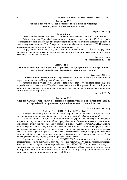### Документ № 3 Уривок з газети "Сумской вестник" із закликом до українців активізувати свої націєтворчі зусилля

22 серпня 1917 року

### До українців

Сумською радою т-ва "Просвіти" на 11 серпня назначались в земстві загальні збори. Всіх членів т-ва "Просвіта" зьявилось на зібрання всього до 30 осіб. Голова ради Покровський зробив обьяву, що при такому числі неможливо відчинить зібраннє, бо треба в згоді з статутом найменше 100 особ, через те, що всіх членів налічується більше 200. Призначені другі загальні збори в тому же земстві на 27 серпня (августа).

Щирі українці, до вас моє слово, до вас мій заклик. Життя по всій Россії хвилює, будуються скрізь нові порядки, нові закони, єднаються до куп і міцно працюють на користь рідного краю, всієї Россії і нашої неньки України.

> І. Берестовський. (Берестовський, 1917: 4).

Документ № 4

## Повідомлення про лист Сумської "Просвіти" до Центральної Ради з протестом проти спроб відокремити Харківську губернію від України

10 вересня 1917 року

Протест проти відокремлення Харьківщини. Сумське товариство «Просвіта» на Харьківщині послало до Центральної Ради такого листа:

"Загальні збори сумського товариства "Просвіта", протестуючи проти відокремлення Харьківщини від Автономної України, сподіваються, що Центральна Рада, як оборонець народних прав, вживе всіх заходів для об'єднання вилучених частин української території в єдину Автономну Україну"<sup>2</sup> .

(Протест, 1917: 3).

### Документ № 5

## Лист від Сумської "Просвіти" до повітової земської управи з висвітленням завдань цієї організації та проханням про виділення коштів для бібліотеки

23 листопада 1917 року

### В СУМСЬКУ ПОВІТОВУ ЗЕМСЬКУ УПРАВУ

В квітні цього року в Сумах заснувалось Украінське товариство "ПРОСВІТА" мета котрого культурно-просвітна діяльність серед темного нашого "найменшого брата".

Головним чином "ПРОСВІТА" має знайомити люд український з його рідною історіею, літературою і музикою, а також найбільш зрозумілим способом – поширювати проміж нього всякі агрономичні, техничні і сільсько-господарські відомості. Для сього "ПРОСВІТА" одкрила в Сумах Українську бібліотеку-читальню і невеличку книгарню, в якій з охотою купують писані вкраїнською мовою книжки, як літературного змісту, так і спеціального по ріжним галузям сельського господарства. Окрім того "ПРОСВІТА" мае впоряжати лекціі, литературно-вокальномузичні вечірки, театральні вистави і инші розумні розваги як для дорослих, так і для дітей; але на все це треба багато грошей, котрих бракує у "ПРОСВІТИ".

Беручи на увагу, що діяльність "ПРОСВІТИ" однакова з діяльністю відділа позашкільної освіти при Сумському Земстві, і що "ПРОСВІТА" таким чином допомогае Земству сіяти світ серед темних народніх мас, Рада "ПРОСВІТИ" в засіданні свойому 11 го листопаду постановила просити у Сумського Повітового Земства грошової допомоги в 5000 рублів (на побильшення библіотеки-читальні – 3000 р. і на утворення спеціяльного капиталу на куплю книжок для продажу – 2000 р.).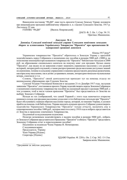Виконуючи постанову "РАДИ", маю честь просити Сумську Земську Управу доложити про вищенаведене прохання найближчому зібранню п. п. гласних Сумського Земства. 1917 р. Листопаду 22 дня.

ГОЛОВА "РАДИ" [Василь Покровський]

ДАСО. Ф. 2. Оп. 1. Спр. 34: 31. Оригінал. Машинопис.

### Документ № 6

### Доповідь Сумської повітової земської управи Сумським повітовим земським зборам за клопотанням Українського Товариства "Просвіта" про призначення їй одноразової грошової допомоги

Кінець 1917 року\*

Украинское товарищество "Просвіта" обратилось в Земскую Управу с просьбой ходатайствовать перед Собранием о назначении ему пособия в размере 5000 руб. (3000 р. на пополнение имеющейся при названном товариществе "Просвіта" библиотеки-читальни и 2000 руб. на образование специальнаго капитала на покупку книг для продажи. Целью своею "Просвіта", как видно из ея заявления ставит знакомить украинское население с его родной историей, литературой и музыкой, а также распространение среди населения доступных знаний по агрономии, технике и сельскому управлению и наконец предоставлять разумные развлечения, как взрослому населению, так и детям: устранивать лекции, литературно-вокально-музыкальные вечера, спектакли и т.п.

Словом, "Просвіта" своей деятельностью приходит тут на помощь отделу по внешкольному образованию при Сумском Земстве.

Сумская Уездная Училищная Комиссия в заседании 21-го Декабря 1917 года, заслушав заявление "Просвіты", постановила просить Управу ходатайствовать передь Земским Собранием о назначении означенному товариществу пособия на указанный предмет в размере 5000 руб. с тем условием, чтоб в числе членов правления "Просвіты" был представитель от Земства по выбору Земскаго Собрания.

Исходя из тех соображений, что самой Управой с этого года намечается открытие книжнаго склада для продажи населению уезда книг и что библиотека-читальня при "Просвіте" будет обслуживать главным образом население города, который, по мнению Управы, и должен прийти на помощь этой библиотеке. Управа находить нужным просить Собрание удовлетворить ходатайство Украинскаго Товарищества "Просвіта" только отчасти, назначить ему в единовременное пособие 1000 руб., которые внести в смету 1918 года и избрать представителя от Земства в правление означеннаго Товарищества.

Подлинный за надлежащими подписями.

Полагаю возможным ходатайствовать о выдаче пособия в размере 5000 руб., избрать от Земскаго Собрания представителя в Правление "Просвіти" и обязать "Просвіту" представить Земскому Собранию отчет в израсходовании пособия<sup>3</sup>.

Подлинное за подписью Члена Управы И. Нечипоренко.

С подлинным верно: Председатель Управы Член Управы [Підпис] Секретарь [Підпис]

> ЦДАВО України. Ф. 2201с. Оп. 2. Спр. 362: 13-13зв. Завірена копія. Машинопис.

\*Датування за змістом документу.

 $\mathcal{L}_\text{max}$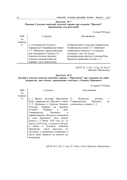### Документ № 7 Рішення Сумської повітової земської управи про надання "Просвіті" приміщення для репетицій

11 січня 1918 року

| NoNo            | Слушали:                        | Постановили:                         |
|-----------------|---------------------------------|--------------------------------------|
| $\overline{10}$ |                                 |                                      |
| порядку         |                                 |                                      |
| 4.              | [] Ходатайство Сумского         | 4) Предоставить Сумскому Украинскому |
|                 | Украинского Товарищества имени  | Товариществу имени Т. Г. Шевченко    |
|                 | Т. Г. Шевченко о предоставлении | помещение в женском 2-х классном     |
|                 | ему помещения в Сумском 2-х     | училище, с тем, что уплату           |
|                 | классном земском женском        | вознаграждения прислуге училища Рада |
|                 | училище для репетиций как       | Просвиты принимает на себя. []       |
|                 | хоровых, так и сценических.     |                                      |

ДАСО. Ф. 2. Оп. 1. Спр. 35: 8зв.-9. Оригінал. Машинопис.

14 червня 1918 року

Документ № 8

Договір Сумської земської повітової управи з "Просвітою" про здавання під найм товариству двох кімнат, арендованих земством у будинку Бережного

| NoNo               | Слушали:                                                 | Постановили:            |
|--------------------|----------------------------------------------------------|-------------------------|
| $\Pi$ <sup>O</sup> |                                                          |                         |
| порядку            |                                                          |                         |
| 5)                 | [] Проект договора Президиума 5) Подписать               | ДОГОВОР<br>$\mathbf{c}$ |
|                    | Рады товарищества Просвиты имени Товариществом           | Просвита<br>Ha          |
|                    | Т. Г. Шевченко с Сумскою Земскою изложенных условиях. [] |                         |
|                    | Уездною Управою на передачу                              |                         |
|                    | Уездною Управою в<br>наем                                |                         |
|                    | Товариществу Просвиты<br>B                               |                         |
|                    | заарендованном Земством помещения                        |                         |
|                    | в доме Бережного <sup>5</sup> двух комнат                |                         |
|                    | сроком с 5 Июня 1918 года по 1-е                         |                         |
|                    | Августа 1919 года, с платою по 60 руб.                   |                         |
|                    | принятия<br>месяц и условием<br>B                        |                         |
|                    | Просвитою части<br>расх одов<br>$\Pi$ <sup>o</sup>       |                         |
|                    | топлению и освещению помещения в                         |                         |
|                    | части какая придется на нанятое ею                       |                         |
|                    | помещение.                                               |                         |

ДАСО. Ф. 2. Оп. 1. Спр. 35: 154зв.-155зв. Оригінал. Машинопис.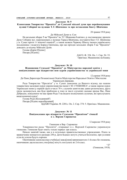### Документ № 9

Клопотання Товариства "Просвіта" до Сумської міської думи про перейменування вулиці Соборної на вулицю Т. Г. Шевченка та про вставлення бюсту Шевченка

28 травня 1918 року

### До Мійської Думи м. Сум

На загальних зборах Т-ва "Просвіта" ім. Т.Г. Шевченка 8 квітня с. р. постановлено: прохати Думу Соборну вул. переіменовать у вулицю Тараса Шевченка, поставити бюст Т.Г. Шевченка у м. Сумах проти 1-ї жіночої гимназії<sup>4</sup>, а також назвати Червону Школу іменем українського пісьменника і педагога Бориса Грінченка, про що прізідія загальних зборів Т-ва "Просвіти" доводить до відому Мійської Думи.

Голова зборів [Підпис] Писарь [Підпис]

ДАСО. Ф. 354. Оп. 1. Спр. 56: 33. Оригінал. Машинопис на бланку.

Документ № 10

## Відношення Сумської "Просвіти" до Міністерства народної освіти з повідомленням про відкриттям нею курсів українознавства та української мови

12 серпня 1918 року

До Пана Директора Позашкільноі Освіти Міністерства Народньоі Освіти і Мистецтва Украінськоі Держави.

Рада Товариства "Просвіти" у м. Сумах доводючи до Вашого відому, що нашим товариством засновані курси украінознавства імени І. М. СТЕШЕНКА<sup>6</sup>, а також окремо курси Украінськоі мови (у першій групі в числі 70 ч. слухачів заняття вже давно розпочалися, друга група засновуеться, яка буде приблизно в тому ж числі слухачів) ласкаво прохае Вас, Пане Добродію, повідомити чи мае право Рада Т-ва видати посвідчення слухачам, які прослухають вищезазначені курси<sup>7</sup>.

Голова Ради [Колодяжний8]

Писарь [Підпис нерозбірливий]

ЦДАВО України. Ф. 2201с. Оп. 2. Спр. 374: 5. Оригінал. Машинопис.

### Документ № 11 Повідомлення про відкриття Сумською "Просвітою" гімназії в с. Верхня Сироватка

12 вересня 1918 року

Гимназия в Вер. Сыроватке

Товарищество рады "Просвіти", открывает в с. Верхней Сыроватке украинскую гимназию. Гимназия будет иметь только первых три класса.

Начало занятий также, как и в остальных правительственных учреждениях. Плата за правоучение взимается в размере 250 р. Дети бедных могутъ учиться бесплатно, при условии если их успехи будутъ хороши.

Окончившие одноклассные учебн[ые] завед[ения] принимаются в 1-й класс без экзамена, окончившие двухклассное учил[ище] могутъ поступать во 2-й класс.

 $\lq\lq \lq \lq \lq$ (Гимназия, 1918).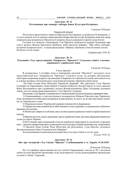### Документ № 12 Оголошення про концерт кобзаря Івана Кучугури-Кучеренка

3 жовтня 1918 року

Украинскій концерт

Після свого артистичного турне по Просвітам Полтавщини, де відбулося 36 концертів, 2 го сього жовтня до Сум завітав славнозвісний кобзарь Іван Кучугура-Кучеренко який має намір упорядити ряд концертів по Просвітам Сумщини. Будуть виконані історичні думи й пісні.

Сегодня 3-го жовтня в помешканні Т-ва Просвіти відбудеться концерт Кучеренка при участі артиста Василя Павловича Цимбала, який прочитає реферат: "Про кобзу, кобзарів, историчні й народні пісні", а також продеклямує з Франка, Грінченка, Олеся й инших поетів. Початок о 8-ми годині.

(Український, 1918: 4).

## Документ № 13

## Резолюція з'їзду представників Товариства "Просвіта" Сумського повіту стосовно державності української мови

9 жовтня 1918 року

#### Съезд просвит

В воскресенье, 6 октября днем в помещении местной "Просвiти" состоялся съезд представителей всех Товариществ "Просвіта" Сумского уезда, на котором обсуждались некоторые назревшие вопросы организации Товариществ и просветительной деятельности их и, в конце котораго, была вынесена следующая резолюция, принятая единогласно:

"До Пана Голови Ради Міністрів Украінскоі Держави<sup>9</sup> . Ми, презідіум з'ізду Просвіт Сумщини на Харьківщині, який одбувся 6 жовтня (нов[ого] ст[илю]) маємо за честь прохати Вашу Вельможність при службовому докладі Ясновельможному Пану Гетьманові доложити також і цю постанову вищезазначеннаго з'ізду Просвіт Сумщини.

Постанови з'ізду Просвіт Сумщини від 6-го жовтня н[ового] с[тилю] відносно державноі мови.

1) Ознакомившись зі змістом відомого меморандуму Киівскоі Просвіти про Украінську мову, ми вважаємо необхідним підтримати й приєднатись до нього, як до вислову наших думок, що до Украінського слова.

2) Украінська мова в Українській державі повинна бути Державною.

3) Українська мова повинна бути обов'язковою по всіх урядових та громадських публичноправових інституціях.

4) Необхідно звернути особливу увагу на викладання украінскоі мови й украінознавства в школах.

5) Ворожі виступи, навіть урядовців, проти українскої мови, яко мови Державноі вважаємо за виступ проти Украіни.

6) На Сумщині зараз книжковый голод на українські підручники за для низчих і середних шкіл – прохати украинський уряд садовольнити цю культурну потребу виданням укр. підручників.

7) Прохати Пана Голову Ради Міністрів цю резолюцію з'ізда Просвіт доложити Ясновельможному Пану Гетьманові всієї Вкраіни".

За надлежащими подписями резолюция была послана в Киев в тот же день.

(Съезд, 1918: 4).

### Документ № 14

## Звіт про четвертий з'їзд Спілки "Просвіт" Слобожанщини в м. Харків 13.10.1918

28 жовтня 1918 року

На з'ізд прибули представники від усіх повітів Харьківщини, числом до 50, і заступали собою до сотні просвітніх організацій, та ще делеговано на з'ізд від десятка районих громадських установ м. Киіва і Харькова.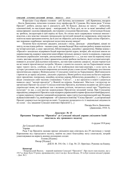## СУМСЬКИЙ ІСТОРИКО-АРХІВНИЙ ЖУРНАЛ. №XXIII. 2019 45

В презідію з'ізду обрано: головою – доб. Бутенка, заступником – доб. Кравченка, писарем – Костя Даниленка, почесним головою зізду професора М. Сумцова. Від імени ради "Спілки Просвіт", робить доклад про іі діяльність доб. М. Кекало. Доклад по змісту – небагатий, одноманітний, по наслідкам праці – невідрадний, бо Рада далі, як по за межі звичайної собі канцелярщині: одсилка інформацій, листування з сілськими Просвітами, – нічогісенько більше не зробила, інструкторів в цей період не було, бо спілка мало одержувала членські внески і відсотки, а від земства і иньших громадських інституцій грошей не одержували, міністерство освіти на наше прохання помочи, ще й досі не зібралось дати відповідь. Зараз спілка «Просвіт», має порожню скарбницю: матеріальні недостачи всьому виною!

Позатим було відчитано двадцять докладів з місць. Доклади – ріжнобарвні, цікаві по змісту, по наслідках роботи – часами сумні, часами бадьорі! Всю освітню роботу можно поділити на чотирі категоріі, а саме: просвітню, бібліотекарську, дикційну і драматичну. Майже кожна з «Просвіт» заходилась відкривати бодай короткострочні курси, вечірні, або недільні школи по украінознавству, вдержує невеличкі книгозбірні-читальні, виписує газети та журнали, старалася закликати українських лекторів, докладчиків, референтів і т. д., але все таки на першому місці стоять: вистави, концерти й співи і драматична секція зробила так багато, як усі останні категоріі, взявши іх до купи! Докладчики поясняють, що вистави одиноке джерело, звідки черпається на всі нижчі просвітянські потреби. Можно з певністю сказати, що на Харьківщині немає зараз такого міста, слободи, села де б не відбувалися вистави-аматори, з села ідуть на хутори і розливається всюди широкими потоками рідне слово-пісня! Найкраще поставлена просвітянська справа у Вовчанському і Сумському повітах на Харьківщині. Щоб вишукати і притягти до праці свідомих, діяльних украіців у Вовчі робота поділена на багато окремих груп: просвітню, театральну, лекційну, музично-хорову, бібліотечну, редакційну і т. д. Просвіта видає спеціяльно свій часопис (тижневик) "Світло", – а всі просвіти в повіті єднаються навколо своєі "матері-просвіти" у Вовчій на взірець Львівськоі. Мається і иструктор по організаціі Просвіт на селах! Сумська повітова Просвіта, відчиняла недавно аж двічі курси украінськоі мови, які пройшли там з великим успіхом, читаються лекціі про "Українську культуру" то що, а для вистав заорендовано Просвітою місцевий театер. При Сумському народньому університеті Просвіта гадає відкрити украінський історико-фільольогічний факультет, а також украінску гімназію і книжний кооператив; зараз гуртується національний хор. Недавно відбувся повітовий з'ізд, який вирішив – об'єднатися в повітову "Спілку Просвіт", а для організації Просвіт удержується інструктор на повіт. З осередку розкидати в іх ті національні свідомости по селах – ось завдання Сумськоі повітовоі Просвіти! [...]

> Писарь Кость Даниленко. (Даниленко, 1918: 3).

### Документ № 15 Прохання Товариства "Просвіта" до Сумської міської управи увільнити їхній спектакль від грошового податку

6 грудня 1918 року

До Сумської мійської

Управи

Рада Т-ва Просвіти ласкаво прохає увільнити наш спіктакль від 29 листопаду у театрі Корепанова від городського налогу, маючи на увазі благодійну мету спектаклю, котрий улаштовувався на користь военно-полонених солдат.

Голова [Підпис]

Писар [Підпис]

ДАСО. Ф. 354. Оп. 1. Спр. 56: 23. Оригінал. Рукопис на бланку.

#### Коментарі

<sup>1</sup>Покровський Василь – перший керівник Сумської "Просвіти". Про нього нам відомо, що у 1917 р. йому було 53 роки, проживав він у місті на вул. Бельгійська, 18 та був членом міської управи. – Док. № 2.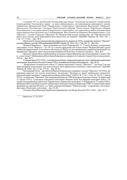<sup>2</sup>4 серпня 1917 р. російський Тимчасовий уряд видав "Тимчасову інструкцію Генеральному Секретаріатові Тимчасового уряду", за якою обмежувалось дія повноважень виконавчого органу Української Центральної Ради Генерального Секретаріату територіями Волинської, Київської, Подільської, Полтавської і частково Чернігівської губерній. Таким чином, Харківська губернія була виведена із-під юрисдикції Генерального секретаріату, що спричинило вибух невдоволення серед національно-свідомих сил Слобожанщини. Виступаючи на Першому Всеукраїнському з'їзді "Просвіт", голова Сумської "Просвіти" В. Покровський ще раз підкреслив, що "Просвітою було вжито всіх заходів, щоб Харківщину було прилучено до України" (ЦДАВО України. Ф. 2581. Оп. 1. Спр. 157: 35зв). – Док. № 4.

<sup>3</sup>В результаті Сумська повітова народна управа заклала у видатки на 1918 р. одноразову допомогу "Просвіті" (на книгозбірню) у розмірі 1000 карбованців (ЦДАВО України. Ф. 2201с. Оп. 2. Спр. 362: 5). – Док. № 6.

<sup>4</sup>Будинок Бережного – зараз це будинок на площі Покровській, 11. У цьому будинку до революції знаходився готель "Версаль" і до 1913 р. в ньому арендував собі кілька кімнат Малоросійський гурток любителів драматичного та музичного мистецтв, а в 1942 р. тут розташовувались українські організації і під прикриттям "Просвіти" діяло підпілля революційної ОУН на чолі з Семеном Сапуном. – Док. № 8.

<sup>5</sup>Вулиця Соборна була перейменована на вулицю Тараса Шевченка вже більшовиками 5 липня 1920 р., а пам'ятник Т. Шевченкові роботи Івана Кавалерідзе навпроти І-ої жіночої гімназії був встановлений у 1926 р. – Док. № 9.

6 Стешенко Іван (1873-1918) – член Центральної Ради, генеральний секретар освіти. Здійснював українізацію шкільництва. Був убитий у Полтаві 30 липня 1918 р., як виявилося пізніше, більшовиками. – Док. № 10.

7 Департамент позашкільної освіти 31 серпня повідомив Сумську "Просвіту", "що Рада Т-ва має право видавати посвідчення, але вони не будуть мати офіціального значіння, а лише моральне" (ЦДАВО України. Ф. 2201с. Оп. 2. Спр. 374: 6). – Док. № 10.

<sup>8</sup> Колодяжний Євген – другий після Василя Покровського керівник Сумської "Просвіти". В 1918 р. він працював юристом (на посаді податкового інспектора). Належав до партії українських соціалістівреволюціонерів і вважався "старим революційним робітником" (ДАСО. Ф. 2. Оп. 1. Спр. 36: 26-27). У квітні 1918 р. за ініціативи "Просвіти" був затверджений урядом УНР комісаром Сумського повіту. За Директорії 21 грудня 1918 р. Сумськими земськими повітовими зборами знову був обраний комісаром повіту і 26 грудня затверджений на цій посаді Харківським губернським комісаром. З 10 березня по 15 липня 1920 р. виконував обов'язки Подільського губернського комісара також від Директорії УНР. У міжвоєнний період проживав на території Польщі, у м. Рівне, керував книгарнею "Наша культура" та працював у магістраті. Далі жив у Німеччині, де й помер. – Док. № 10.

9 Головою Ради Міністрів Української Держави був тоді Федір Лизогуб (1851-1928). – Док. № 13.

Отримано 22.10.2019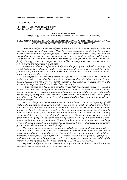### HISTORY / ІСТОРІЯ

### UDC 392.3(=163.2:477.74-89Бес)"180/185" DOI: doi.org/10.21272/shaj.2019.i33.p.47

#### ALEXANDER I. GANCHEV

PhD (History), Odessa National A.S. Popov Academy of Telecommunication (Ukraine)

### BULGARIAN FAMILY IN SOUTH BESSARABIA DURING THE FIRST HALF OF XIX CENTURY IN SCIENTIFIC FIELD OF SOCIAL HISTORY

Abstract. Family is a fundamentally social institution that plays an important role in historic and ethnic development of any nation. There have been mechanisms for the transfer of plenty elements exactly within the family for ages. There they appear and are formed, take root and change their forms, meaning and content with time. They eventually smooth out and disappear. The situation concerns both social roles and their age and gender clarity that connects the family with bigger and more complicated forms of human integration, such as community and society which are dynamically interlinked.

A research subject is a family in Bulgarian diaspora group defined as an object of social history. The subject of study is the evolution of forms, structure and Bulgarian family's everyday elements in South Bessarabia, moreover it's about intergenerational interaction and family relations.

The subject of social history is complicated for most researchers who have taken on this distinctive activity. Associating himself with the statements about the faintest subject of social history, R.Zider gave the most " technical" version of the definition:" Social history is the history of society, the overall relationship between people".

R.Zider considered a family as a complex system that "summarizes influence of society's macrosystem and tasks to reproduct workforce and society's structure; to create gender's behavioral stereotypes, norms and relations between parents and children together with adults and old people; to regulate sexual behavior in pre-marital and marital periods". At the family level this researcher addressed the issue of interrelationships between social, economic and political aspects.

After the Bulgarians' mass resettlement to South Bessarabia in the beginning of XIX century, the foundation of Bulgarian families was a nuclear family, in other words a family that consisted of a married couple with or without children. But speaking about a nuclear family, the fact it's the strongest and the longest one among small groups that can be connected with bigger family or clan formations should be kept in mind. So such a family should be differed from just small families which are self-sufficient and disconnected with great patrimony groups. In societies with strong system of kinship a nuclear family doesn't appear as isolated and defined unit. Under the effect of modernization processes large systems of kinship smooth out, a nuclear family separates from big disintegrating patrimony groups and take features of a small family.

The author makes a conclusion about the studied social system of Bulgarian family in South Bessarabia during the first half of XIX century and based on a great number of demographic ready-made indicators states that during two first decades the population kept social and behavioral models peculiar to Bulgaria in XlX century. But they were gradually getting closer to demographic model of European part of Russian empire. As a result, in the middle of the century own demographic behavior was creating which united both models.

Keywords: Bulgarian family, Bessarabian Bulgarians, social history, multidisciplinary approach , demographic indicators, a nuclear family.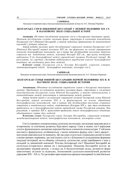#### ГАНЧЕВ О.І.

Кандидат історичних наук, Одеська національна академія зв'язку ім. О.С. Попова (Україна)

### БОЛГАРСЬКА СІМ'Я ПІВДЕННОЇ БЕССАРАБІЇ У ПЕРШОЇ ПОЛОВИНІ ХІХ СТ. В НАУКОВОМУ ПОЛІ СОЦІАЛЬНОЇ ІСТОРІЇ

Анотація. Об'єктом дослідження визначено сім'ю в болгарських діаспорних групах. Предмет дослідження складає еволюція форм, структури й елементів повсякдення болгарської сім'ї Південної Бессарабії, а також видозміна притаманних їй міжпоколінної взаємодії і родових відносин.

Автор робить висновок щодо досліджуваної соціальної системи болгарської сім'ї Південної Бессарабії першої половини ХІХ ст. та формулює на основі опрацювання кількості демографічних показників, що в перші два десятиліття населення зберігало соціальну та поведінкову модель, властиву Болгарії XIX ст., при цьому поступово наближало її до демографічної моделі європейської частини Російської імперії. Як результат, на середину століття відбувається вироблення власної демографічної поведінки, що поєднувала риси двох моделей.

Ключові слова: болгарська сім'я, болгари Бессарабії, соціальні історія, міждисциплінарний підхід, демографічні показники, нуклеарні сім'я.

#### ГАНЧЕВ А.И.

Кандидат исторических наук, Одесская национальная академия связи им. А.С. Попова (Украина)

## БОЛГАРСКАЯ СЕМЬЯ ЮЖНОЙ БЕССАРАБИИ ПЕРВОЙ ПОЛОВИНЫ XIX В. В НАУЧНОМ ПОЛЕ СОЦИАЛЬНОЙ ИСТОРИИ

Аннотация. Объектом исследования определено семью в болгарских диаспорных группах. Предметом исследования является эволюция форм, структуры и элементов повседневности болгарской семьи Южной Бессарабии, а также видоизменение и взаимодействие между поколениями и отношениями между родами.

Автор делает вывод о исследуемой социальной системе болгарской семьи Южной Бессарабии первой половины XIX в. и формулирует на основе обработки демографических показателей, что в первые два десятилетия население сохраняло социальную и поведенческую модель, свойственную Болгарии XIX в., при этом постепенно приближало ее к демографической модели европейской части Российской империи. Как результат, к середине XIX в. происходит проявление нового демографического поведения, объединившего черты двух моделей.

Ключевые слова: болгарская семья, болгары Бессарабии, социальная история, междисциплинарный подход, демографические показатели, нуклеарная семья.

Сім'я становить основоположну суспільну інституцію, що відіграє важливу роль в історичному та етнічному розвитку будь-якого народу. Саме в межах сім'ї впродовж століть функціонують механізми передачі багатьох елементів етнокультури. У ній вони постають і формуються, устійнюються, з часом змінюють форму, сенс і зміст, врешті – поступово нівелюються та зникають. Це так само стосується і соціальних ролей та їхніх статево-вікових порівнянь, що пов'язують сім'ю з більшими й складнішими формами людської інтеграції, як-то община, спільнота, суспільство, котрі перебувають з нею у складній та динамічній взаємодії. Розгляд болгарської сім'ї Південної Бессарабії як суспільно-історичного явища не є випадковим. Південна Бессарабія постає як надзвичайно цікавий регіон, з огляду на її багатоетнічний склад, розмаїття форм міжетнічних зв'язків та відносин, інтенсивний суспільно-економічний розвиток упродовж ХІХ – ХХ ст. Тут рельєфно проглядаються процеси консервації та змін багатьох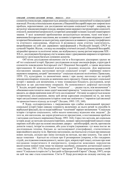## СУМСЬКИЙ ІСТОРИКО-АРХІВНИЙ ЖУРНАЛ. №XХХІІІ. 2019 49

елементів етнокультури, увиразнюється динаміка соціально-економічної та міжкультурної взаємодії. Розгляд етносоціальних відносин у Південній Бессарабії окреслює широке коло проблем, перспективних для дослідження методами соціальної історії – напряму, що актуалізує міждисциплінарні підходи, використання наукового інструментарію соціології, етнології, економічної антропології, історичної демографії та інших галузей гуманітарного знання. У колі зазначеної проблематики актуалізуються питання, тісно пов'язані з вивченням болгарського населення, яке за певних історичних обставин мігрувало зі своєї історичної батьківщини до цього регіону, адаптувалося до наявного у ньому географічного та етнічного середовища, зберігало й розвивало свою етнічну ідентичність, випробувавши на собі дію державних трансформацій у Російській імперії, СРСР та сучасній Україні. Відтак, з огляду на специфіку етнічної ситуації у Південній Бессарабії, міграційні процеси та політичні зміни, що відбувалися у цьому регіоні впродовж XIX – ХХ ст., досліджувати болгарську сім'ю можна лише з урахуванням широкого історичного контексту і розглядом багатьох суміжних аспектів.

Об'єктом дослідження визначено сім'ю в болгарських діаспорних групах як об'єкт соціальної історії. Предмет дослідження складає еволюція форм, структури й елементів повсякдення болгарської сім'ї Південної Бессарабії, а також видозміна притаманних їй міжпоколінної взаємодії і родових відносин. Для вирішення поставлених завдань застосовані методи соціальної історії – порівняно нового наукового напрямку, котрий "автономізує" соціальне відносно політичних (Тревельян, 1959: 15), культурних та економічних явищ і при цьому наголошує на потребі міждисциплінарних підходів до вивчення свого предмету. Однак предмет соціальної історії є важким для визначення, в чому зізнавалася більшість дослідників, котрі бралися за цю дистинктивну операцію. На неможливості дефініції наголосив Т. Зелдін, котрий зауважив: "Слово "соціальна" … – радше гасло, ніж визначення" і обмежився констатацією лише однієї важливої прикмети: "соціальна історія постійно вводить до сфери вивчення нові об'єкти дослідження". Останнє ж адресується власне історичному дослідженню, якому цей автор адресував сподівання на те, що воно через актуалізовані соціальною історією теми має покінчити з "тиранією ідеї еволюції та хронологічного підходу до історії" (Зелдин, 1993: 155, 160).

Р. Зідер, солідаризуючись з твердженням про слабко вловлюваний предмет соціальної історії (через швидку плинність включених до нього речей та способів їх вербальної фіксації), все ж подав найбільш "технічний" варіант визначення: "Соціальна історія є історією соціального, тобто всього комплексу відносин між людьми". До того ж, він наголосив, що науки різняться не предметами, а постановками проблем і методами для їхнього вирішення (Зидер, 1993: 164). Серед тих методів, які соціальна історія додає до методів загальноісторичних, названі: просопографічний (аналіз ознак окремих осіб або груп на основі письмових джерел – автобіографій, листів, протоколів допитів тощо), інтерв'ю-спомини, або усна історія (зауважимо: тут вона постає як дослідницька техніка, близька до застосовуваної етнографами), статистичного кореляційного аналізу та ін. Причому наголошено, що йдеться не стільки про винаходи нових методів, скільки про зміну поглядів на методи, що вже існують. Так само й щодо тематики – йдеться не стільки про її розширення (зокрема, в бік гендерних студій, дослідження повсякденності, малих груп, мікроісторії тощо), скільки про нові поєднання теоретичного й емпіричного, плюралізм можливих перспектив висвітлення певної теми тими чи іншими засобами, уникаючи догматизації одного з них (Зидер, 1993: 175). Реалізацію цієї "програми" Р. Зідер продемонстрував у своїй книзі "Соціальна історія сім'ї у Західній та Центральній Європі" (Зидер, 1997), котра на цей час вже стала класичною. Сім'ю Р. Зідер розглянув як складну систему, що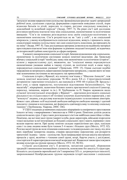"результує впливи макросистеми суспільства і функціонально реалізує задачі з репродукції робочої сили, суспільних структур, формування стереотипів поведінки статей, норм відносин батьків та дітей, дорослих та старих, регулює сексуальну поведінку в дошлюбний та шлюбний періоди" (Зидер, 1997: 5). На рівні сім'ї цей дослідник розглянув проблему взаємозв'язку між соціальними, економічними та політичними явищами: "Сім'я не повинна розглядатися поза своїм соціально-політичним та економічним контекстом. Сім'я розуміється не як "світ у собі", а як соціальний мікрокосм, у якому відображаються соціальні відносини, живуть і працюють люди, соціалізовані певним суспільством і які самі соціалізують покоління, що приходять їм на зміну" (Зидер, 1997: 8). Така дослідницька програма дозволила на надійному матеріалі простежувати взаємозв'язки між формами та рівнями людської інтеграції, не вдаючись до інтерполяцій ідейних конструктів до сфери емпірики.

З моменту виокремлення соціальної історії, бачення відношення між соціальною, економічною та політичною системами зазнало помітної видозміни. Дж. Тревельян вбачав у соціальній історії "необхідну ланку між економічною та політичною історією", цілком у марксистському дусі, вважаючи, що "соціальні явища породжуються економічними умовами майже в такому ступені, як політичні події, в свою чергу, породжуються соціальними умовами" (Тревельян, 1959: 15). Однак сьогодні подібні твердження не витримують навантаження емпіричним матеріалом, у масиві якого зв'язки між зазначеними системами не виглядають так прямолінійно.

Соціальна історія у Франції, від початку пов'язана з "Школою Анналів", теж зазнала помітної видозміни упродовж 70–90-х років ХХ ст. Структуралістичний детермінізм і прагнення тотальності, що панували в 1950–60-ті роках (Ф. Бродель і його учні, а також марксисти), поступилися відстеженню багатолінійності, "ігр масштабу", мікрорівнів, засвоєнню базових понять прагматичної соціології (амктор, переклад, зміщення, мережі та ін.). Н. Трубникова та П. Уваров зауважили щодо сучасної інтелектуальної атмосфери у Франції "…прагнення розглядати соціальні реальності не стільки в якості об'єктивно існуючих відпочаткових параметрів, у які "втиснута" людина, а як рухливу взаємодію індивідуальних та колективних амкторів. Кожен з цих дійових осіб наділений свободою виборучи свободою маневру і здатний доходити з іншими в погодження, які формують одвічнорухливу та мінливу соціальну тканину" (Трубникова, Уварова, 2004: 146).

У США тенденція до вивчення соціальних мікрорівнів та емпіричного простеження їхнього зв'язку з макрорівнями з'явилися ще в 1960-ті роки. Помітних успіхів досягла соціологія малих груп. Серед таких розглядалася і сім'я як найбільш самостійна і стійка. Помічено, що всі інші малі групи (закриті клуби, ради директорів, військові підрозділи тощо) щільніше за неї інтегровані до більших соціальних груп і мають порівняно з нею вельми коротке життя. При цьому помітно складне переплетіння цих груп, оскільки одна і та сама людина може бути членом 5–6 малих і більших груп (Миллз, 1972: 82). Розгляд малої групи як поля зіткнення соціальних та індивідуальних сил тиску, під дією яких перебуває конкретна людина, створив продуктивну перспективу для розкриття трихотомії: індивід – група – суспільство. Були напрацьовані методи аналізу внутрішніх процесів у групі, включно з членами самої групи, котрі, беручи участь у досліджені, спостерігали й характеризували взаємодії всередині неї. Вдавалося також простежувати впливи культури на групові процеси (Миллз, 1972: 83, 90-92).

Сучасне дослідження сім'ї, її розвиток, механізми адаптації, збереження традицій і виникнення інноваційних елементів, неможливо без аналізу її структури. Більшість дослідників європейської сім'ї наприкінці ХХ ст. дотримуються типології, запропонованої Кембріджською групою науковців історії населення і соціальних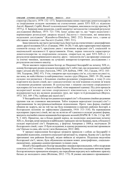структур (Ласлетт, 1979: 132–137). Запропонована ними структура домогосподарств за спорідненим складом заснована на статистичних даних XVI–XIX ст. відносно Англії, Франції, Сербії, Японії та колоніальної Америки, викликала гостру критику. В 1975 р. Л. Беркнер пише рецензію, в якій заперечує методологію і кінцевий результат дослідження (Berkner, 1975: 721–738). Існує думка про те, що "через недостатні і нерівномірно розподілені джерела моделі Ласлетта є гіпотезами, які вимагають подальших досліджень" (Kassabova-Dintcheva, 2002: 232). Більше того, з цими ці обставини зазначив і сам Ласлетт (Laslett, 1983: 531).

Інша типологія, що часто застосовується, базується на статистичних і демографічних даних другої половини ХХ ст. (Ганцкая, 1984: 16-28). У ній, крім характеристики окремих елементів складу сім'ї, приділена увага і взаєминам всередині сім'ї, соціальній та національній належності її представників. Отже, перша типологія характеризує домогосподарства за спорідненим складом, спирається на дані XVI–XIX ст. і є результатом макропорівняльного аналізу; друга – типологія сім'ї, що враховує соціальні та етнічні чинники, заснована на сучасних конкретно-історичних дослідженнях і є результатом системного аналізу.

Після масового переселення болгар до Південної Бессарабії на початку ХІХ ст., основу болгарських родин складали нуклеарні сім'ї, тобто такі, що складалися з шлюбної пари з дітьми або без них (Ангелов, 1992: 229; Бобчев, 1998 : 361; Гандев, 1972: 183– 184; Тодорова, 2002: 97). Утім, говорячи про нуклеарну сім'ю, слід мати на увазі те, що вона, як найстійкіша та найтриваліша з малих груп (Мердок, 2003: 19–20), може складно поєднуватися з більшими сімейно-родовими утвореннями, а тому її слід відрізняти від малих сімей, що є самодостатніми і не пов'язаними сталими зв'язком з великими родовими групами. В суспільствах з міцною системою спорідненості нуклеарна сім'я не постає в якості осібної, чітко вираженої одиниці. Під дією процесів модернізації великі системи спорідненості нівелюються, а нуклеарна сім'я відокремлюється від великих родинних груп, які через те й розпадаються (Воугел, 1972: 163, 169–170), і набуває рис малої сім'ї.

У бессарабських болгар поєднання нуклеарної сім'ї з більшими сімейно-родовими групами теж не становило виключення. Тобто існували нерозділені (складні) сім'ї з притаманними їм внутрішньосімейними відносинами. Проте така форма сімейної общини як задруга, що на той час ще була поширеною в окремих районах Болгарії, в болгарських колоніях не зафіксована (Державин, 1910: 313–318). На переважання нуклеарних (простих) сімей, які ще не встигли об'єднатися в складні родинні форми, вказують посімейні списки мешканців болгарських колоній (НАРМ. Ф. 5. Оп. 2. Спр. 442. Ч. 3: 443). Примітно, що в більш ранній період, як посвідчено документами початку ХІХ ст., болгари, котрі мешкали в найбільших турецьких містах Буджака, мали, в більшості складні нерозділені сім'ї. Наприклад, у фортеці Аккерман у 1808 р. налічували 20 болгарських сімей, з них 15 були складними; в одному родинному колективі проживали сім'ї батька та сина, або тестя і зятя (Бачинська, 2012: 480).

У процесі переселення болгарські мігранти принесли з собою до Бессарабії ті традиційні відносини, елементи соціальної організації та, зокрема, будову сім'ї, що були притаманні тим районам Болгарії, звідки вийшли ці мігранти. Подальша видозміна болгарської сім'ї, звісно, була обумовлена впливом нових демографічних, соціальноекономічних, державно-адміністративних та інших умов.

Шлюб у бессарабських болгар традиційно лишався віролокальним, тобто подружжя селилося у сім'ї чоловіка – у батьківському будинку. Відносини спадщини звичаєве право болгар визначало принципом мінорату, що передбачав передачу всіх майнових прав від батька до молодшого сина (Філіпова, 2012: 173). В умовах анклавного проживання і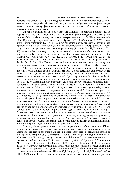обмеженого земельного фонду, відділення молодих сімей траплялося рідко, вони включалися до складу батьківської сім'ї, яка, тим самим, набувала складних форм. За цих умов позитивна демографічна динаміка з часом призводила до збільшення кількості нерозділених складних сімей.

Вікові показники за 1818 р. у колонії Імпуцита посвідчили майже повне переважання молоді та дітей. Колоністи віком за 49 років складали лише 10,2 % від загальної кількості населення, з них віком за 60 років – всього 1,9 %. Вікова категорія від 14 до 44 років нараховувала 47 %, а діти до 14 років – 42, 8 % (Філіпова, 2012: 69). Таким чином, співвідношення 42,8 : 47 : 10,2 чітко окреслює значну перевагу молодих сімей. Враховуючи ці показники і основуючись на застосовуваний у демографії поділ вікової структури на прогресивну, стаціонарну й регресивну (Тотев, 1974: 169; Тодорова, 2002: 90), можна дійти висновку про те, що мешканці села являли собою населення явно прогресуюче. Те саме простежується і в інших болгарських колоніях за даними 1818 р. (НАРМ. Ф. 5. Оп. 2. Спр. 439, 442, 442. Ч. 1–3; НАРМ. Ф. 134. Оп. 2. Спр. 23, 24) і за ревізькими сказками 1835 р. (Челак, 1999: 220, 222; НАРМ. Ф.134. Оп. 2. Спр. 23; НАРМ. Ф.134. Оп. 2. Спр. 24.). Такий демографічний стан становив важливу основу для подальшої репродуктивної поведінки болгарської сім'ї в умовах Південної Бессарабії.

А.О. Скальковський щодо середини ХІХ ст. зазначив типову для болгарських колоній нерозділеність сімей: "Болгары страстно любят семейное единство, так что нередко три и даже четыре поколения живут вместе, под одним кровом и руководством старика – главы свого рода"; "[их] внутренний быт, быт семейный, чисто патриархальный, представляет зрелище истинно отрадное" (Скальковский, 1848: 93, 139). Подібні описи болгарської сім'ї того часу зустрічаються досить часто. Зокрема і А. Клаус наголошував: "семейные разделы не в обычае и болгары их недолюбливают" (Клаус, 1869: 321). Тож, подаючи ці свідоцтва сучасників, можна з певними застереженнями солідаризуватися з висновком Л.А. Демиденко про те, що домінуючою формою сім'ї в бессарабських болгар була "велика патріархальна сім'я" (Демиденко, 1970: 9). Такою вона стала вже в Південній Бессарабії як результат архаїзації традиційних форм сім'ї, відомих раніше болгарській культурі. За такими властивостями, як "патріархальність", складна будова, статево-вікова сегрегація, значний кількісний склад, бессарабську болгарську сім'ю визначають як "своєрідний релікт аграрного балканського суспільства" (Філіпова, 2012: 155–156). Його консервації в даному регіоні сприяла законодавча діяльність станової монархії Романових, котра визначила для болгарських колоністів анклавний тип розселення і накидання общини як адміністративного інституту й інструменту перерозподілу обмеженого земельного фонду. Втім, ця "патріархальність" не була тотожною первісним формам суспільної організації, а стала відображенням соціальної адаптації діаспорної групи до державної-адміністративних умов.

Для розуміння причин, з яких складна нерозділена сім'я лишалися найбільш оптимальною формою, слід зважити на статеву структуру населення болгарських колоній. Диспропорція статей оприявнилася ще на початковому етапі переселення болгар до цього регіону. Наприклад, у м. Аккерман у 1808 р. в 20 болгарських родинах налічували 95 чоловіків та 79 жінок; у цілому ж, частка чоловіків серед болгарського населення міст Буджака на той час складала 62 %, з них хлопчиків у віці 10–20 років – 15 %, чоловіків 21–40 років – 40 %, дівчат 10–20 років – 28 %, жінок 21–40 років – 35 % (Бачинська, 2012: 481). Відтак, у репродуктивній віковій групі чоловіки помітно переважали жінок. М.П. Філіпова простежила щодо першої половини ХІХ ст. кількісну перевагу чоловіків стосовно жінок у співвідношенні 119,4 та 83,7 (Імпуцита), 111,4 : 89,7 (Чешма-Варуїта), 111,1 : 90 (Чийшія). Крім того, дослідниця відзначила, що таке співвідношення характерне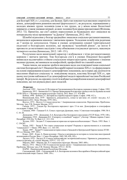для Болгарії ХІХ ст. і, в цілому, для Балкан. Цей стан пояснюється високою смертністю жінок, демографічним режимом високої фертильності і, як результат, переважанням у молодих вікових групах чоловіків (саме в тих групах, де у жінок немає біологічної переваги), а також умовами міграції, до яких чоловіки були краще прилаштовані (Філіпова, 2012: 72). Примітно, що сім'ї деяких переселенців до буджацьких міст лишалися на попередньому місці проживання "за Дунаєм" (Бачинська, 2012: 481).

Шлюбні відносини у болгар традиційно лишалися соціально-регламентованими, визначалися церковним каноном і звичаєвим правом. Укладення шлюбу між родичами до 7 коліна не допускалося. Однак в умовах дотримання суворої територіальної ендогамії в болгарських колоніях, що звужувала "шлюбний ринок", це могло б призвести до негативних наслідків і тому обмеження стосувалися третього, максимум четвертого коліна (Бачинська, 2012: 149–151).

Розлучення мали винятковий характер і відбувалися з чітко регламентованих церквою і звичаєм причин. Тож болгарська сім'я в умовах Південної Бессарабії виявилася надзвичайно стійкою соціальною мікроструктурою, порівняно з іншими малими групами, які виникали на конфесійній, професійній чи становій основі.

Таким чином, ми можемо зробити висновок щодо досліджуваної нами соціальної системи болгарської сім'ї Південної Бессарабії першої половини ХІХ ст. та сформулювати на основі опрацювання кількості демографічних показників, що в перші два десятиліття населення зберігало соціальну та поведінкову модель, властиву Болгарії XIX ст., при цьому поступово наближало її до демографічної моделі європейської частини Російської імперії. Як результат, на середину століття відбувається вироблення власної демографічної поведінки, що поєднувала риси двох моделей.

#### Література:

Ангелов, 1992 – Ангелов Д. История на Средновековната Българска държава и право. София. 1992. Бачинська, 2012 – Бачинська О.А. Процес формування болгарських громад в містах Буджака на межі ХVІІІ-ХІХ ст. // Человек в истории и культуре. Одесса. 2012. Вып. 2. С. 479-488.

Бобчев, 1998 – Бобчев С.С. История на старобългарското право. София. 1998. 412 с.

Вишневский, Кон, 1979 – Брачность, рождаемость, семья за три века: сб. статей / под ред. А.Г. Вишневского и И.С. Кона. Москва. 1979. 184 с.

Воугел, 1972 – Воугел Э. Семья и родство // Американская социология. Перспективы. Проблемы. Методы / ред. Г.В. Осипов. Москва. 1972.

Гандев, 1972 – Гандев Хр. Българската народност през 15-ти век. Демографско и етнографско изследване. София. 1972.

Ганцкая, 1984 – Ганцкая О.А. Семья: структура, функции, типы // Советская этнография. 1984. № 6. С. 16–28.

Демиденко, 1970 – Демиденко Л.А. Культура и быт болгарского населения в УССР. Киев. 1970. 140 с.

Державин, 1910 – Державин Н.С. К вопросу о семейной "задруге" у болгар // Живая старина. Санкт-Петербург. 1910. Кн. 76. Вып. 4. С. 313–318.

Зелдин, 1993 – Зелдин Т. Социальная история как история всеобъемлющая // Thesis. 1993. Вып. 1. С. 154-262.

Зидер, 1993 – Зидер Р. Что такое социальная история? Разрывы и преемственность в освоении "социального" // Thesis. 1993. Вып. 1. С. 163-181.

Зидер, 1997 – Зидер Р. Социальная история семьи в Западной и Центральной Европе (конец ХVIII – ХХ в.). Москва. 1997. 301 с.

Клаус, 1869 – Клаус А. Наши колонии : Опыты и материалы по истории и статистике иностранной колонизации в России. Вып. 1. Санкт-Петербург. 1869. XII, 456, 102 с.

Ласлетт, 1979 – Ласлетт П. Семья и домохозяйство: исторический подход // Брачность, рождаемость, семья за три века: сб. статей. Москва. 1979. С. 132–157.

Мердок, 2003 – Мердок Дж. П. Социальная структура. Москва. 2003. 608 с.

Миллз, 1972 – Миллз Т.М. О социологии малых групп // Американская социология. Перспективы. Проблемы. Методы / ред. Г.В. Осипов. Москва. 1972. С. 82-92.

НАРМ – Національний архів Республіки Молдова.

Скальковский, 1848 – Скальковский А.А. Болгарские колонии в Бессарабии и Новороссийской крае: статистический очерк. Одесса. 1848. 156 с.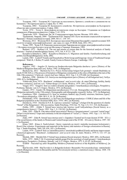Тодорова, 1983 – Тодорова М. Структура на населението, брачност, семейство и домакинство на Балканите // Исторически прегед. София. Кн. 4. 1983.

Тодорова, 2002 – Тодорова М. Балканското семейство. Историческа демография на българското общество през османския период. София. 2002.

Тотев, 1974 – Тотев А. Демографско-исторически очерк на България // Годишник на Софийски университет, Юридически факултет. София. Т. 65. 1974.

Тревельян, 1959 – Тревельян Дж. М. Социальная история Англии. Москва. 1959. 608 с.

Трубникова, Уварова, 2004 – Трубникова Н.В. Уваров П.Ю. Пути эволюции социальной истории во Франции // Новая и новейшая история. 2004. № 6. С. 138–147.

Філіпова, 2012 – Філіпова М.П. Болгарське населення Південної Бессарабії у першій половині ХІХ століття: історико-демографічний аспект : дис. канд. іст. наук. 07.00.06. Київ. 2012. 391 с.

Челак, 1999 – Челак Е.И. Ревизские сказки колонии Твардица как историко-демографический источник // История и культура болгар и гагаузов Молдовы и Украины. Кишинев. 1999.

Berkner, 1975 – Berkner L.K. The use and misuse of census data for the historical analysis of family structure // Journal of interdisciplinary history. 1975. Vol. 4. Р.721–738.

Kassabova-Dintcheva, 2002 – Kassabova-Dintcheva А. Migration und familie. Familienforschung und politik (Am BeispielBulgariens). Sofia. 2002.

Laslett, 1983 – Laslett P. Family and Household as Work Group and Kingroup: Areas of Traditional Europe compared // Wall, R, J. Robin, P. Laslett. Family Forms in Historic Europe. Cambridge. 1983.

#### References:

Angelov, 1992 – Angelov D. Istoriya na Srednovekovnata Balgarska darzhava i pravo [History of the Medieval Bulgarian State and Law]. Sofiya. 1992. [in Bulgarian].

Bachyns'ka, 2012 – Bachyns'ka O.A. Proces formuvannja bolgars'kyh gromad v mistah Budzhaka na mezhi ХVIII-ХIХ ct. [The process of formation of Bulgarian communities in the cities of Budzhak at the turn of the 18th-19th centuries] // Chelovek v istorii i kul'ture. Odessa. 2012. Vyp. 2. S. 479-488. [in Ukrainian].

Bobchev, 1998 – Bobchev S.S. Istoriya na starobalgarskoto parvo [History of old bulgarian law]. Sofiya. 1998. 412 s. [in Bulgarian].

Vishnevskii, Kon, 1979 – Brachnost', rozhdaemost', sem'ya za tri veka : sb. statei [Marriage, fertility, family for three centuries] / pod red. A.G. Vishnevskogo i I.S. Kona. Moskva. 1979. 184 s. [in Russian].

Vougel, 1972 – Vougel E. Sem'ya i rodstvo [Family and gender] // Amerikanskaya sotsiologiya. Perspektivy. Problemy. Metody / red. G.V. Osipov. Moskva. 1972. [in Russian].

Gandev, 1972 – Gandev Hr. Balgarskata narodnost prez 15-ti vek. Demografsko i etnografsko izsledvane [Bulgarian nationality in the 15th century. Demographic and ethnographic research]. Sofiya. 1972. [in Bulgarian].

Gantskaya, 1984 – Gantskaya O.A. Sem'ya: struktura, funktsii, tipy [Family: structure, functions, types] / / Sovetskaya etnografiya. 1984. № 6. S. 16–28. [in Russian].

Demidenko, 1970 – Demidenko L.A. Kul'tura i byt bolgarskogo naseleniya v USSR [Culture and life of the Bulgarian population in the Ukrainian SSR]. Kiev. 1970. 140 s. [in Russian].

Derzhavin, 1910 – Derzhavin N.S. K voprosu o semeinoi "zadruge" u bolgar [On the question of a family "friend" of the Bulgarians] // Zhivaya starina. Sankt-Peterburg. 1910. Kn. 76. Vyp. 4. S. 313–318. (In Russian).

Zeldin, 1993 – Zeldin T. Sotsial'naya istoriya kak istoriya vseob"emlyushchaya [Social history as a comprehensive history] // Thesis. 1993. Vyp. 1. S. 154-262. [in Russian].

Zider, 1993 – Zider R. Chto takoe sotsial'naya istoriya? Razryvy i preemstvennost' v osvoenii "sotsial'nogo" [What is social history? Gaps and continuity in the development of "social"] // Thesis. 1993. Vyp. 1. S. 163-181. [in Russian].

Zider, 1997 – Zider R. Sotsial'naya istoriya sem'i v Zapadnoi i Tsentral'noi Evrope (konets XVIII – XX v.) [The social history of the family in Western and Central Europe (end of the XVIII – XX cent.)]. Moskva. 1997. 301 s. [in Russian].

Klaus, 1869 – Klaus A. Nashi kolonii : Opyty i materialy po istorii i statistike inostrannoi kolonizatsii v Rossii [Our colonies: Experiments and materials on the history and statistics of foreign colonization in Russia]. Vyp. 1. Sankt-Peterburg. 1869. XII, 456, 102 s. [in Russian].

Laslett, 1979 – Laslett P. Sem'ya i domokhozyaistvo: istoricheskii podkhod [Family and home improvement: a historical approach] // Brachnost', rozhdaemost', sem'ya za tri veka: sb. statei. Moskva. 1979. S. 132–157. [in Russian].

Merdok, 2003 – Merdok Dzh. P. Sotsial'naya struktura [Social structure]. Moskva. 2003. 608 s. [in Russian]. Millz, 1972 – Millz T. M. O sotsiologii malykh grupp [On the sociology of small groups] // Amerikanskaya

sotsiologiya. Perspektivy. Problemy. Metody / red. G.V. Osipov. Moskva. 1972. S. 82-92. [in Russian]. NARM – Nacional'nyj arhiv Respubliky Moldova [National Archives of the Republic of Moldova]. [in

Russian]. Skal'kovskii, 1848 – Skal'kovskii A.A. Bolgarskie kolonii v Bessarabii i Novorossiiskoi krae : statisticheskii ocherk [Bulgarian colonies in Bessarabia and the Novorossiysk territory: a statistical essay]. Odessa. 1848. 156 s. [in Russian].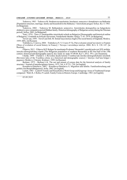Todorova, 1983 – Todorova M. Struktura na naselenieto, brachnost, semeystvo i domakinstvo na Balkanite [Population structure, marriage, family and household in the Balkans] // Istoricheski preged. Sofiya. Kn. 4. 1983. [in Bulgarian].

Todorova, 2002 – Todorova M. Balkanskoto semeystvo. Istoricheska demografiya na balgarskoto obshtestvo prez osmanskiya period [Balkan family. Historical demography of Bulgarian society during the Ottoman period]. Sofiya. 2002. [in Bulgarian].

Totev, 1974 – Totev A. Demografsko-istoricheski ocherk na Balgariya [Demographic and historical outline of Bulgaria] // Godishik na Sofiyski universitet, Yuridicheski fakultet. Sofiya. T. 65. 1974. [in Bulgarian].

Trevel'yan, 1959 – Trevel'yan Dzh. M. Sotsial'naya istoriya Anglii [The social history of England]. Moskva. 1959. 608 s. [in Russian].

Trubnikova, Uvarova, 2004 – Trubnikova N. V. Uvarov P. Yu. Puti evolyutsii sotsial'noi istorii vo Frantsii [Ways of evolution of social history in France] // Novaya i noveishaya istoriya. 2004. № 6. S. 138–147. [in Russian].

Filipova, 2012 – Filipova M.P. Bolgars'ke naselennja Pivdennoi' Bessarabii' u pershij polovyni XIX stolittja: istoryko-demografichnyj aspekt [The Bulgarian population of southern Bessarabia in the first half of the 19th century: historical and demographic aspect]: dys. kand. ist. nauk. 07.00.06. Kyi'v. 2012. 391 s. [in Ukrainian].

Chelak, 1999 – Chelak E. I. Revizskie skazki kolonii Tvarditsa kak istoriko-demograficheskii istochnik [Revision tales of the Tvarditsa colony as a historical and demographic source] // Istoriya i kul'tura bolgar i gagauzov Moldovy i Ukrainy. Kishinev. 1999. [in Russian].

Berkner, 1975 – Berkner L.K. The use and misuse of census data for the historical analysis of family structure // Journal of interdisciplinary history. 1975. Vol. 4. P.721–738. [in English].

Kassabova-Dintcheva, 2002 – Kassabova-Dintcheva А. Migration und familie. Familienforschung und politik (Am BeispielBulgariens). Sofia. 2002. [in English].

Laslett, 1983 – Laslett P. Family and Household as Work Group and Kingroup: Areas of Traditional Europe compared // Wall, R, J. Robin, P. Laslett. Family Forms in Historic Europe. Cambridge. 1983. [in English].

05.09.2019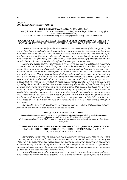### UDС 930 DOI: doi.org/10.21272/shaj.2019.i33.p.55

#### TIMURA.MAGSUMOV<sup>1</sup>, MARIYAO.NIGMATULLINA<sup>2</sup>

<sup>1</sup>Ph.D. (History), History of Education Society (United Kingdom); Naberezhnye Chelny State Pedagogical University (Russian Federation)

<sup>2</sup>M.A. (Education), Naberezhnye Chelny State Pedagogical University (Russian Federation)

### SPECIFICS OF THE ADULT HEALTHCARE SYSTEM FORMATION OF THE NEW SOCIALIST INDUSTRIAL CITIES OF THE LAST THIRD OF THE 20TH CENTURY

Abstract. The author analyzes the therapeutic service development of the young city of the era of "developed socialism", which eventually becomes the basis for the creation of the urban healthcare system in the late Soviet industrial centers. Both problems and achievements of its development are identified along with specific features of the urban healthcare system that had been formed at the beginning of the "Perestroika", which eventually sharply distinguished the new socialist industrial centers from the cities of the European part of the country.

During the period under consideration, a lot of work was done to establish a therapeutic service in the city of Naberezhnye Chelny. At the time the construction of industrial enterprises began, there was only one therapeutic unit in the central district hospital in the city. Later, hospitals and out-patient clinics were opened, healthcare centers and workshop services operated to treat the workers. Therapy was the basis of all specialized medical services, therefore, building up this service largely met the needs of the city under construction. As a result, specialized units were established on the basis of the therapeutic service, which subsequently operated as independent services. In the context of rapid demographic growth, the city was constantly expanding the network of medical institutions, increasing the number of employees along with facilities and equipment potential of medical institutions. This became the basis for the main result of the city's therapeutic service activities during this period, i.e. the transition from the territorial-production principle of its patient service towards the territorial-specialized one. These undoubtedly positive results made it possible to maintain positive dynamics in the development of the city's healthcare system in the subsequent years of the "Perestroika" and the collapse of the USSR, when the state of the industry as a whole declined sharply throughout the country.

Keywords: history of healthcare; therapeutic service; USSR; Naberezhnye Chelny; prevention and treatment institutions; developed socialism.

#### МАГСУМОВ Т.А.<sup>1</sup>, НІГМАТУЛЛІНА М.О.<sup>2</sup>

<sup>1</sup> Кандидат історичних наук, Товариство історії освіти (Велика Британія); Набережночелнинський державний педагогічний університет (Російська Федерація)

<sup>2</sup>Магістр педагогічної освіти, Набережночелнинський державний педагогічний університет (Російська Федерація)

### СПЕЦИФІКА ФОРМУВАННЯ СИСТЕМИ ОХОРОНИ ЗДОРОВ'Я ДОРОСЛОГО НАСЕЛЕННЯ НОВИХ СОЦІАЛІСТИЧНИХ ІНДУСТРІАЛЬНИХ МІСТ ОСТАННЬОЇ ТРЕТИНИ XX ст.

Анотація. Аналізується розвиток терапевтичної служби молодого міста епохи "розвинутого соціалізму", що стала основою створення міської системи охорони здоров'я у пізньорадянських індустріальних центрах. Виявлені проблеми й досягнення на цьому шляху, виділені специфічні особливості створеної на початок "Перебудови" системи міської охорони здоров'я, що різко відрізняли новіе соціалістичні індустріальні центри від міст європейської частини країни.

У досліджуваний період у Набережних Челнах була проведена велика робота з налагодження терапевтичної служби. На момент початку будівництва промислових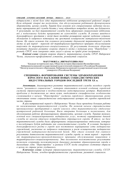підприємств у місті було одне терапевтичне відділення центральної районної лікарні. Були відкриті лікарні та поліклініки, для обслуговування робітників функціонували здоровпункти, цехова служба. Терапія була основою всіх спеціалізованих медичних послуг, тому нарощування цієї служби багато у чому відповідало потребам міста, що будувалося. У результаті, на базі терапевтичної служби були сформовані спеціалізовані відділення, які у подальшому будуть працювати як самостійні служби. В умовах швидкого демографічного зростання у місті йшло постійне розширення мережі медичних установ, збільшення їх кадрового потенціалу та зростання оснащеності матеріально-технічною базою. Це стало основою для головного результату діяльності терапевтичної служби міста за цей період – переходу від територіально-виробничого принципу обслуговування пацієнтів до територіально-спеціалізованого. Ці результати дозволили зберегти позитивну динаміку розвитку охорони здоров'я міста у подальші роки "Перебудови" і розпаду СРСР, коли синхронно стан галузі в цілому по країні різко погіршився.

Ключові слова: історія охорони здоров'я, терапевтична служба, СРСР, Набережні Челни, лікувально-профілактичні установи, розвинутий соціалізм.

#### МАГСУМОВ Т.А.<sup>1</sup>, НИГМАТУЛЛИНА М.О.<sup>2</sup>

1 Кандидат исторических наук, Общество истории образования (Великобритания); Набережночелнинский государственный педагогический университет (Российская Федерация) <sup>2</sup>Магистр педагогического образования, Набережночелнинский государственный педагогический университет (Российская Федерация)

### СПЕЦИФИКА ФОРМИРОВАНИЯ СИСТЕМЫ ЗДРАВООХРАНЕНИЯ ВЗРОСЛОГО НАСЕЛЕНИЯ НОВЫХ СОЦИАЛИСТИЧЕСКИХ ИНДУСТРИАЛЬНЫХ ГОРОДОВ ПОСЛЕДНЕЙ ТРЕТИ XX в.

Аннотация. Анализируется развитие терапевтической службы молодого города эпохи "развитого социализма", которая становится основой создания городской системы здравоохранения в позднесоветских индустриальных центрах. Выявляются проблемы и достижения на этом пути, выделяются специфические особенности сложившейся к началу "Перестройки" системы городского здравоохранения, резко отличавшие новые социалистические индустриальные центры от городов европейской части страны.

В рассматриваемый период в Набережных Челнах была проведена большая работа по налаживанию терапевтической службы. На момент начала строительства промышленных предприятий в городе имелось одно терапевтическое отделение центральной районной больницы. Были открыты больницы и поликлиники, для обслуживания рабочих функционировали здравпункты, цеховая служба. Терапия являлась основой всех специализированных медицинских услуг, поэтому наращивание данной службы во многом отвечало потребностям строящегося города. В итоге, на базе терапевтической службы были сформированы специализированные отделения, которые в последующем будут работать как самостоятельные службы. В условиях быстрого демографического роста в городе шло постоянное наращивание сети медицинских учреждений, увеличение их кадрового потенциала и рост оснащенности медицинских учреждений материально-технической базой. Это стало основой для главного результата деятельности терапевтической службы города за этот период – перехода от территориально-производственного принципа обслуживания пациентов к территориально-специализированному. Эти несомненно положительные результаты позволили сохранить положительную динамику развития здравоохранения города в дальнейшие годы "Перестройки" и развала СССР, когда синхронно состояние отрасли в целом по стране резко ухудшалось.

Ключевые слова: история здравоохранения, терапевтическая служба, СССР, Набережные Челны, лечебно-профилактические учреждения, развитой социализм.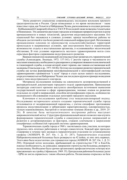Эпоха развитого социализма сопровождалась последним всплеском крупного градостроительства в России. Среди возведенных в это время мегаполисов – такие известные горда, как Тольятти и Набережные Челны, расположенные в соседних регионах – Куйбышевской (Самарской) области и ТАССР. В последней также возведены Альметьевск и Нижнекамск. Эти динамично растущие городские агломерации превратили регион в центр промышленности и новых технологий, средоточия индустриального населения. Его социальный быт оказывался в сложных условиях: прежде малообжитые районы не обладали достаточной и тем более развитой социальной инфраструктурой. Интенсивное промышленное освоение по преимуществу сельскохозяйственных территорий происходило в напряженных условиях, при неустроенном быте и ограниченных возможностях отдыха и восстановления организма, в осложнявшейся экологической обстановке. В этих условиях неразвитость местного здравоохранения могла стать серьезным фактором сдерживания индустриального развития.

Важным показателем медицинской системы выступает развитая сеть терапевтической службы (Александров, Лисицын, 1972: 137-141). С ростом города и численности его населения повышалась необходимость расширения и усовершенствования поликлинической и стационарной службы, в основе которой лежит терапия, как главная составляющая всей медицины (Гомельская и др., 1971: 84-86). Поэтому исследование развития терапевтической службы как истока формирования многофункциональной и многопрофильной системы здравоохранения строившегося "с нуля" города и стало целью нашего исследования, сосредоточившегося на Набережных Челнах как последнем крупном примере возведения нового типа индустриального соцгорода.

Материалы исследования основаны на совокупности делопроизводственной и распорядительной документации городского отдела здравоохранения. Привлекаемая литература советского времени выступила своеобразным источником выявления государственной политики в сфере здравоохранения, типовых планов по развитию отдельных ее служб и направлений, способов интенсификации отрасли, особенностях медицинского обслуживания отдельных категорий городского населения.

Ключевым в исследовании проблемы стал междисциплинарный подход. Исследование исторического аспекта создания терапевтической службы города отталкивается от модернизационной парадигмы, с учетом специфики: протекавшие процессы индустриализации и урбанизации характеризовались одновременностью, тесным взаимовлиянием, быстротой и гигантскими темпами (Ковзик и др., 2019: 25- 26). В качестве базы методологического построения работы выступает макроаналитический метод. Структурно-функциональный анализ позволил нам изучить формирование терапевтической службы в совокупности разных направлений ее развития и детерминирующих ее факторов, ставших ключевыми в закреплении специфичных особенностей городской системы здравоохранения.

Терапевтическая служба города в 1968 г. насчитывала семь участков, на которых трудилось пять штатных работников и четыре совместителя. Каждый врач проходил стажировку в течение трех месяцев в терапевтическом отделении по установленному графику (АОИКНЧ. Ф. 267. Оп. 1. Д. 31: 287). Терапевтическое отделение Набережночелнинской больницы было развернуто на 42 койки, из них пять нервных. Этого явно было недостаточно для строящегося города (АОИКНЧ. Ф. 267. Оп. 1. Д. 31: 294). Огромный поток молодежи, прибывающий на строительство ГЭС и КамАЗа, показал необходимость, не дожидаясь завершения строительства больницы, развернуть поликлинику. Необходимо было срочно организовать профилактические осмотры всех приезжающих на стройку (Афанасьев, 1969: 35). Центральная районная больница (далее – ЦРБ) не могла справиться с таким объемом работы. Поликлиника открылась на базе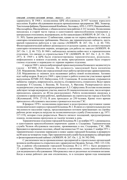здравпункта. В 1968 г. поликлиника ЦРБ обслуживала 26 957 человек взрослого населения. В район обслуживания входили промышленные предприятия: ЗЯБ, Элеватор, Текстильная фабрика, Промышленный Комбинат, Лесозавод, АТП-1, СПТУ, Пищекомбинат, Маслосырбаза, Мясокомбинат, с общим количеством рабочих 4 331 человек. Поликлиника находилась в старой части города в одноэтажном приспособленном помещении с центральным отоплением, водопроводом, но без канализации (АОИКНЧ. Ф. 267. Оп. 1. Д. 31: 303). Здание располагало 12 кабинетами, однако на тот период кабинеты не отвечали санитарно-гигиеническим требованиям. Имелось два терапевтических кабинета, шесть врачей-терапевтов работали в три смены (АОИКНЧ. Ф. 267. Оп. 1. Д. 46: 730). Физиотерапевтический кабинет размещался в отдельном здании, не соответствующем санитарно-гигиеническим нормам, аппаратуры для работы не хватало (АОИКНЧ. Ф. 267. Оп. 1. Д. 46: 732). В 1968 г. наблюдалась нехватка койко-мест в терапевтическом отделении, что связано со строительством ГЭС (АОИКНЧ. Ф. 267. Оп. 1. Д. 31: 294- 297). К 1969 г. в ЦРБ были отремонтированы терапевтическое, родильное, инфекционное и кожное отделения, во вновь пристроенном здании было открыто глазное отделение и переведено из терапии нервное отделение.

С апреля 1969 г. начала амбулаторный прием выпускница Казанского мединститута (далее – КГМИ) Л.Н. Ганеева. На должность заведующей была назначена Л.И. Мордвинова. Имея уже определенный опыт работы организатора здравоохранения, Л.И. Мордвинова со знанием дела налаживает работу новой поликлиники. Активно идет набор кадров. В августе 1969 г. приступают к работе в качестве участковых врачей выпускницы КГМИ Л.П. Набиуллина, Е.И. Сушенцова. В поликлинике открываются кабинеты: хирурга, невропатолога, окулиста, отоляринголога, стоматолога. Ведут прием педиатры: Р. Стахеева, 3. Вазеева, М. Толстых, А. Фролова. Развертывается шесть педиатрических участков, которыми руководит А.З. Сафиуллина. В составе поликлиники действуют четыре акушерских участка, имеется 20 гинекологических коек, число которых приходилось доводить до 40 (на раскладушках). Работа поликлиники сводилась в основном к профосмотрам рабочих, прибывающих на строительство города и КамАЗа (Жуховицкий, 1976: 27-33). В день проходило до 250 человек. Кроме этого врачам приходилось обслуживать население строящегося поселка ГЭС.

В феврале 1970 г. поликлиника переезжает в недостроенное двухэтажное здание поликлинического корпуса городской больницы № 2. В связи со стремительным ростом численности населения города, продолжающимся потоком приезжающих на стройку рабочих резко возросла нагрузка на поликлиническую службу (Гомельская и др, 1971: 117-119), которая стала разрастаться. Вместо пятисот посещений, предусмотренных планом, поликлиника пропускала до тысячи человек в день.

Терапевтическое отделение городской больницы № 2 до ноября 1971 г. размещалось в одноэтажном приспособленном кирпичном здании п. Сидоровка. Терапевтическая служба Челнов обслуживала население, проживающее в пос. Сидоровка, ГЭС, ЗЯБ, Брондвахта и временных поселках, общей численностью 55 тыс. человек. С ноября 1971 г. терапевтическое отделение переведено в новое здание городской больницы и развернуто на 80 коек на четвертом этаже. При терапевтической службе были развернуты лаборатория и физиотерапевтический кабинет (АОИКНЧ. Ф. 267. Оп. 1. Д. 54: 592-594).

С увеличением числа промышленных предприятий и строительных организаций возникла необходимость открытия в них здравпунктов (Захаров, Хотько, 1963: 123-124). Так, в районе обслуживания городской больницы № 2 в 1971 г. было развернуто 32 здравпункта. Первоначально они ютились в вагончиках, плохо приспособленных для медицинского обслуживания. Обогревались они от различных источников питания. Когда в конце рабочего дня они отключились, то в холодное время года помещения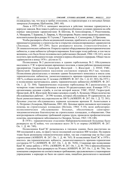охлаждались так, что вода в трубах отопления, в стерилизаторах и в питьевых бачках замерзала (Ахмерова, Щебланова, 2001: 60).

Лишь в 1975-1976 гг. начинают вводиться в действие типовые здравпункты в корпусах заводов. Всю тяжесть работы в неприспособленных условиях приняли на себя первые заведующие здравпунктами: В. Шитова, В. Апполинарова, Г. Решетникова, А. Мещерова, Т. Буракова, Л. Лаврова, А. Муллагареева. Рядом с ними трудились грамотные, исполнительные фельдшеры: Н. Глухова, Г. Герасимова, А. Слепокурова, Л. Проснева.

Чтобы расширить объем медицинской помощи, приблизить ее к рабочим местам, принимается решение о строительстве и открытии специализированных здравпунктов (Лисицын, 2008: 287-289). Было развернуто восемь стоматологических и 28 гинекологических кабинетов. Открыты хорошо оборудованные физиотерапевтические кабинеты, и даже кабинеты зубопротезирования. Благодаря этому рабочие, в том числе женщины, а их было более половины всех работающих (Бедный, 1984: 138-141), могли получить при необходимости курс лечения в период обеденного перерыва. Общее число здравпунктов к концу 1976 г. достигло 52.

Поликлиника № 2 располагалась в здании горбольницы № 2. Обслуживала население п. ГЭС и прилегающих временных поселков, а также рабочие промышленные предприятия: Гидрострой, Спецстрой, Жилстрой – 1, Жилстрой – 2, ПУАТ, УМС, Промстрой. Прикрепленное население составляло порядка 60,5 тыс. человек. Поликлиника располагалась в типовом здании больничного комплекса и имела семь терапевтических кабинетов, укомплектованность врачами-терапевтами составляла 100 %, в общем количестве 21 человек (АОИКНЧ. Ф. 267. Оп. 1. Д. 63: 383). На 1973 г. в поликлинике насчитывалось девять терапевтических кабинетов (АОИКНЧ. Ф. 267. Оп. 1. Д. 72: 304). Терапевтическое отделение горбольницы № 2 располагалось на четвертом этаже типовой больницы и имело 30 среднегодовых коек. В январе 1973 г. организована цеховая служба, в состав которой вошли: УМС, ПУАТ, Гидрострой, Промстрой, ДСК, Жилстрой. Возглавил цеховую службу А. Кузнецов. Общее количество обслуживаемых рабочих – 24 596 человек, которых обслуживали 30 здравпунктов, все были укомплектованы мед.персоналом на 100 % (АОИКНЧ. Ф. 267. Оп. 1. Д. 72: 301). Цеховые участки обслуживались первыми цеховыми врачами Н. Акинтьевым и А. Петренко (Ахмерова, Щебланова, 2001: 60). Цеховые врачи оказывали неотложную помощь на строительных площадках (Ноткин, 1964: 5-10), вели амбулаторнополиклиническое обслуживание больных, обеспечивали санитарноэпидемиологическое благополучие на строительных площадках, в общежитиях. Они контролировали соблюдение требований охраны труда, проводили профилактические осмотры, анализировали заболеваемость (Захаров, Хотько, 1963: 138-140).

В 1970 г. терапевтическое отделение Набережночелнинской больницы было развернуто на 42 койки, что составляло всего 36 % от нормы (АОИКНЧ. Ф. 267. Оп. 1. Д. 46: 749).

Поликлиника КамГЭС размещалась в типовом здании, была рассчитана на 500 посещений в день, по факту число посещений составляло 800 человек. На первом этаже были размещены гинекологические койки, так как стационар еще не был сдан строителями (АОИКНЧ. Ф. 267. Оп. 1. Д. 46: 765). В поликлинике КамГЭС в 1970 г. имелось два терапевтических кабинета, укомплектованность врачами-терапевтами составляла 83 % (АОИКНЧ. Ф. 267. Оп. 1. Д. 46: 765б). Стационар при поликлинике КамГЭС начал работу с 1970 г. (АОИКНЧ. Ф. 267. Оп. 1. Д. 46: 756) в приспособленном здании. Отделение было развернуто на 50 коек (АОИКНЧ. Ф. 267. Оп. 1. Д. 46: 756). Это помещение совершенно не соответствовало требованиям, предъявляемым к стационарным учреждениям: в коридоре не было ни одного окна, пищеблок располагался в маленькой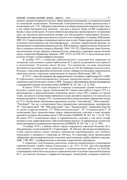## СУМСЬКИЙ ІСТОРИКО-АРХІВНИЙ ЖУРНАЛ. №XXXIII. 2019 **1998**

комнате, пациентов кормили в палатах. Пищу привозили на машинах, а готовили ее в одном из помещений поликлиники. Клиническая и биохимическая службы располагались в поликлинике пос. ГЭС. Лаборанты приезжали для забора клинических анализов через день, а для забора биохимических анализов – два раза в неделю. Кровь на RW отправляли в Казань в виде сухой капли. В одном кабинете размещалась ординаторская и сестринская; здесь же находился рентгеновский аппарат для обследования стационарных больных. Медицинские процедуры выполнялись в палатах или в коридорах (Ахмерова, Щебланова, 2001: 61). Стерилизаторы со шприцами кипели день и ночь. Первое время терапевтическое отделение использовалось как многопрофильное – лечились хирургические больные, не нуждающиеся в оперативном вмешательстве, ЛОР-пациенты, неврологические. Контингент был в основном молодого возраста (Бедный, 1984: 119-122). Преобладали такие болезни, как воспаление легких, бронхит, язвенная болезнь, ревматизм с пороками сердца, болезни почек, гипертония (Журавлева, Левыкин, 1989: 19-21). За 1970-1971 гг. было отмечено всего не более четырех случаев инфаркта миокарда.

В октябре 1971 г. стационар терапевтического отделения был переведен на четвертый этаж основного здания горбольницы № 2, еще не достроенного и не сданного в эксплуатацию. Отделение имело 60 коек. Это количество, по мере увеличения численности населения в городе, пришлось довести до 120. В стационар стали поступать больные с тяжелыми формами воспаления легких, инфарктом миокарда, нарушениями сердечного ритма, тяжелыми отравлениями (Ахмерова, Щебланова, 2001: 62).

В 1973 г. город обслуживали два терапевтических отделения: в горбольнице № 2 и ЦРБ. В горбольницу госпитализировались больные преимущественно с заболеваниями сердечнососудистой системы и легких, в ЦРБ – больные с заболеваниями органов пищеварения и эндокринной системы, болезнями почек (АОИКНЧ. Ф. 267. Оп. 1. Д. 72: 364).

В начале 1970-х годов начинается открытие и возведение зданий поликлиник и больниц в новой части города. Поликлиника № 3 начала свою работу в апреле 1972 г. и расположилась в приспособленном помещении жилого дома 2/08 с первого по третий этажи. До августа в поликлинике принимали только два врача-терапевта, что сказалось на показателях работы. К концу 1972 г. поликлиника была укомплектована терапевтами только на 75 %. Поликлиника обслуживала временные поселки "Автозаводец", "Молодежный", "Литейный". Так же к поликлинике были прикреплены промышленные предприятия: УС "Автозаводстрой", МС "Металургстрой", трест "Камжилстрой", Управление КамАЗа со всеми подразделениями, ГУ "Минзонталспецстрой", УС "Спецжилстрой-2". В поликлинике было укомплектовано девять терапевтических участков и один цеховой, каждый из которых обслуживал около 5 500 человек (АОИКНЧ. Ф. 267. Оп. 1. Д. 64: 724). На конец 1973 г. поликлиника имела 11 терапевтических участков, в том числе четыре цеховых и семь территориальных. При поликлинике имелось 14 здравпунктов, полностью укомплектованных медицинским персоналом (АОИКНЧ. Ф. 267. Оп. 1. Д. 72: 309).

15 ноября 1974 г. в районе нового города открывается городская больница № 3, объединенная с поликлиникой № 3. Главный врач – М. Москов. Три месяца потребовалось, чтобы девятиэтажное здание типового общежития переоборудовать под лечебное учреждение и развернуть стационар на 180 коек. В стационаре были организованы лаборатория, физиотерапевтическое отделение, рентгеновская служба, кабинеты массажа, ЛФК, УЗИ, ФГС, эндобронхиального введения лекарственных препаратов.

С открытием этой больницы наметилась попытка специализации стационарной терапевтической службы города (Гомельская и др, 1971: 81-83). Для обслуживания иностранных специалистов, участвующих в пусконаладочных работах на КамАЗе, стационарные койки были выделены в терапевтическом отделении городской больницы № 2, где лечились больные с инфарктом миокарда, гипертонией, сахарным диабетом.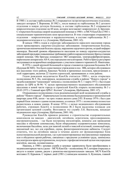В 1980 г. в составе горбольницы № 2 открывается гастроэнтерологическое отделение, заведует которым Т. Воронова. В 1982 г., после вывода из горбольницы № 2 детского отделения в новую детскую больницу, в составе горбольницы № 2 открывается неврологическое отделение на 60 коек, которое возглавляет невропатолог Д. Брускин. С открытием больницы скорой медицинской помощи в 1980 г. и МСЧ КамАЗа в 1983 г. специализация терапевтических коек продолжается. В этих стационарах открываются отделения – неврологическое и кардиологическое, в составе горбольницы № 2 – эндокринологическое и т.д. (Ахмерова, Щебланова, 2001: 62).

В начале 1980-х годов в структуре заболеваемости взрослого населения города стали превалировать сердечно-сосудистые заболевания: гипертоническая болезнь, хроническая ишемическая болезнь сердца, нарушение сердечного ритма, острый инфаркт миокарда. Высокий уровень обращаемости населения по поводу сердечно-сосудистых заболеваний предъявил повышенные требования к работе кардиологических бригад станции скорой помощи. Обе бригады оснащаются ЭКГ-аппаратами, электродефибриляторами, наркозными аппаратами АН-8, кислородными ингаляторами. Работа бригад регулярно заслушивается на врачебных конференциях с участием главного терапевта Н. Никитенко.

В 1976 г. самой крупной больницей в городе становится городская больница № 4 (будущая БСМП). Это было единственное учреждение в пос. ЗЯБ, которое обслуживало все население этого района, Красных Челнов и временных поселков, прилегающих к этой территории, включая 22 тысячи строителей, проживавших в этом районе.

Годом рождения медсанчасти КамАЗа считается 1980 г., когда открылась поликлиника № 5. Но, повторимся, медицинская служба в районе "Нового города" и медобслуживание "камазовцев" начались с поликлиники № 3. 1 марта 1972 г. был издан приказ по ЦРБ за № 96: "С целью преимущественного медицинского обслуживания населения в новой части города и строителей КамАЗа открыть поликлинику № 3 с 20.03.1972 г. Главный врач ЦРБ Г. Колчин" (Ахмерова, Щебланова, 2001: 67).

Открывшаяся поликлиника стала родоначальницей всей медицинской службы в районе "Нового города". Первоначально поликлиника была размещена в трехкомнатной квартире дома 4/06, затем – на трех этажах жилого дома 2/03. В конце 1974 г. был сдан первый блок типового здания поликлиники, а в начале 1975 г. поликлиника полностью разместилась в новом здании. В конце 1974 г. с целью медицинского обслуживания рабочих, строящих КамАЗ, в поликлинике № 2 были выделены площади для организации цеховой службы. Возглавила эту службу Л.К. Васильева, кандидат медицинских наук (Ахмерова, Щебланова, 2001: 68).

Руководство КамАЗа приняло решение о строительстве оздоровительных комплексов на заводах – двигателей, литейном, агрегатном, прессоворамном, инструментальном, – где были построены ингалятории, комнаты для проведения массажа и обучения самомассажу, были оборудованы оздоровительные комплексы, включающие бассейны, залы для занятий легкой и тяжелой атлетикой, теннисный корт, шахматный зал, зал для аэробики, сауны, физиотерапевтические кабинеты. Следует отметить, что на литейном заводе в течение десяти лет функционировал блок психоэмоциональной разгрузки, где в регламентированные внутрисменные перерывы или в обеденное время рабочие, связанные с вредными условиями труда, занимались под контролем врача аутотренингом, получали с профилактической целью кислородные коктейли, массаж, поливитамины.

Наконец, в 1980 г. цеховая служба и цеховые здравпункты были преобразованы в медикосанитарную часть (далее – МСЧ) КамАЗа – поликлинику № 5, которая открылась в августе в новом здании, рядом с ремонтно-инструментальным заводом. МСЧ КамАЗа возглавил П. Курьянов. С первых дней (1981 г.) начмедом назначен А. Кузнецов, главной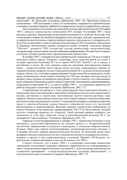медсестрой – В. Данцкевич (Ахмерова, Щебланова, 2001: 69). Проектная мощность поликлиники – 600 посещений в смену. В поликлинике открываются терапевтические отделения, отделение хирургии, кабинеты отоларинголога, окулиста, невропатолога, уролога.

Для дальнейшего улучшения медицинской помощи работникам КамАЗа 20 ноября 1985 г. началось строительство поликлиники № 9, которая 10 сентября 1987 г. была введена в действие. Заведующим поликлиникой назначается А. Илюхин. В составе этой поликлиники с первых же дней были развернуты пять цеховых участков, терапевтическое и хирургическое отделения, открыты кабинеты уролога, офтальмолога, отоляринголога. В составе поликлиники открыта женская консультация на 250 посещений (заведующая Е. Куршева). Поликлиника хорошо оснащается новой техникой: эндоскопы фирмы "Пентакс", аппараты УЗИ, сосудистый доплер, реовазограф, радиотермограф, эхокардиограф, компьютерная система нейрокартографирования. Позднее были открыты отделения лучевой диагностики и функциональной диагностики.

В декабре 1983 г. открывается многопрофильный стационар на 720 коек в первом комплексе нового города. Открытие стационара стало заметной вехой не только в истории городской больницы № 5 (в то время МСЧ ПО "КамАЗ"), но и города, и республики в целом. До этого времени взрослое население Автозаводского района (ныне – северо-восточной части города) могло получить стационарную помощь по терапевтическому профилю только в городской больнице № 2, куда всегда была большая очередь. Кроме того, в истории здравоохранения Татарстана не было прецедента, чтобы сразу, одномоментно, была открыта больница на 720 коек, которая и сегодня входит в пятерку самых крупных по мощности в республике. Следует отметить, что существенную роль в открытии стационара сыграли, помимо строителей, монтажников, проектировщиков, сотрудники поликлиники № 2, а с мая по ноябрь 1983 г. – и сотрудники, принятые для работы в будущем стационаре (Ахмерова, Щебланова, 2001: 71).

Сотрудниками медсанчасти в ходе реконструкции была выполнена большая, в буквальном смысле весомая работа: вынесены и погружены десятки тонн строительного мусора, доставлены к строителям, монтажникам тысячи носилок раствора, горы кирпича. Поднято и расставлено несколько тысяч единиц твердого и мягкого инвентаря, различных видов медицинской техники. Стационар был развернут в рекордно короткие сроки в приспособленном здании бывшего общежития после его частичной реконструкции и перепланировки. Высоким уровнем соответствия требованиям он поразил бывшего тогда министра здравоохранения ТАССР И. Мухутдинова, который посетил стационар накануне его открытия. Такой высокий уровень комфорта для пациентов до этого был, пожалуй, только в республиканской больнице № 2, так называемой "партлечебнице" (Ахмерова, Щебланова, 2001: 77).

Первыми госпитализированными в декабре 1983 г. пациентами больницы стали женщины с патологией беременности на поздних сроках и с экстрагенитальной патологией, переведенные из роддома в медгородке, и несколько неврологических больных. Через день начали госпитализировать гастроэнтерологических больных, а 9 декабря поступил первый кардиологический больной. За неполный месяц было развернуто восемь клинических (из них пульмонологическое и эндокринологическое – впервые в городе) и пять параклинических отделений. Принято 359 больных, но, фактически, основополагающим годом для больницы стал 1984 г.

Следует отметить, что в конце 1984 г. в стационаре, благодаря инициативе заведующих отделениями, появились кабинеты, первоначально не планировавшиеся: грязе- и водолечения в неврологическом отделении № 1, психоэмоциональной разгрузки и кишечных промываний – в гастроэнтерологическом отделении, бронхоскопии – в пульмонологическом отделении (Ахмерова, Щебланова, 2001: 77).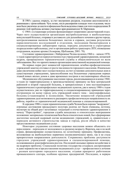В 1985 г. удалось открыть, за счет внутренних ресурсов, отделение анестезиологии и реанимации с тремя койками. Чуть позже, после расширения площади этого отделения, число коек было увеличено до шести и официально были выделены ставки для этого подразделения. В решении этой проблемы активно участвовал врач-реаниматолог В. Марченков.

С 1984 г. в стационаре успешно функционирует оперативно-диспетчерский отдел. Через него осуществляется организация внутрибольничных и внебольничных консультаций больных, отправка и доставка их для дальнейшего лечения в другие города, централизованная выписка больничных листов и справок, доставка результатов параклинических исследований в отделения, экспедиция биоматериалов в специализированные лаборатории города, передача документов в структурные подразделения горбольницы, учет и организация работы транспорта ЛПУ, оповещение сотрудников, ведение архива (Ахмерова, Щебланова, 2001: 78).

Состояние здравоохранения г. Набережные Челны на конец 1960-х – начало 1970 х годов характеризуется переуплотненностью учреждений здравоохранения, нехваткой кадров, превращением терапевтической службы в общеклиническую по всем заболеваниям. Все это препятствовало организации качественной медицинской помощи.

На первых порах рост мощностей терапевтических лечебно-профилактических учреждений заметно отставал от роста численности городского населения. Изначально даже увеличение койко-мест осуществлялось за счет установки дополнительных коек в существующих учреждениях, приспособления под больничные учреждения первых этажей новых жилых домов и даже временных построек и нестационарных объектов.

Медицинское обслуживание населения города, реализовывавшееся в конце 1960 х годов по территориальному и производственному принципу на базе центральной районной и второй городской больниц, и прикрепленных к ним нестационарных терапевтических и разнопрофильных медицинских пунктов, уже к началу 1980-х годов осуществлялось уже по территориальному и специализированному принципам через отстроенную по всему городу сеть учреждений нового типа – многопрофильных больниц (стационаров) и поликлиник. Увеличение мощностей учреждений здравоохранения дало возможность расширить профилактическую направленность их работы, перейти от терапевтической медицинской помощи к специализированной.

К середине 1980-х годов терапевтическая служба Челнов была хорошо "вооружена", огромные достижения предыдущего полутора десятка лет были очевидны, поэтому, несмотря на общий рост негативных тенденций в отечественном здравоохранении к началу "Перестройки", городская служба находилась в относительно выигрышном положении: материально-техническая база была относительно новой, был сформирован достаточно молодой кадровый состав медицинских учреждений, и, сравнительно с периодом активного строительства завода и города, росли объем и качество предоставляемых медицинских услуг.

Некоторое ухудшение состояния здоровья населения можно объяснить его взрослением – переходом от молодежного к среднему возрасту. Впрочем, как и по всей стране, финансирование осуществлялось по остаточному принципу. Профилактика, возложенная на внебольничное первичное (поликлиническое) звено, так и не стала приоритетным направлением деятельности. Сохранялись проблемы доступности городских учреждений здравоохранения и специализированной помощи, осложнявшиеся демографическим ростом. Последний оказывал прямое воздействие и на кадровую проблему. Социальная политика государства создавала диспропорции и даже неравенство в предоставлении медицинских услуг – профилактики и лечения – разным категориям городского населения, отдавая приоритет работникам промышленного сектора, особенно крупных предприятий. Последние, в первую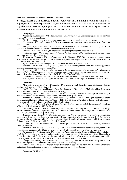очередь КамГЭС и КамАЗ, внесли существенный вклад в расширение сети учреждений здравоохранения, создав первоначально участковые терапевтические службы (пункты) на предприятиях, а в дальнейшем осуществив строительство объектов здравоохранения за собственный счет.

### Литература:

Александров, Лисицын, 1972 – Александров О.А., Лисицын Ю.П. Советское здравоохранение / под ред. Г.Е. Острове. Москва, 1972.

АОИКНЧ – Архивный отдел исполнительного комитета города Набережные Челны.

Афанасьев, 1969 – Афанасьев В.Г. Об интенсификации развития социалистического общества. Москва, 1969.

Ахмерова, Щебланова, 2001 – Ахмерова Ф.Г., Щебланова Р.А. Подвиг милосердия. Очерки истории здравоохранения Набережных Челнов. Набережные Челны, 2001.

Бедный, 1984 – Бедный М.С. Демографические факторы здоровья. Москва, 1984.

Гомельская и др., 1971 – Гомельская Г.Л., Коган Е.Я., Логинова Е.А. Очерки развития поликлинической помощи в городах СССР. Москва, 1971.

Журавлева, Левыкин, 1989 – *Журавлева И.В., Левыкин И.Г.* Образ жизни и региональные особенности отношения к здоровью // Социальные проблемы здоровья и продолжительности жизни. Сб. статей. Москва, 1989. С. 19-21.

Жуховицкий, 1976 – Жуховицкий Л.А. Костер по четвергам. Москва, 1976.

Захаров, Хотько, 1963 – Захаров Ф.Г., Хотько Н.К. Медицинское обслуживание трудящихся промышленных предприятий. Москва, 1963.

Ковзик и др., 2019 – Ковзик Г.О., Магсумов Т.А., Нигматуллина М.О., Титова С.В. Набережные Челны в 1969–1985 гг.: социальная история модернизационного эксперимента эпохи зрелого социализма / под ред. Т.А. Магсумова. Красноярск, 2019. DOI: 10.12731/978-5-907208-02-5

Лисицын, 2008 – Лисицын Ю.П. История медицины: учебник для мед. вузов. Москва, 2008.

Ноткин, 1964 – Ноткин Е.Л. Задачи и методы изучения состояния здоровья рабочих. Кемерово, 1964.

#### References:

Aleksandrov, Lisitsyn, 1972 – Aleksandrov O.A., Lisitsyn Yu.P. Sovetskoe zdravookhranenie [Soviet health care]. Moscow, 1972. [in Russian].

AOIKNCh – Arkhivnyi otdel ispolnitel'nogo komiteta goroda Naberezhnye Chelny [Archival department of executive committee of the city of Naberezhnye Chelny].

Afanas'ev, 1969 – Afanas'ev V.G. Ob intensifikatsii razvitiya sotsialisticheskogo obshchestva [On Intensification of Socialist Society Development]. Moscow, 1969. [in Russian].

Akhmerova, Shcheblanova, 2001 – Akhmerova F.G., Shcheblanova R.A. Podvig miloserdiya. Ocherki istorii zdravookhraneniya Naberezhnykh Chelnov [The feat of charity. Sketches of history of health care of Naberezhnye Chelny]. Naberezhnye Chelny, 2001. [in Russian].

Bednyi, 1979 – Bednyi M.S. Mediko-demograficheskoe izuchenie naseleniya [Medicodemographic studying of the population]. Moscow, 1979. [in Russian].

Gomel'skaya et al., 1971 – Gomel'skaya G.L., Kogan E.Ya., Loginova E.A. Ocherki razvitiya poliklinicheskoi pomoshchi v gorodakh SSSR [Sketches of development of the polyclinic help in the cities of the USSR]. Moscow, 1971. [in Russian].

Zhuravleva, Levykin, 1989 – Zhuravleva I.V., Levykin I.G. Obraz zhizni i regional'nye osobennosti otnosheniya k zdorov'yu [Lifestyle and regional characteristics of attitudes to health] // Sotsial'nye problemy zdorov'ya i prodolzhitel'nosti zhizni. Sb. Statei [Social problems of health and life expectancy. Collected papers]. Moscow, 1989. S. 19-21. [in Russian].

Zhukhovitskii, 1976 – Zhukhovitskii L.A. Koster po chetvergam [Bonfire on Thursdays.]. Moscow, 1976. [in Russian].

Zakharov, Khot'ko, 1963 – Zakharov F.G., Khot'ko N.K. Meditsinskoe obsluzhivanie trudyashchikhsya promyshlennykh predpriyatii [Medical services for industrial workers]. Moscow, 1963. [in Russian].

Kovzik i dr., 2019 – Kovzik G.O., Magsumov T.A., Nigmatullina M.O., Titova S.V. Naberezhnye Chelny v 1969–1985 gg.: sotsial'naya istoriya modernizatsionnogo eksperimenta epokhi zrelogo sotsializma [Naberezhnye Chelny in 1969-1985. Social history of the modernization experiment of the mature socialism era] / edited by T. A. Magsumov. Krasnoyarsk, 2019. DOI: 10.12731/978-5-907208-02-5 [in Russian].

Lisitsyn, 2008 – Lisitsyn Yu.P. Istoriya meditsiny: uchebnik dlya med. vuzov [Medicine history: the textbook for medical higher education institutions]. Moscow, 2008. [in Russian].

Notkin, 1964 – Notkin E.L. Zadachi i metody izucheniya sostoyaniya zdorov'ya rabochikh [Tasks and methods of studying the state of health of workers]. Kemerovo, 1964. [in Russian].

Отримано 01.09.2019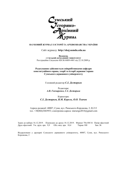

## НАУКОВИЙ ЖУРНАЛ З ІСТОРІЇ ТА АРХІВОЗНАВСТВА УКРАЇНИ

## Сайт журналу: http://shaj.sumdu.edu.ua

Видавець СУМСЬКИЙ ДЕРЖАВНИЙ УНІВЕРСИТЕТ Реєстраційне Свідоцтво КВ №16009-4481 від 22.10.2009 р.

## Редагування здійснюється співробітниками кафедри конституційного права, теорії та історії держави і права Сумського державного університету

Головний редактор С.І. Дегтярьов

Редактори: А.В. Гончаренко, С.І. Дегтярьов

Коректори: С.І. Дегтярьов, В.М. Король, О.О. Ткачов

Адреса редакції: 40007, Суми, вул. Римського-Корсакова, 2, Н-213 тел. +38(066)3465953; електронна адреса: starsergo2014@gmail.com

Здано до набору 16.12.2019. Підписано до друку 18.12.2019. Формат 70х108/16 Папір офсетний Друк офсетний. Ум. друк. арк. 9,9 Обл.-вид. арк. 10,4 Тираж 100 Зам. №

Віддруковано у друкарні Сумського державного університету, 40007, Суми, вул. Римського-Корсакова, 2